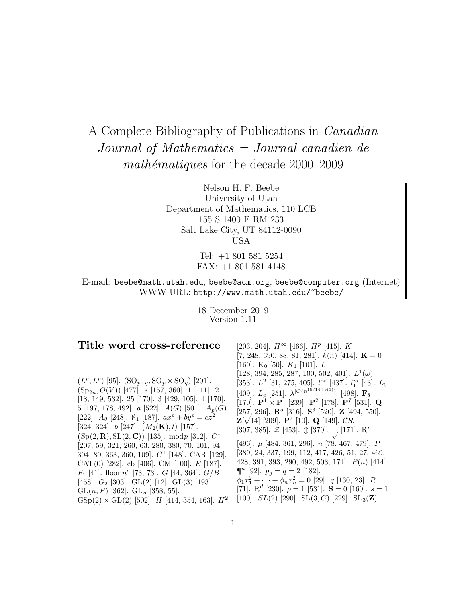# A Complete Bibliography of Publications in Canadian Journal of Mathematics = Journal canadien de  $mathématiques$  for the decade 2000–2009

Nelson H. F. Beebe University of Utah Department of Mathematics, 110 LCB 155 S 1400 E RM 233 Salt Lake City, UT 84112-0090 USA

> Tel: +1 801 581 5254 FAX: +1 801 581 4148

E-mail: beebe@math.utah.edu, beebe@acm.org, beebe@computer.org (Internet) WWW URL: http://www.math.utah.edu/~beebe/

> 18 December 2019 Version 1.11

# **Title word cross-reference**

 $(L^p, L^p)$  [95].  $({\rm SO}_{p+q}, {\rm SO}_p \times {\rm SO}_q)$  [201].  $(Sp_{2n}, O(V))$  [477]. \* [157, 360]. 1 [111]. 2 [18, 149, 532]. 25 [170]. 3 [429, 105]. 4 [170]. 5 [197, 178, 492].  $a$  [522].  $A(G)$  [501].  $A_p(G)$ [222].  $A_{\theta}$  [248].  $\aleph_1$  [187].  $ax^p + by^p = cz^2$ [324, 324].  $b$  [247].  $(M_2(K), t)$  [157].  $(Sp(2, R), SL(2, C))$  [135]. modp [312].  $C^*$ [207, 59, 321, 260, 63, 280, 380, 70, 101, 94, 304, 80, 363, 360, 109].  $C^1$  [148]. CAR [129]. CAT(0) [282]. cb [406]. CM [100].  $E$  [187].  $F_1$  [41]. floor  $n^c$  [73, 73]. G [44, 364].  $G/B$ [458]. *G*<sub>2</sub> [303]. GL(2) [12]. GL(3) [193]. GL $(n, F)$  [362]. GL<sub>n</sub> [358, 55].  $GSp(2) \times GL(2)$  [502]. H [414, 354, 163].  $H^2$ 

[203, 204].  $H^{\infty}$  [466].  $H^{p}$  [415].  $K$  $[7, 248, 390, 88, 81, 281]$ .  $k(n)$  [414]. **K** = 0 [160].  $K_0$  [50].  $K_1$  [101].  $L$  $[128, 394, 285, 287, 100, 502, 401]$ .  $L^1(\omega)$ [353].  $L^2$  [31, 275, 405].  $l^{\infty}$  [437].  $l_1^m$  [43].  $L_0$ [409].  $L_p$  [251].  $\lambda^{[O(n^{15/14+o(1)})]}$  [498]. **F**<sub>8</sub> [170]. **<sup>P</sup>**<sup>1</sup> <sup>×</sup> **<sup>P</sup>**<sup>1</sup> [239]. **<sup>P</sup>**<sup>2</sup> [178]. **<sup>P</sup>**<sup>7</sup> [531]. **<sup>Q</sup>** [257, 296]. **R**<sup>5</sup> [316]. **S**<sup>3</sup> [520]. **Z** [494, 550]. **Z**[ $\sqrt{14}$ ] [209].  $P^2$  [10]. **Q** [149].  $CR$ [307, 385].  $\mathcal{Z}$  [453].  $\mathcal{D}$  [370].  $\bigcup$  [171].  $\mathbb{R}^n$ [496]. µ [484, 361, 296]. n [78, 467, 479]. P [389, 24, 337, 199, 112, 417, 426, 51, 27, 469, 428, 391, 393, 290, 492, 503, 174]. P(n) [414].  $\P^n$  [92].  $p_q = q = 2$  [182].  $\phi_1 x_1^2 + \cdots + \phi_n x_n^2 = 0$  [29]. *q* [130, 23]. *R* [71].  $R^d$  [230].  $\rho = 1$  [531]. **S** = 0 [160].  $s = 1$ [100].  $SL(2)$  [290].  $SL(3, C)$  [229].  $SL_3(\mathbf{Z})$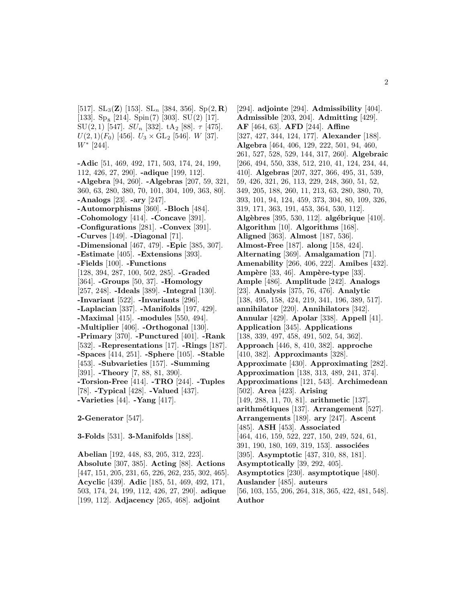[517]. SL<sub>3</sub>(**Z**) [153]. SL<sub>n</sub> [384, 356]. Sp(2, **R**) [133].  $Sp_8$  [214].  $Spin(7)$  [303].  $SU(2)$  [17]. SU(2, 1) [547].  $SU_n$  [332]. tA<sub>2</sub> [88].  $\tau$  [475].  $U(2, 1)(F_0)$  [456].  $U_3 \times GL_2$  [546]. W [37].  $W^*$  [244].

**-Adic** [51, 469, 492, 171, 503, 174, 24, 199, 112, 426, 27, 290]. **-adique** [199, 112]. **-Algebra** [94, 260]. **-Algebras** [207, 59, 321, 360, 63, 280, 380, 70, 101, 304, 109, 363, 80]. **-Analogs** [23]. **-ary** [247]. **-Automorphisms** [360]. **-Bloch** [484]. **-Cohomology** [414]. **-Concave** [391]. **-Configurations** [281]. **-Convex** [391]. **-Curves** [149]. **-Diagonal** [71]. **-Dimensional** [467, 479]. **-Epic** [385, 307]. **-Estimate** [405]. **-Extensions** [393]. **-Fields** [100]. **-Functions** [128, 394, 287, 100, 502, 285]. **-Graded** [364]. **-Groups** [50, 37]. **-Homology** [257, 248]. **-Ideals** [389]. **-Integral** [130]. **-Invariant** [522]. **-Invariants** [296]. **-Laplacian** [337]. **-Manifolds** [197, 429]. **-Maximal** [415]. **-modules** [550, 494]. **-Multiplier** [406]. **-Orthogonal** [130]. **-Primary** [370]. **-Punctured** [401]. **-Rank** [532]. **-Representations** [17]. **-Rings** [187]. **-Spaces** [414, 251]. **-Sphere** [105]. **-Stable** [453]. **-Subvarieties** [157]. **-Summing** [391]. **-Theory** [7, 88, 81, 390]. **-Torsion-Free** [414]. **-TRO** [244]. **-Tuples** [78]. **-Typical** [428]. **-Valued** [437]. **-Varieties** [44]. **-Yang** [417].

**2-Generator** [547].

**3-Folds** [531]. **3-Manifolds** [188].

**Abelian** [192, 448, 83, 205, 312, 223]. **Absolute** [307, 385]. **Acting** [88]. **Actions** [447, 151, 205, 231, 65, 226, 262, 235, 302, 465]. **Acyclic** [439]. **Adic** [185, 51, 469, 492, 171, 503, 174, 24, 199, 112, 426, 27, 290]. **adique** [199, 112]. **Adjacency** [265, 468]. **adjoint**

[294]. **adjointe** [294]. **Admissibility** [404]. **Admissible** [203, 204]. **Admitting** [429]. **AF** [464, 63]. **AFD** [244]. **Affine** [327, 427, 344, 124, 177]. **Alexander** [188]. **Algebra** [464, 406, 129, 222, 501, 94, 460, 261, 527, 528, 529, 144, 317, 260]. **Algebraic** [266, 494, 550, 338, 512, 210, 41, 124, 234, 44, 410]. **Algebras** [207, 327, 366, 495, 31, 539, 59, 426, 321, 26, 113, 229, 248, 360, 51, 52, 349, 205, 188, 260, 11, 213, 63, 280, 380, 70, 393, 101, 94, 124, 459, 373, 304, 80, 109, 326, 319, 171, 363, 191, 453, 364, 530, 112]. **Alg`ebres** [395, 530, 112]. **alg´ebrique** [410]. **Algorithm** [10]. **Algorithms** [168]. **Aligned** [363]. **Almost** [187, 536]. **Almost-Free** [187]. **along** [158, 424]. **Alternating** [369]. **Amalgamation** [71]. **Amenability** [266, 406, 222]. **Amibes** [432]. **Ampère** [33, 46]. **Ampère-type** [33]. **Ample** [486]. **Amplitude** [242]. **Analogs** [23]. **Analysis** [375, 76, 476]. **Analytic** [138, 495, 158, 424, 219, 341, 196, 389, 517]. **annihilator** [220]. **Annihilators** [342]. **Annular** [429]. **Apolar** [338]. **Appell** [41]. **Application** [345]. **Applications** [138, 339, 497, 458, 491, 502, 54, 362]. **Approach** [446, 8, 410, 382]. **approche** [410, 382]. **Approximants** [328]. **Approximate** [430]. **Approximating** [282]. **Approximation** [138, 313, 489, 241, 374]. **Approximations** [121, 543]. **Archimedean** [502]. **Area** [423]. **Arising** [149, 288, 11, 70, 81]. **arithmetic** [137]. **arithm´etiques** [137]. **Arrangement** [527]. **Arrangements** [189]. **ary** [247]. **Ascent** [485]. **ASH** [453]. **Associated** [464, 416, 159, 522, 227, 150, 249, 524, 61, 391, 190, 180, 169, 319, 153<sup>]</sup>. **associées** [395]. **Asymptotic** [437, 310, 88, 181]. **Asymptotically** [39, 292, 405]. **Asymptotics** [230]. **asymptotique** [480]. **Auslander** [485]. **auteurs** [56, 103, 155, 206, 264, 318, 365, 422, 481, 548]. **Author**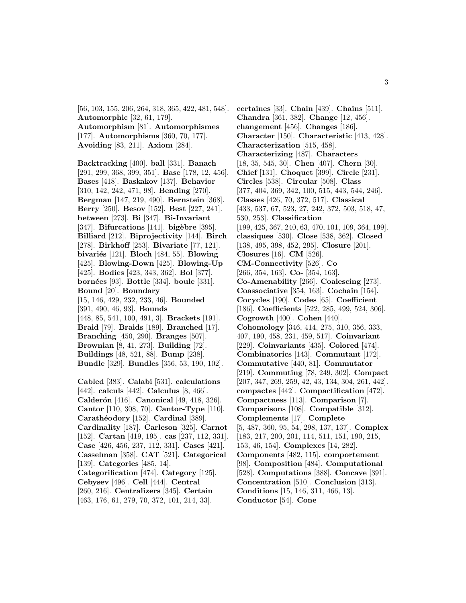[56, 103, 155, 206, 264, 318, 365, 422, 481, 548]. **Automorphic** [32, 61, 179]. **Automorphism** [81]. **Automorphismes** [177]. **Automorphisms** [360, 70, 177].

**Avoiding** [83, 211]. **Axiom** [284].

**Backtracking** [400]. **ball** [331]. **Banach** [291, 299, 368, 399, 351]. **Base** [178, 12, 456]. **Bases** [418]. **Baskakov** [137]. **Behavior** [310, 142, 242, 471, 98]. **Bending** [270]. **Bergman** [147, 219, 490]. **Bernstein** [368]. **Berry** [250]. **Besov** [152]. **Best** [227, 241]. **between** [273]. **Bi** [347]. **Bi-Invariant** [347]. **Bifurcations** [141]. **bigèbre** [395]. **Billiard** [212]. **Biprojectivity** [144]. **Birch** [278]. **Birkhoff** [253]. **Bivariate** [77, 121]. **bivari´es** [121]. **Bloch** [484, 55]. **Blowing** [425]. **Blowing-Down** [425]. **Blowing-Up** [425]. **Bodies** [423, 343, 362]. **Bol** [377]. **born´ees** [93]. **Bottle** [334]. **boule** [331]. **Bound** [20]. **Boundary** [15, 146, 429, 232, 233, 46]. **Bounded** [391, 490, 46, 93]. **Bounds** [448, 85, 541, 100, 491, 3]. **Brackets** [191]. **Braid** [79]. **Braids** [189]. **Branched** [17]. **Branching** [450, 290]. **Branges** [507]. **Brownian** [8, 41, 273]. **Building** [72]. **Buildings** [48, 521, 88]. **Bump** [238]. **Bundle** [329]. **Bundles** [356, 53, 190, 102]. **Cabled** [383]. **Calabi** [531]. **calculations** [442]. **calculs** [442]. **Calculus** [8, 466]. **Calder´on** [416]. **Canonical** [49, 418, 326].

**Cantor** [110, 308, 70]. **Cantor-Type** [110]. **Carath´eodory** [152]. **Cardinal** [389]. **Cardinality** [187]. **Carleson** [325]. **Carnot** [152]. **Cartan** [419, 195]. **cas** [237, 112, 331]. **Case** [426, 456, 237, 112, 331]. **Cases** [421]. **Casselman** [358]. **CAT** [521]. **Categorical** [139]. **Categories** [485, 14]. **Categorification** [474]. **Category** [125]. **Cebysev** [496]. **Cell** [444]. **Central** [260, 216]. **Centralizers** [345]. **Certain**

[463, 176, 61, 279, 70, 372, 101, 214, 33].

**certaines** [33]. **Chain** [439]. **Chains** [511]. **Chandra** [361, 382]. **Change** [12, 456]. **changement** [456]. **Changes** [186]. **Character** [150]. **Characteristic** [413, 428]. **Characterization** [515, 458]. **Characterizing** [487]. **Characters** [18, 35, 545, 30]. **Chen** [407]. **Chern** [30]. **Chief** [131]. **Choquet** [399]. **Circle** [231]. **Circles** [538]. **Circular** [508]. **Class** [377, 404, 369, 342, 100, 515, 443, 544, 246]. **Classes** [426, 70, 372, 517]. **Classical** [433, 537, 67, 523, 27, 242, 372, 503, 518, 47, 530, 253]. **Classification** [199, 425, 367, 240, 63, 470, 101, 109, 364, 199]. **classiques** [530]. **Close** [538, 362]. **Closed** [138, 495, 398, 452, 295]. **Closure** [201]. **Closures** [16]. **CM** [526]. **CM-Connectivity** [526]. **Co** [266, 354, 163]. **Co-** [354, 163]. **Co-Amenability** [266]. **Coalescing** [273]. **Coassociative** [354, 163]. **Cochain** [154]. **Cocycles** [190]. **Codes** [65]. **Coefficient** [186]. **Coefficients** [522, 285, 499, 524, 306]. **Cogrowth** [400]. **Cohen** [440]. **Cohomology** [346, 414, 275, 310, 356, 333, 407, 190, 458, 231, 459, 517]. **Coinvariant** [229]. **Coinvariants** [435]. **Colored** [474]. **Combinatorics** [143]. **Commutant** [172]. **Commutative** [440, 81]. **Commutator** [219]. **Commuting** [78, 249, 302]. **Compact** [207, 347, 269, 259, 42, 43, 134, 304, 261, 442]. **compactes** [442]. **Compactification** [472]. **Compactness** [113]. **Comparison** [7]. **Comparisons** [108]. **Compatible** [312]. **Complements** [17]. **Complete** [5, 487, 360, 95, 54, 298, 137, 137]. **Complex** [183, 217, 200, 201, 114, 511, 151, 190, 215, 153, 46, 154]. **Complexes** [14, 282]. **Components** [482, 115]. **comportement** [98]. **Composition** [484]. **Computational** [528]. **Computations** [388]. **Concave** [391]. **Concentration** [510]. **Conclusion** [313]. **Conditions** [15, 146, 311, 466, 13]. **Conductor** [54]. **Cone**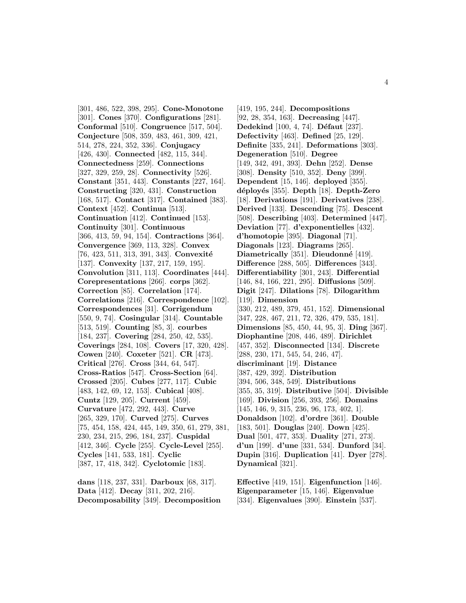[301, 486, 522, 398, 295]. **Cone-Monotone** [301]. **Cones** [370]. **Configurations** [281]. **Conformal** [510]. **Congruence** [517, 504]. **Conjecture** [508, 359, 483, 461, 309, 421, 514, 278, 224, 352, 336]. **Conjugacy** [426, 430]. **Connected** [482, 115, 344]. **Connectedness** [259]. **Connections** [327, 329, 259, 28]. **Connectivity** [526]. **Constant** [351, 443]. **Constants** [227, 164]. **Constructing** [320, 431]. **Construction** [168, 517]. **Contact** [317]. **Contained** [383]. **Context** [452]. **Continua** [513]. **Continuation** [412]. **Continued** [153]. **Continuity** [301]. **Continuous** [366, 413, 59, 94, 154]. **Contractions** [364]. **Convergence** [369, 113, 328]. **Convex** [76, 423, 511, 313, 391, 343]. **Convexité** [137]. **Convexity** [137, 217, 159, 195]. **Convolution** [311, 113]. **Coordinates** [444]. **Corepresentations** [266]. **corps** [362]. **Correction** [85]. **Correlation** [174]. **Correlations** [216]. **Correspondence** [102]. **Correspondences** [31]. **Corrigendum** [550, 9, 74]. **Cosingular** [314]. **Countable** [513, 519]. **Counting** [85, 3]. **courbes** [184, 237]. **Covering** [284, 250, 42, 535]. **Coverings** [284, 108]. **Covers** [17, 320, 428]. **Cowen** [240]. **Coxeter** [521]. **CR** [473]. **Critical** [276]. **Cross** [344, 64, 547]. **Cross-Ratios** [547]. **Cross-Section** [64]. **Crossed** [205]. **Cubes** [277, 117]. **Cubic** [483, 142, 69, 12, 153]. **Cubical** [408]. **Cuntz** [129, 205]. **Current** [459]. **Curvature** [472, 292, 443]. **Curve** [265, 329, 170]. **Curved** [275]. **Curves** [75, 454, 158, 424, 445, 149, 350, 61, 279, 381, 230, 234, 215, 296, 184, 237]. **Cuspidal** [412, 346]. **Cycle** [255]. **Cycle-Level** [255]. **Cycles** [141, 533, 181]. **Cyclic** [387, 17, 418, 342]. **Cyclotomic** [183].

**dans** [118, 237, 331]. **Darboux** [68, 317]. **Data** [412]. **Decay** [311, 202, 216]. **Decomposability** [349]. **Decomposition**

[419, 195, 244]. **Decompositions** [92, 28, 354, 163]. **Decreasing** [447]. **Dedekind** [100, 4, 74]. **Défaut** [237]. **Defectivity** [463]. **Defined** [25, 129]. **Definite** [335, 241]. **Deformations** [303]. **Degeneration** [510]. **Degree** [149, 342, 491, 393]. **Dehn** [252]. **Dense** [308]. **Density** [510, 352]. **Deny** [399]. **Dependent** [15, 146]. **deployed** [355]. **d´eploy´es** [355]. **Depth** [18]. **Depth-Zero** [18]. **Derivations** [191]. **Derivatives** [238]. **Derived** [133]. **Descending** [75]. **Descent** [508]. **Describing** [403]. **Determined** [447]. **Deviation** [77]. **d'exponentielles** [432]. **d'homotopie** [395]. **Diagonal** [71]. **Diagonals** [123]. **Diagrams** [265]. **Diametrically** [351]. **Dieudonné** [419]. **Difference** [288, 505]. **Differences** [343]. **Differentiability** [301, 243]. **Differential** [146, 84, 166, 221, 295]. **Diffusions** [509]. **Digit** [247]. **Dilations** [78]. **Dilogarithm** [119]. **Dimension** [330, 212, 489, 379, 451, 152]. **Dimensional** [347, 228, 467, 211, 72, 326, 479, 535, 181]. **Dimensions** [85, 450, 44, 95, 3]. **Ding** [367]. **Diophantine** [208, 446, 489]. **Dirichlet** [457, 352]. **Disconnected** [134]. **Discrete** [288, 230, 171, 545, 54, 246, 47]. **discriminant** [19]. **Distance** [387, 429, 392]. **Distribution** [394, 506, 348, 549]. **Distributions** [355, 35, 319]. **Distributive** [504]. **Divisible** [169]. **Division** [256, 393, 256]. **Domains** [145, 146, 9, 315, 236, 96, 173, 402, 1]. **Donaldson** [102]. **d'ordre** [361]. **Double** [183, 501]. **Douglas** [240]. **Down** [425]. **Dual** [501, 477, 353]. **Duality** [271, 273]. **d'un** [199]. **d'une** [331, 534]. **Dunford** [34]. **Dupin** [316]. **Duplication** [41]. **Dyer** [278]. **Dynamical** [321].

**Effective** [419, 151]. **Eigenfunction** [146]. **Eigenparameter** [15, 146]. **Eigenvalue** [334]. **Eigenvalues** [390]. **Einstein** [537].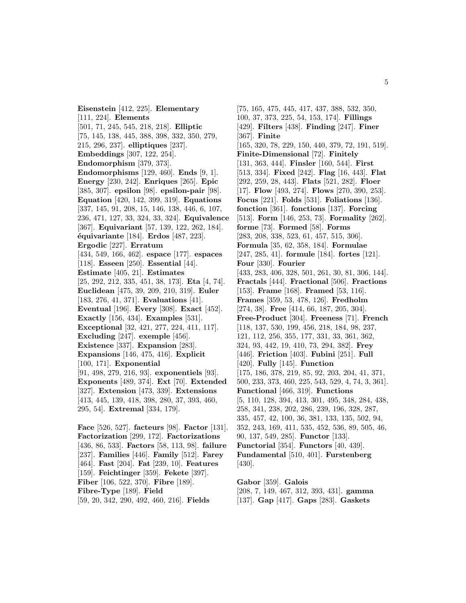**Eisenstein** [412, 225]. **Elementary** [111, 224]. **Elements** [501, 71, 245, 545, 218, 218]. **Elliptic** [75, 145, 138, 445, 388, 398, 332, 350, 279, 215, 296, 237]. **elliptiques** [237]. **Embeddings** [307, 122, 254]. **Endomorphism** [379, 373]. **Endomorphisms** [129, 460]. **Ends** [9, 1]. **Energy** [230, 242]. **Enriques** [265]. **Epic** [385, 307]. **epsilon** [98]. **epsilon-pair** [98]. **Equation** [420, 142, 399, 319]. **Equations** [337, 145, 91, 208, 15, 146, 138, 446, 6, 107, 236, 471, 127, 33, 324, 33, 324]. **Equivalence** [367]. **Equivariant** [57, 139, 122, 262, 184]. **´equivariante** [184]. **Erdos** [487, 223]. **Ergodic** [227]. **Erratum** [434, 549, 166, 462]. **espace** [177]. **espaces** [118]. **Esseen** [250]. **Essential** [44]. **Estimate** [405, 21]. **Estimates** [25, 292, 212, 335, 451, 38, 173]. **Eta** [4, 74]. **Euclidean** [475, 39, 209, 210, 319]. **Euler** [183, 276, 41, 371]. **Evaluations** [41]. **Eventual** [196]. **Every** [308]. **Exact** [452]. **Exactly** [156, 434]. **Examples** [531]. **Exceptional** [32, 421, 277, 224, 411, 117]. **Excluding** [247]. **exemple** [456]. **Existence** [337]. **Expansion** [283]. **Expansions** [146, 475, 416]. **Explicit** [100, 171]. **Exponential** [91, 498, 279, 216, 93]. **exponentiels** [93]. **Exponents** [489, 374]. **Ext** [70]. **Extended** [327]. **Extension** [473, 339]. **Extensions** [413, 445, 139, 418, 398, 280, 37, 393, 460, 295, 54]. **Extremal** [334, 179]. **Face** [526, 527]. **facteurs** [98]. **Factor** [131]. **Factorization** [299, 172]. **Factorizations** [436, 86, 533]. **Factors** [58, 113, 98]. **failure** [237]. **Families** [446]. **Family** [512]. **Farey** [464]. **Fast** [204]. **Fat** [239, 10]. **Features**

[159]. **Feichtinger** [359]. **Fekete** [397].

**Fiber** [106, 522, 370]. **Fibre** [189]. **Fibre-Type** [189]. **Field**

[59, 20, 342, 290, 492, 460, 216]. **Fields**

[75, 165, 475, 445, 417, 437, 388, 532, 350, 100, 37, 373, 225, 54, 153, 174]. **Fillings** [429]. **Filters** [438]. **Finding** [247]. **Finer** [367]. **Finite** [165, 320, 78, 229, 150, 440, 379, 72, 191, 519]. **Finite-Dimensional** [72]. **Finitely** [131, 363, 444]. **Finsler** [160, 544]. **First** [513, 334]. **Fixed** [242]. **Flag** [16, 443]. **Flat** [292, 259, 28, 443]. **Flats** [521, 282]. **Floer** [17]. **Flow** [493, 274]. **Flows** [270, 390, 253]. **Focus** [221]. **Folds** [531]. **Foliations** [136]. **fonction** [361]. **fonctions** [137]. **Forcing** [513]. **Form** [146, 253, 73]. **Formality** [262]. **forme** [73]. **Formed** [58]. **Forms** [283, 208, 338, 523, 61, 457, 515, 306]. **Formula** [35, 62, 358, 184]. **Formulae** [247, 285, 41]. **formule** [184]. **fortes** [121]. **Four** [330]. **Fourier** [433, 283, 406, 328, 501, 261, 30, 81, 306, 144]. **Fractals** [444]. **Fractional** [506]. **Fractions** [153]. **Frame** [168]. **Framed** [53, 116]. **Frames** [359, 53, 478, 126]. **Fredholm** [274, 38]. **Free** [414, 66, 187, 205, 304]. **Free-Product** [304]. **Freeness** [71]. **French** [118, 137, 530, 199, 456, 218, 184, 98, 237, 121, 112, 256, 355, 177, 331, 33, 361, 362, 324, 93, 442, 19, 410, 73, 294, 382]. **Frey** [446]. **Friction** [403]. **Fubini** [251]. **Full** [420]. **Fully** [145]. **Function** [175, 186, 378, 219, 85, 92, 203, 204, 41, 371, 500, 233, 373, 460, 225, 543, 529, 4, 74, 3, 361]. **Functional** [466, 319]. **Functions** [5, 110, 128, 394, 413, 301, 495, 348, 284, 438, 258, 341, 238, 202, 286, 239, 196, 328, 287, 335, 457, 42, 100, 36, 381, 133, 135, 502, 94, 352, 243, 169, 411, 535, 452, 536, 89, 505, 46, 90, 137, 549, 285]. **Functor** [133]. **Functorial** [354]. **Functors** [40, 439]. **Fundamental** [510, 401]. **Furstenberg** [430].

**Gabor** [359]. **Galois** [208, 7, 149, 467, 312, 393, 431]. **gamma** [137]. **Gap** [417]. **Gaps** [283]. **Gaskets**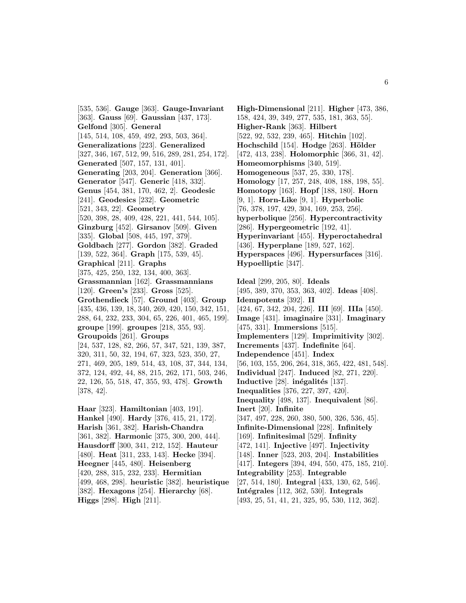[535, 536]. **Gauge** [363]. **Gauge-Invariant** [363]. **Gauss** [69]. **Gaussian** [437, 173]. **Gelfond** [305]. **General** [145, 514, 108, 459, 492, 293, 503, 364]. **Generalizations** [223]. **Generalized** [327, 346, 167, 512, 99, 516, 289, 281, 254, 172]. **Generated** [507, 157, 131, 401]. **Generating** [203, 204]. **Generation** [366]. **Generator** [547]. **Generic** [418, 332]. **Genus** [454, 381, 170, 462, 2]. **Geodesic** [241]. **Geodesics** [232]. **Geometric** [521, 343, 22]. **Geometry** [520, 398, 28, 409, 428, 221, 441, 544, 105]. **Ginzburg** [452]. **Girsanov** [509]. **Given** [335]. **Global** [508, 445, 197, 379]. **Goldbach** [277]. **Gordon** [382]. **Graded** [139, 522, 364]. **Graph** [175, 539, 45]. **Graphical** [211]. **Graphs** [375, 425, 250, 132, 134, 400, 363]. **Grassmannian** [162]. **Grassmannians** [120]. **Green's** [233]. **Gross** [525]. **Grothendieck** [57]. **Ground** [403]. **Group** [435, 436, 139, 18, 340, 269, 420, 150, 342, 151, 288, 64, 232, 233, 304, 65, 226, 401, 465, 199]. **groupe** [199]. **groupes** [218, 355, 93]. **Groupoids** [261]. **Groups** [24, 537, 128, 82, 266, 57, 347, 521, 139, 387, 320, 311, 50, 32, 194, 67, 323, 523, 350, 27, 271, 469, 205, 189, 514, 43, 108, 37, 344, 134, 372, 124, 492, 44, 88, 215, 262, 171, 503, 246, 22, 126, 55, 518, 47, 355, 93, 478]. **Growth** [378, 42]. **Haar** [323]. **Hamiltonian** [403, 191]. **Hankel** [490]. **Hardy** [376, 415, 21, 172]. **Harish** [361, 382]. **Harish-Chandra** [361, 382]. **Harmonic** [375, 300, 200, 444]. **Hausdorff** [300, 341, 212, 152]. **Hauteur** [480]. **Heat** [311, 233, 143]. **Hecke** [394]. **Heegner** [445, 480]. **Heisenberg** [420, 288, 315, 232, 233]. **Hermitian**

[499, 468, 298]. **heuristic** [382]. **heuristique** [382]. **Hexagons** [254]. **Hierarchy** [68].

**Higgs** [298]. **High** [211].

**High-Dimensional** [211]. **Higher** [473, 386, 158, 424, 39, 349, 277, 535, 181, 363, 55]. **Higher-Rank** [363]. **Hilbert** [522, 92, 532, 239, 465]. **Hitchin** [102]. **Hochschild** [154]. **Hodge** [263]. **Hölder** [472, 413, 238]. **Holomorphic** [366, 31, 42]. **Homeomorphisms** [340, 519]. **Homogeneous** [537, 25, 330, 178]. **Homology** [17, 257, 248, 408, 188, 198, 55]. **Homotopy** [163]. **Hopf** [188, 180]. **Horn** [9, 1]. **Horn-Like** [9, 1]. **Hyperbolic** [76, 378, 197, 429, 304, 169, 253, 256]. **hyperbolique** [256]. **Hypercontractivity** [286]. **Hypergeometric** [192, 41]. **Hyperinvariant** [455]. **Hyperoctahedral** [436]. **Hyperplane** [189, 527, 162]. **Hyperspaces** [496]. **Hypersurfaces** [316].

**Hypoelliptic** [347].

**Ideal** [299, 205, 80]. **Ideals** [495, 389, 370, 353, 363, 402]. **Ideas** [408]. **Idempotents** [392]. **II** [424, 67, 342, 204, 226]. **III** [69]. **IIIa** [450]. **Image** [431]. **imaginaire** [331]. **Imaginary** [475, 331]. **Immersions** [515]. **Implementers** [129]. **Imprimitivity** [302]. **Increments** [437]. **Indefinite** [64]. **Independence** [451]. **Index** [56, 103, 155, 206, 264, 318, 365, 422, 481, 548]. **Individual** [247]. **Induced** [82, 271, 220]. **Inductive** [28]. **inégalités** [137]. **Inequalities** [376, 227, 397, 420]. **Inequality** [498, 137]. **Inequivalent** [86]. **Inert** [20]. **Infinite** [347, 497, 228, 260, 380, 500, 326, 536, 45]. **Infinite-Dimensional** [228]. **Infinitely** [169]. **Infinitesimal** [529]. **Infinity** [472, 141]. **Injective** [497]. **Injectivity** [148]. **Inner** [523, 203, 204]. **Instabilities** [417]. **Integers** [394, 494, 550, 475, 185, 210]. **Integrability** [253]. **Integrable** [27, 514, 180]. **Integral** [433, 130, 62, 546]. **Intégrales** [112, 362, 530]. **Integrals** [493, 25, 51, 41, 21, 325, 95, 530, 112, 362].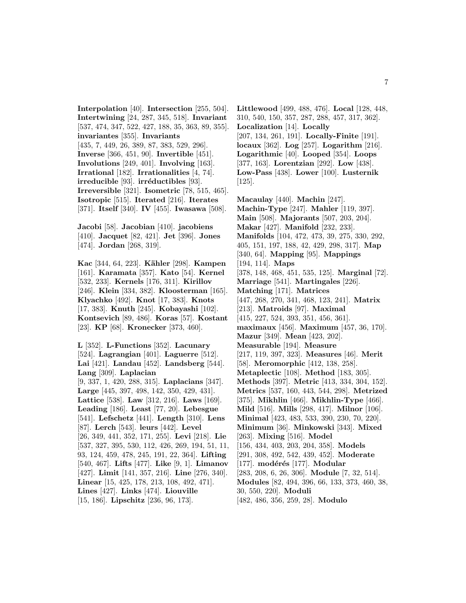**Interpolation** [40]. **Intersection** [255, 504]. **Intertwining** [24, 287, 345, 518]. **Invariant** [537, 474, 347, 522, 427, 188, 35, 363, 89, 355]. **invariantes** [355]. **Invariants** [435, 7, 449, 26, 389, 87, 383, 529, 296]. **Inverse** [366, 451, 90]. **Invertible** [451]. **Involutions** [249, 401]. **Involving** [163]. **Irrational** [182]. **Irrationalities** [4, 74]. **irreducible** [93]. **irréductibles** [93]. **Irreversible** [321]. **Isometric** [78, 515, 465]. **Isotropic** [515]. **Iterated** [216]. **Iterates** [371]. **Itself** [340]. **IV** [455]. **Iwasawa** [508].

**Jacobi** [58]. **Jacobian** [410]. **jacobiens** [410]. **Jacquet** [82, 421]. **Jet** [396]. **Jones** [474]. **Jordan** [268, 319].

**Kac** [344, 64, 223]. **K¨ahler** [298]. **Kampen** [161]. **Karamata** [357]. **Kato** [54]. **Kernel** [532, 233]. **Kernels** [176, 311]. **Kirillov** [246]. **Klein** [334, 382]. **Kloosterman** [165]. **Klyachko** [492]. **Knot** [17, 383]. **Knots** [17, 383]. **Knuth** [245]. **Kobayashi** [102]. **Kontsevich** [89, 486]. **Koras** [57]. **Kostant** [23]. **KP** [68]. **Kronecker** [373, 460].

**L** [352]. **L-Functions** [352]. **Lacunary** [524]. **Lagrangian** [401]. **Laguerre** [512]. **Lai** [421]. **Landau** [452]. **Landsberg** [544]. **Lang** [309]. **Laplacian** [9, 337, 1, 420, 288, 315]. **Laplacians** [347]. **Large** [445, 397, 498, 142, 350, 429, 431]. **Lattice** [538]. **Law** [312, 216]. **Laws** [169]. **Leading** [186]. **Least** [77, 20]. **Lebesgue** [541]. **Lefschetz** [441]. **Length** [310]. **Lens** [87]. **Lerch** [543]. **leurs** [442]. **Level** [26, 349, 441, 352, 171, 255]. **Levi** [218]. **Lie** [537, 327, 395, 530, 112, 426, 269, 194, 51, 11, 93, 124, 459, 478, 245, 191, 22, 364]. **Lifting** [540, 467]. **Lifts** [477]. **Like** [9, 1]. **Limanov** [427]. **Limit** [141, 357, 216]. **Line** [276, 340]. **Linear** [15, 425, 178, 213, 108, 492, 471]. **Lines** [427]. **Links** [474]. **Liouville** [15, 186]. **Lipschitz** [236, 96, 173].

**Littlewood** [499, 488, 476]. **Local** [128, 448, 310, 540, 150, 357, 287, 288, 457, 317, 362]. **Localization** [14]. **Locally** [207, 134, 261, 191]. **Locally-Finite** [191]. **locaux** [362]. **Log** [257]. **Logarithm** [216]. **Logarithmic** [40]. **Looped** [354]. **Loops** [377, 163]. **Lorentzian** [292]. **Low** [438]. **Low-Pass** [438]. **Lower** [100]. **Lusternik** [125].

**Macaulay** [440]. **Machin** [247]. **Machin-Type** [247]. **Mahler** [119, 397]. **Main** [508]. **Majorants** [507, 203, 204]. **Makar** [427]. **Manifold** [232, 233]. **Manifolds** [104, 472, 473, 39, 275, 330, 292, 405, 151, 197, 188, 42, 429, 298, 317]. **Map** [340, 64]. **Mapping** [95]. **Mappings** [194, 114]. **Maps** [378, 148, 468, 451, 535, 125]. **Marginal** [72]. **Marriage** [541]. **Martingales** [226]. **Matching** [171]. **Matrices** [447, 268, 270, 341, 468, 123, 241]. **Matrix** [213]. **Matroids** [97]. **Maximal** [415, 227, 524, 393, 351, 456, 361]. **maximaux** [456]. **Maximum** [457, 36, 170]. **Mazur** [349]. **Mean** [423, 202]. **Measurable** [194]. **Measure** [217, 119, 397, 323]. **Measures** [46]. **Merit** [58]. **Meromorphic** [412, 138, 258]. **Metaplectic** [108]. **Method** [183, 305]. **Methods** [397]. **Metric** [413, 334, 304, 152]. **Metrics** [537, 160, 443, 544, 298]. **Metrized** [375]. **Mikhlin** [466]. **Mikhlin-Type** [466]. **Mild** [516]. **Mills** [298, 417]. **Milnor** [106]. **Minimal** [423, 483, 533, 390, 230, 70, 220]. **Minimum** [36]. **Minkowski** [343]. **Mixed** [263]. **Mixing** [516]. **Model** [156, 434, 403, 203, 204, 358]. **Models** [291, 308, 492, 542, 439, 452]. **Moderate** [177]. **mod´er´es** [177]. **Modular** [283, 208, 6, 26, 306]. **Module** [7, 32, 514]. **Modules** [82, 494, 396, 66, 133, 373, 460, 38, 30, 550, 220]. **Moduli** [482, 486, 356, 259, 28]. **Modulo**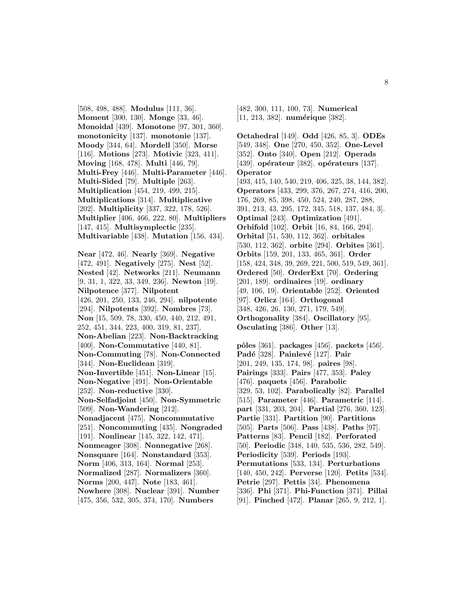[508, 498, 488]. **Modulus** [111, 36]. **Moment** [300, 130]. **Monge** [33, 46]. **Monoidal** [439]. **Monotone** [97, 301, 360]. **monotonicity** [137]. **monotonie** [137]. **Moody** [344, 64]. **Mordell** [350]. **Morse** [116]. **Motions** [273]. **Motivic** [323, 411]. **Moving** [168, 478]. **Multi** [446, 79]. **Multi-Frey** [446]. **Multi-Parameter** [446]. **Multi-Sided** [79]. **Multiple** [263]. **Multiplication** [454, 219, 499, 215]. **Multiplications** [314]. **Multiplicative** [202]. **Multiplicity** [337, 322, 178, 526]. **Multiplier** [406, 466, 222, 80]. **Multipliers** [147, 415]. **Multisymplectic** [235]. **Multivariable** [438]. **Mutation** [156, 434].

**Near** [472, 46]. **Nearly** [369]. **Negative** [472, 491]. **Negatively** [275]. **Nest** [52]. **Nested** [42]. **Networks** [211]. **Neumann** [9, 31, 1, 322, 33, 349, 236]. **Newton** [19]. **Nilpotence** [377]. **Nilpotent** [426, 201, 250, 133, 246, 294]. **nilpotente** [294]. **Nilpotents** [392]. **Nombres** [73]. **Non** [15, 509, 78, 330, 450, 440, 212, 491, 252, 451, 344, 223, 400, 319, 81, 237]. **Non-Abelian** [223]. **Non-Backtracking** [400]. **Non-Commutative** [440, 81]. **Non-Commuting** [78]. **Non-Connected** [344]. **Non-Euclidean** [319]. **Non-Invertible** [451]. **Non-Linear** [15]. **Non-Negative** [491]. **Non-Orientable** [252]. **Non-reductive** [330]. **Non-Selfadjoint** [450]. **Non-Symmetric** [509]. **Non-Wandering** [212]. **Nonadjacent** [475]. **Noncommutative** [251]. **Noncommuting** [435]. **Nongraded** [191]. **Nonlinear** [145, 322, 142, 471]. **Nonmeager** [308]. **Nonnegative** [268]. **Nonsquare** [164]. **Nonstandard** [353]. **Norm** [406, 313, 164]. **Normal** [253]. **Normalized** [287]. **Normalizers** [360]. **Norms** [200, 447]. **Note** [183, 461]. **Nowhere** [308]. **Nuclear** [391]. **Number** [475, 356, 532, 305, 374, 170]. **Numbers**

[482, 300, 111, 100, 73]. **Numerical** [11, 213, 382]. **numérique** [382].

**Octahedral** [149]. **Odd** [426, 85, 3]. **ODEs** [549, 348]. **One** [270, 450, 352]. **One-Level** [352]. **Onto** [340]. **Open** [212]. **Operads** [439]. **opérateur** [382]. **opérateurs** [137]. **Operator** [493, 415, 140, 540, 219, 406, 325, 38, 144, 382]. **Operators** [433, 299, 376, 267, 274, 416, 200, 176, 269, 85, 398, 450, 524, 240, 287, 288, 391, 213, 43, 295, 172, 345, 518, 137, 484, 3]. **Optimal** [243]. **Optimization** [491]. **Orbifold** [102]. **Orbit** [16, 84, 166, 294]. **Orbital** [51, 530, 112, 362]. **orbitales** [530, 112, 362]. **orbite** [294]. **Orbites** [361]. **Orbits** [159, 201, 133, 465, 361]. **Order** [158, 424, 348, 39, 269, 221, 500, 519, 549, 361]. **Ordered** [50]. **OrderExt** [70]. **Ordering** [201, 189]. **ordinaires** [19]. **ordinary** [49, 106, 19]. **Orientable** [252]. **Oriented** [97]. **Orlicz** [164]. **Orthogonal** [348, 426, 26, 130, 271, 179, 549]. **Orthogonality** [384]. **Oscillatory** [95]. **Osculating** [386]. **Other** [13].

**pˆoles** [361]. **packages** [456]. **packets** [456]. **Pad´e** [328]. **Painlev´e** [127]. **Pair** [201, 249, 135, 174, 98]. **paires** [98]. **Pairings** [333]. **Pairs** [477, 353]. **Paley** [476]. **paquets** [456]. **Parabolic** [329, 53, 102]. **Parabolically** [82]. **Parallel** [515]. **Parameter** [446]. **Parametric** [114]. **part** [331, 203, 204]. **Partial** [276, 360, 123]. **Partie** [331]. **Partition** [90]. **Partitions** [505]. **Parts** [506]. **Pass** [438]. **Paths** [97]. **Patterns** [83]. **Pencil** [182]. **Perforated** [50]. **Periodic** [348, 140, 535, 536, 282, 549]. **Periodicity** [539]. **Periods** [193]. **Permutations** [533, 134]. **Perturbations** [140, 450, 242]. **Perverse** [120]. **Petits** [534]. **Petrie** [297]. **Pettis** [34]. **Phenomena** [336]. **Phi** [371]. **Phi-Function** [371]. **Pillai** [91]. **Pinched** [472]. **Planar** [265, 9, 212, 1].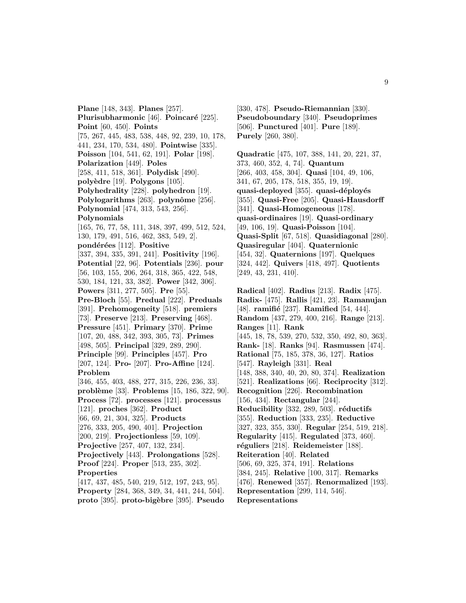**Plane** [148, 343]. **Planes** [257]. **Plurisubharmonic** [46]. **Poincaré** [225]. **Point** [60, 450]. **Points** [75, 267, 445, 483, 538, 448, 92, 239, 10, 178, 441, 234, 170, 534, 480]. **Pointwise** [335]. **Poisson** [104, 541, 62, 191]. **Polar** [198]. **Polarization** [449]. **Poles** [258, 411, 518, 361]. **Polydisk** [490]. **poly`edre** [19]. **Polygons** [105]. **Polyhedrality** [228]. **polyhedron** [19]. **Polylogarithms** [263]. **polynôme** [256]. **Polynomial** [474, 313, 543, 256]. **Polynomials** [165, 76, 77, 58, 111, 348, 397, 499, 512, 524, 130, 179, 491, 516, 462, 383, 549, 2]. **pond´er´ees** [112]. **Positive** [337, 394, 335, 391, 241]. **Positivity** [196]. **Potential** [22, 96]. **Potentials** [236]. **pour** [56, 103, 155, 206, 264, 318, 365, 422, 548, 530, 184, 121, 33, 382]. **Power** [342, 306]. **Powers** [311, 277, 505]. **Pre** [55]. **Pre-Bloch** [55]. **Predual** [222]. **Preduals** [391]. **Prehomogeneity** [518]. **premiers** [73]. **Preserve** [213]. **Preserving** [468]. **Pressure** [451]. **Primary** [370]. **Prime** [107, 20, 488, 342, 393, 305, 73]. **Primes** [498, 505]. **Principal** [329, 289, 290]. **Principle** [99]. **Principles** [457]. **Pro** [207, 124]. **Pro-** [207]. **Pro-Affine** [124]. **Problem** [346, 455, 403, 488, 277, 315, 226, 236, 33]. **problème** [33]. **Problems** [15, 186, 322, 90]. **Process** [72]. **processes** [121]. **processus** [121]. **proches** [362]. **Product** [66, 69, 21, 304, 325]. **Products** [276, 333, 205, 490, 401]. **Projection** [200, 219]. **Projectionless** [59, 109]. **Projective** [257, 407, 132, 234]. **Projectively** [443]. **Prolongations** [528]. **Proof** [224]. **Proper** [513, 235, 302]. **Properties** [417, 437, 485, 540, 219, 512, 197, 243, 95]. **Property** [284, 368, 349, 34, 441, 244, 504]. **proto** [395]. **proto-big`ebre** [395]. **Pseudo**

[330, 478]. **Pseudo-Riemannian** [330]. **Pseudoboundary** [340]. **Pseudoprimes** [506]. **Punctured** [401]. **Pure** [189]. **Purely** [260, 380].

**Quadratic** [475, 107, 388, 141, 20, 221, 37, 373, 460, 352, 4, 74]. **Quantum** [266, 403, 458, 304]. **Quasi** [104, 49, 106, 341, 67, 205, 178, 518, 355, 19, 19]. **quasi-deployed** [355]. **quasi-d´eploy´es** [355]. **Quasi-Free** [205]. **Quasi-Hausdorff** [341]. **Quasi-Homogeneous** [178]. **quasi-ordinaires** [19]. **Quasi-ordinary** [49, 106, 19]. **Quasi-Poisson** [104]. **Quasi-Split** [67, 518]. **Quasidiagonal** [280]. **Quasiregular** [404]. **Quaternionic** [454, 32]. **Quaternions** [197]. **Quelques** [324, 442]. **Quivers** [418, 497]. **Quotients** [249, 43, 231, 410].

**Radical** [402]. **Radius** [213]. **Radix** [475]. **Radix-** [475]. **Rallis** [421, 23]. **Ramanujan** [48]. **ramifié** [237]. **Ramified** [54, 444]. **Random** [437, 279, 400, 216]. **Range** [213]. **Ranges** [11]. **Rank** [445, 18, 78, 539, 270, 532, 350, 492, 80, 363]. **Rank-** [18]. **Ranks** [94]. **Rasmussen** [474]. **Rational** [75, 185, 378, 36, 127]. **Ratios** [547]. **Rayleigh** [331]. **Real** [148, 388, 340, 40, 20, 80, 374]. **Realization** [521]. **Realizations** [66]. **Reciprocity** [312]. **Recognition** [226]. **Recombination** [156, 434]. **Rectangular** [244]. **Reducibility** [332, 289, 503]. **réductifs** [355]. **Reduction** [333, 235]. **Reductive** [327, 323, 355, 330]. **Regular** [254, 519, 218]. **Regularity** [415]. **Regulated** [373, 460]. **r´eguliers** [218]. **Reidemeister** [188]. **Reiteration** [40]. **Related** [506, 69, 325, 374, 191]. **Relations** [384, 245]. **Relative** [100, 317]. **Remarks** [476]. **Renewed** [357]. **Renormalized** [193]. **Representation** [299, 114, 546]. **Representations**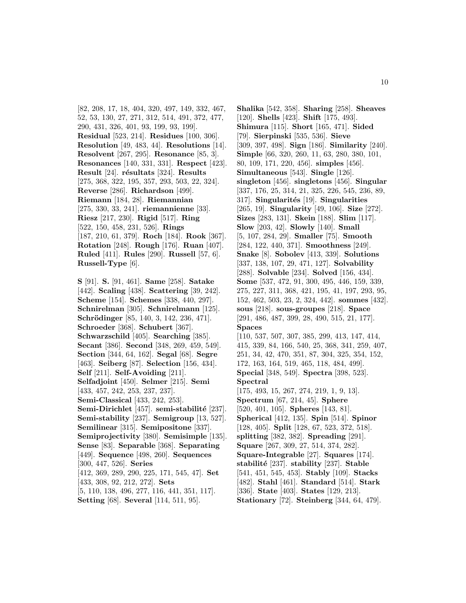[82, 208, 17, 18, 404, 320, 497, 149, 332, 467, 52, 53, 130, 27, 271, 312, 514, 491, 372, 477, 290, 431, 326, 401, 93, 199, 93, 199]. **Residual** [523, 214]. **Residues** [100, 306]. **Resolution** [49, 483, 44]. **Resolutions** [14]. **Resolvent** [267, 295]. **Resonance** [85, 3]. **Resonances** [140, 331, 331]. **Respect** [423]. **Result** [24]. **r´esultats** [324]. **Results** [275, 368, 322, 195, 357, 293, 503, 22, 324]. **Reverse** [286]. **Richardson** [499]. **Riemann** [184, 28]. **Riemannian** [275, 330, 33, 241]. **riemannienne** [33]. **Riesz** [217, 230]. **Rigid** [517]. **Ring** [522, 150, 458, 231, 526]. **Rings** [187, 210, 61, 379]. **Roch** [184]. **Rook** [367]. **Rotation** [248]. **Rough** [176]. **Ruan** [407]. **Ruled** [411]. **Rules** [290]. **Russell** [57, 6]. **Russell-Type** [6].

**S** [91]. **S.** [91, 461]. **Same** [258]. **Satake** [442]. **Scaling** [438]. **Scattering** [39, 242]. **Scheme** [154]. **Schemes** [338, 440, 297]. **Schnirelman** [305]. **Schnirelmann** [125]. **Schrödinger** [85, 140, 3, 142, 236, 471]. **Schroeder** [368]. **Schubert** [367]. **Schwarzschild** [405]. **Searching** [385]. **Secant** [386]. **Second** [348, 269, 459, 549]. **Section** [344, 64, 162]. **Segal** [68]. **Segre** [463]. **Seiberg** [87]. **Selection** [156, 434]. **Self** [211]. **Self-Avoiding** [211]. **Selfadjoint** [450]. **Selmer** [215]. **Semi** [433, 457, 242, 253, 237, 237]. **Semi-Classical** [433, 242, 253]. Semi-Dirichlet<sup>[457]</sup>. semi-stabilité<sup>[237]</sup>. **Semi-stability** [237]. **Semigroup** [13, 527]. **Semilinear** [315]. **Semipositone** [337]. **Semiprojectivity** [380]. **Semisimple** [135]. **Sense** [83]. **Separable** [368]. **Separating** [449]. **Sequence** [498, 260]. **Sequences** [300, 447, 526]. **Series** [412, 369, 289, 290, 225, 171, 545, 47]. **Set** [433, 308, 92, 212, 272]. **Sets** [5, 110, 138, 496, 277, 116, 441, 351, 117].

**Spectrum** [67, 214, 45]. **Sphere** [520, 401, 105]. **Spheres** [143, 81]. **Spherical** [412, 135]. **Spin** [514]. **Spinor** [128, 405]. **Split** [128, 67, 523, 372, 518]. **splitting** [382, 382]. **Spreading** [291]. **Square** [267, 309, 27, 514, 374, 282].

**Setting** [68]. **Several** [114, 511, 95].

**Shalika** [542, 358]. **Sharing** [258]. **Sheaves** [120]. **Shells** [423]. **Shift** [175, 493]. **Shimura** [115]. **Short** [165, 471]. **Sided** [79]. **Sierpinski** [535, 536]. **Sieve** [309, 397, 498]. **Sign** [186]. **Similarity** [240]. **Simple** [66, 320, 260, 11, 63, 280, 380, 101, 80, 109, 171, 220, 456]. **simples** [456]. **Simultaneous** [543]. **Single** [126]. **singleton** [456]. **singletons** [456]. **Singular** [337, 176, 25, 314, 21, 325, 226, 545, 236, 89, 317]. **Singularit´es** [19]. **Singularities** [265, 19]. **Singularity** [49, 106]. **Size** [272]. **Sizes** [283, 131]. **Skein** [188]. **Slim** [117]. **Slow** [203, 42]. **Slowly** [140]. **Small** [5, 107, 284, 29]. **Smaller** [75]. **Smooth** [284, 122, 440, 371]. **Smoothness** [249]. **Snake** [8]. **Sobolev** [413, 339]. **Solutions** [337, 138, 107, 29, 471, 127]. **Solvability** [288]. **Solvable** [234]. **Solved** [156, 434]. **Some** [537, 472, 91, 300, 495, 446, 159, 339, 275, 227, 311, 368, 421, 195, 41, 197, 293, 95, 152, 462, 503, 23, 2, 324, 442]. **sommes** [432]. **sous** [218]. **sous-groupes** [218]. **Space** [291, 486, 487, 399, 28, 490, 515, 21, 177]. **Spaces**

[110, 537, 507, 307, 385, 299, 413, 147, 414, 415, 339, 84, 166, 540, 25, 368, 341, 259, 407, 251, 34, 42, 470, 351, 87, 304, 325, 354, 152, 172, 163, 164, 519, 465, 118, 484, 499]. **Special** [348, 549]. **Spectra** [398, 523]. **Spectral** [175, 493, 15, 267, 274, 219, 1, 9, 13].

- 
- 
- 
- 
- 
- **Square-Integrable** [27]. **Squares** [174].
- **stabilit´e** [237]. **stability** [237]. **Stable**
- [541, 451, 545, 453]. **Stably** [109]. **Stacks**
- [482]. **Stahl** [461]. **Standard** [514]. **Stark**
- [336]. **State** [403]. **States** [129, 213].
- **Stationary** [72]. **Steinberg** [344, 64, 479].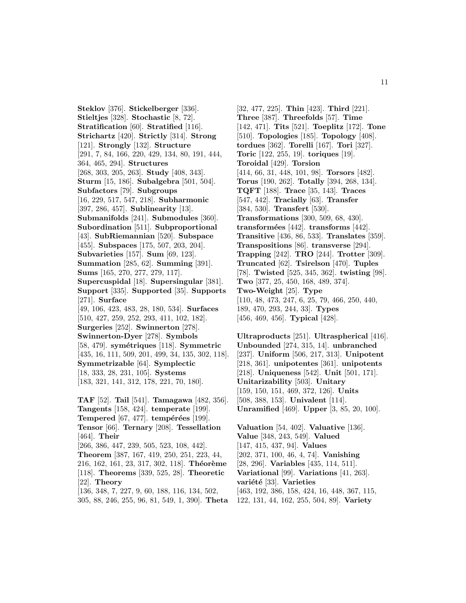**Steklov** [376]. **Stickelberger** [336]. **Stieltjes** [328]. **Stochastic** [8, 72]. **Stratification** [60]. **Stratified** [116]. **Strichartz** [420]. **Strictly** [314]. **Strong** [121]. **Strongly** [132]. **Structure** [291, 7, 84, 166, 220, 429, 134, 80, 191, 444, 364, 465, 294]. **Structures** [268, 303, 205, 263]. **Study** [408, 343]. **Sturm** [15, 186]. **Subalgebra** [501, 504]. **Subfactors** [79]. **Subgroups** [16, 229, 517, 547, 218]. **Subharmonic** [397, 286, 457]. **Sublinearity** [13]. **Submanifolds** [241]. **Submodules** [360]. **Subordination** [511]. **Subproportional** [43]. **SubRiemannian** [520]. **Subspace** [455]. **Subspaces** [175, 507, 203, 204]. **Subvarieties** [157]. **Sum** [69, 123]. **Summation** [285, 62]. **Summing** [391]. **Sums** [165, 270, 277, 279, 117]. **Supercuspidal** [18]. **Supersingular** [381]. **Support** [335]. **Supported** [35]. **Supports** [271]. **Surface** [49, 106, 423, 483, 28, 180, 534]. **Surfaces** [510, 427, 259, 252, 293, 411, 102, 182]. **Surgeries** [252]. **Swinnerton** [278]. **Swinnerton-Dyer** [278]. **Symbols** [58, 479]. **sym´etriques** [118]. **Symmetric** [435, 16, 111, 509, 201, 499, 34, 135, 302, 118]. **Symmetrizable** [64]. **Symplectic** [18, 333, 28, 231, 105]. **Systems** [183, 321, 141, 312, 178, 221, 70, 180]. **TAF** [52]. **Tail** [541]. **Tamagawa** [482, 356].

**Tangents** [158, 424]. **temperate** [199]. **Tempered** [67, 477]. **tempérées** [199]. **Tensor** [66]. **Ternary** [208]. **Tessellation** [464]. **Their** [266, 386, 447, 239, 505, 523, 108, 442]. **Theorem** [387, 167, 419, 250, 251, 223, 44, 216, 162, 161, 23, 317, 302, 118<sup>]</sup>. **Théorème** [118]. **Theorems** [339, 525, 28]. **Theoretic** [22]. **Theory** [136, 348, 7, 227, 9, 60, 188, 116, 134, 502, 305, 88, 246, 255, 96, 81, 549, 1, 390]. **Theta**

[32, 477, 225]. **Thin** [423]. **Third** [221]. **Three** [387]. **Threefolds** [57]. **Time** [142, 471]. **Tits** [521]. **Toeplitz** [172]. **Tone** [510]. **Topologies** [185]. **Topology** [408]. **tordues** [362]. **Torelli** [167]. **Tori** [327]. **Toric** [122, 255, 19]. **toriques** [19]. **Toroidal** [429]. **Torsion** [414, 66, 31, 448, 101, 98]. **Torsors** [482]. **Torus** [190, 262]. **Totally** [394, 268, 134]. **TQFT** [188]. **Trace** [35, 143]. **Traces** [547, 442]. **Tracially** [63]. **Transfer** [384, 530]. **Transfert** [530]. **Transformations** [300, 509, 68, 430]. **transform´ees** [442]. **transforms** [442]. **Transitive** [436, 86, 533]. **Translates** [359]. **Transpositions** [86]. **transverse** [294]. **Trapping** [242]. **TRO** [244]. **Trotter** [309]. **Truncated** [62]. **Tsirelson** [470]. **Tuples** [78]. **Twisted** [525, 345, 362]. **twisting** [98]. **Two** [377, 25, 450, 168, 489, 374]. **Two-Weight** [25]. **Type** [110, 48, 473, 247, 6, 25, 79, 466, 250, 440, 189, 470, 293, 244, 33]. **Types** [456, 469, 456]. **Typical** [428].

**Ultraproducts** [251]. **Ultraspherical** [416]. **Unbounded** [274, 315, 14]. **unbranched** [237]. **Uniform** [506, 217, 313]. **Unipotent** [218, 361]. **unipotentes** [361]. **unipotents** [218]. **Uniqueness** [542]. **Unit** [501, 171]. **Unitarizability** [503]. **Unitary** [159, 150, 151, 469, 372, 126]. **Units** [508, 388, 153]. **Univalent** [114]. **Unramified** [469]. **Upper** [3, 85, 20, 100].

**Valuation** [54, 402]. **Valuative** [136]. **Value** [348, 243, 549]. **Valued** [147, 415, 437, 94]. **Values** [202, 371, 100, 46, 4, 74]. **Vanishing** [28, 296]. **Variables** [435, 114, 511]. **Variational** [99]. **Variations** [41, 263]. variété<sup>[33]</sup>. Varieties [463, 192, 386, 158, 424, 16, 448, 367, 115, 122, 131, 44, 162, 255, 504, 89]. **Variety**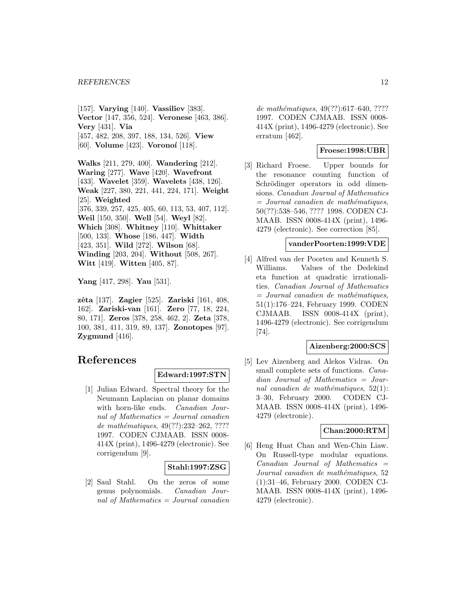[157]. **Varying** [140]. **Vassiliev** [383]. **Vector** [147, 356, 524]. **Veronese** [463, 386]. **Very** [431]. **Via** [457, 482, 208, 397, 188, 134, 526]. **View** [60]. **Volume** [423]. **Voronoi** [118].

**Walks** [211, 279, 400]. **Wandering** [212]. **Waring** [277]. **Wave** [420]. **Wavefront** [433]. **Wavelet** [359]. **Wavelets** [438, 126]. **Weak** [227, 380, 221, 441, 224, 171]. **Weight** [25]. **Weighted** [376, 339, 257, 425, 405, 60, 113, 53, 407, 112]. **Weil** [150, 350]. **Well** [54]. **Weyl** [82]. **Which** [308]. **Whitney** [110]. **Whittaker** [500, 133]. **Whose** [186, 447]. **Width** [423, 351]. **Wild** [272]. **Wilson** [68]. **Winding** [203, 204]. **Without** [508, 267]. **Witt** [419]. **Witten** [405, 87].

**Yang** [417, 298]. **Yau** [531].

**zˆeta** [137]. **Zagier** [525]. **Zariski** [161, 408, 162]. **Zariski-van** [161]. **Zero** [77, 18, 224, 80, 171]. **Zeros** [378, 258, 462, 2]. **Zeta** [378, 100, 381, 411, 319, 89, 137]. **Zonotopes** [97]. **Zygmund** [416].

# **References**

## **Edward:1997:STN**

[1] Julian Edward. Spectral theory for the Neumann Laplacian on planar domains with horn-like ends. *Canadian Jour*nal of Mathematics = Journal canadien de mathématiques,  $49(??):232-262, ????$ 1997. CODEN CJMAAB. ISSN 0008- 414X (print), 1496-4279 (electronic). See corrigendum [9].

## **Stahl:1997:ZSG**

[2] Saul Stahl. On the zeros of some genus polynomials. Canadian Journal of Mathematics = Journal canadien

de mathématiques,  $49(??):617-640, ????$ 1997. CODEN CJMAAB. ISSN 0008- 414X (print), 1496-4279 (electronic). See erratum [462].

# **Froese:1998:UBR**

[3] Richard Froese. Upper bounds for the resonance counting function of Schrödinger operators in odd dimensions. Canadian Journal of Mathematics  $=$  Journal canadien de mathématiques, 50(??):538–546, ???? 1998. CODEN CJ-MAAB. ISSN 0008-414X (print), 1496- 4279 (electronic). See correction [85].

#### **vanderPoorten:1999:VDE**

[4] Alfred van der Poorten and Kenneth S. Williams. Values of the Dedekind eta function at quadratic irrationalities. Canadian Journal of Mathematics  $=$  Journal canadien de mathématiques, 51(1):176–224, February 1999. CODEN CJMAAB. ISSN 0008-414X (print), 1496-4279 (electronic). See corrigendum [74].

## **Aizenberg:2000:SCS**

[5] Lev Aizenberg and Alekos Vidras. On small complete sets of functions. *Cana*dian Journal of Mathematics = Journal canadien de mathématiques,  $52(1)$ : 3–30, February 2000. CODEN CJ-MAAB. ISSN 0008-414X (print), 1496- 4279 (electronic).

# **Chan:2000:RTM**

[6] Heng Huat Chan and Wen-Chin Liaw. On Russell-type modular equations.  $Canadian$  Journal of Mathematics  $=$ Journal canadien de mathématiques, 52 (1):31–46, February 2000. CODEN CJ-MAAB. ISSN 0008-414X (print), 1496- 4279 (electronic).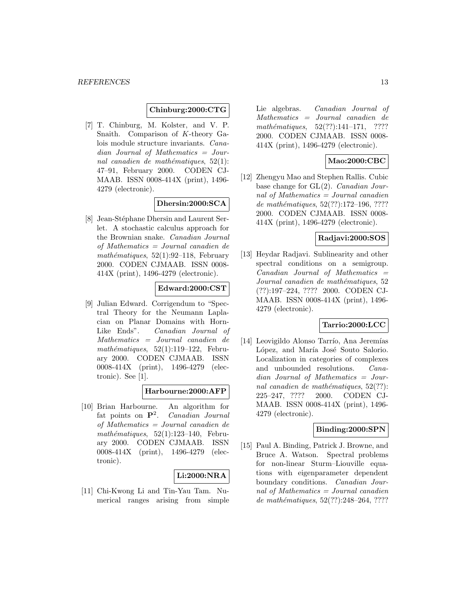## **Chinburg:2000:CTG**

[7] T. Chinburg, M. Kolster, and V. P. Snaith. Comparison of K-theory Galois module structure invariants. Canadian Journal of Mathematics = Journal canadien de mathématiques,  $52(1)$ : 47–91, February 2000. CODEN CJ-MAAB. ISSN 0008-414X (print), 1496- 4279 (electronic).

## **Dhersin:2000:SCA**

[8] Jean-Stéphane Dhersin and Laurent Serlet. A stochastic calculus approach for the Brownian snake. Canadian Journal of Mathematics = Journal canadien de mathématiques,  $52(1):92-118$ , February 2000. CODEN CJMAAB. ISSN 0008- 414X (print), 1496-4279 (electronic).

## **Edward:2000:CST**

[9] Julian Edward. Corrigendum to "Spectral Theory for the Neumann Laplacian on Planar Domains with Horn-Like Ends". Canadian Journal of Mathematics = Journal canadien de mathématiques,  $52(1):119-122$ , February 2000. CODEN CJMAAB. ISSN 0008-414X (print), 1496-4279 (electronic). See [1].

## **Harbourne:2000:AFP**

[10] Brian Harbourne. An algorithm for fat points on **P**<sup>2</sup>. Canadian Journal of Mathematics = Journal canadien de mathématiques,  $52(1):123-140$ , February 2000. CODEN CJMAAB. ISSN 0008-414X (print), 1496-4279 (electronic).

## **Li:2000:NRA**

[11] Chi-Kwong Li and Tin-Yau Tam. Numerical ranges arising from simple Lie algebras. Canadian Journal of Mathematics = Journal canadien de  $mathématiques, 52(??):141–171, ????$ 2000. CODEN CJMAAB. ISSN 0008- 414X (print), 1496-4279 (electronic).

## **Mao:2000:CBC**

[12] Zhengyu Mao and Stephen Rallis. Cubic base change for GL(2). Canadian Journal of Mathematics  $=$  Journal canadien de mathématiques, 52(??):172-196, ???? 2000. CODEN CJMAAB. ISSN 0008- 414X (print), 1496-4279 (electronic).

# **Radjavi:2000:SOS**

[13] Heydar Radjavi. Sublinearity and other spectral conditions on a semigroup.  $Canadian$  Journal of Mathematics  $=$ Journal canadien de mathématiques, 52 (??):197–224, ???? 2000. CODEN CJ-MAAB. ISSN 0008-414X (print), 1496- 4279 (electronic).

#### **Tarrio:2000:LCC**

[14] Leovigildo Alonso Tarrío, Ana Jeremías López, and María José Souto Salorio. Localization in categories of complexes and unbounded resolutions. Canadian Journal of Mathematics = Journal canadien de mathématiques,  $52(??)$ : 225–247, ???? 2000. CODEN CJ-MAAB. ISSN 0008-414X (print), 1496- 4279 (electronic).

#### **Binding:2000:SPN**

[15] Paul A. Binding, Patrick J. Browne, and Bruce A. Watson. Spectral problems for non-linear Sturm–Liouville equations with eigenparameter dependent boundary conditions. Canadian Journal of Mathematics  $=$  Journal canadien de mathématiques,  $52(??):248-264, ????$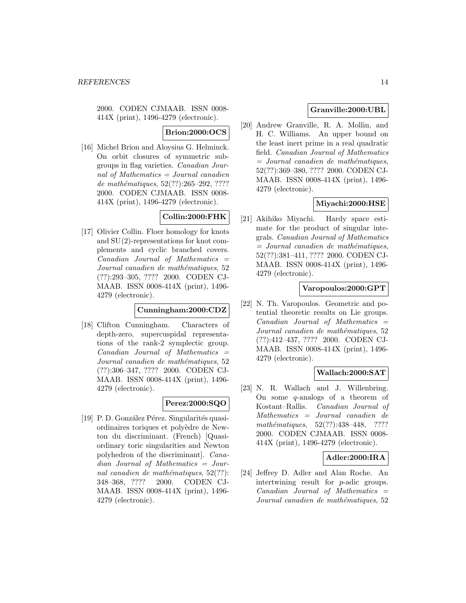2000. CODEN CJMAAB. ISSN 0008- 414X (print), 1496-4279 (electronic).

**Brion:2000:OCS**

[16] Michel Brion and Aloysius G. Helminck. On orbit closures of symmetric subgroups in flag varieties. Canadian Journal of Mathematics = Journal canadien de mathématiques, 52(??):265-292, ???? 2000. CODEN CJMAAB. ISSN 0008- 414X (print), 1496-4279 (electronic).

# **Collin:2000:FHK**

[17] Olivier Collin. Floer homology for knots and SU(2)-representations for knot complements and cyclic branched covers.  $Canadian$  Journal of Mathematics  $=$ Journal canadien de mathématiques, 52 (??):293–305, ???? 2000. CODEN CJ-MAAB. ISSN 0008-414X (print), 1496- 4279 (electronic).

## **Cunningham:2000:CDZ**

[18] Clifton Cunningham. Characters of depth-zero, supercuspidal representations of the rank-2 symplectic group.  $Canadian$  Journal of Mathematics  $=$ Journal canadien de mathématiques, 52 (??):306–347, ???? 2000. CODEN CJ-MAAB. ISSN 0008-414X (print), 1496- 4279 (electronic).

## **Perez:2000:SQO**

[19] P. D. González Pérez. Singularités quasiordinaires toriques et polyèdre de Newton du discriminant. (French) [Quasiordinary toric singularities and Newton polyhedron of the discriminant]. Canadian Journal of Mathematics = Journal canadien de mathématiques,  $52(??)$ : 348–368, ???? 2000. CODEN CJ-MAAB. ISSN 0008-414X (print), 1496- 4279 (electronic).

## **Granville:2000:UBL**

[20] Andrew Granville, R. A. Mollin, and H. C. Williams. An upper bound on the least inert prime in a real quadratic field. Canadian Journal of Mathematics  $=$  Journal canadien de mathématiques, 52(??):369–380, ???? 2000. CODEN CJ-MAAB. ISSN 0008-414X (print), 1496- 4279 (electronic).

# **Miyachi:2000:HSE**

[21] Akihiko Miyachi. Hardy space estimate for the product of singular integrals. Canadian Journal of Mathematics  $=$  Journal canadien de mathématiques, 52(??):381–411, ???? 2000. CODEN CJ-MAAB. ISSN 0008-414X (print), 1496- 4279 (electronic).

## **Varopoulos:2000:GPT**

[22] N. Th. Varopoulos. Geometric and potential theoretic results on Lie groups.  $Canadian$  Journal of Mathematics  $=$ Journal canadien de mathématiques, 52 (??):412–437, ???? 2000. CODEN CJ-MAAB. ISSN 0008-414X (print), 1496- 4279 (electronic).

## **Wallach:2000:SAT**

[23] N. R. Wallach and J. Willenbring. On some  $q$ -analogs of a theorem of Kostant–Rallis. Canadian Journal of Mathematics = Journal canadien de mathématiques, 52(??):438-448, ???? 2000. CODEN CJMAAB. ISSN 0008- 414X (print), 1496-4279 (electronic).

## **Adler:2000:IRA**

[24] Jeffrey D. Adler and Alan Roche. An intertwining result for p-adic groups.  $Canadian$  Journal of Mathematics  $=$ Journal canadien de mathématiques, 52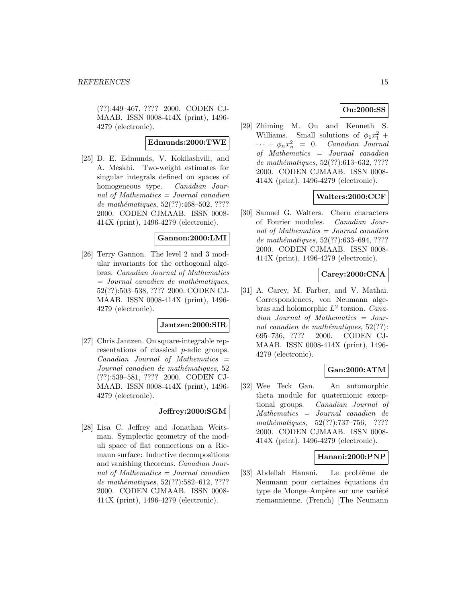(??):449–467, ???? 2000. CODEN CJ-MAAB. ISSN 0008-414X (print), 1496- 4279 (electronic).

#### **Edmunds:2000:TWE**

[25] D. E. Edmunds, V. Kokilashvili, and A. Meskhi. Two-weight estimates for singular integrals defined on spaces of homogeneous type. *Canadian Jour*nal of Mathematics = Journal canadien de mathématiques,  $52(??):468-502, ????$ 2000. CODEN CJMAAB. ISSN 0008- 414X (print), 1496-4279 (electronic).

## **Gannon:2000:LMI**

[26] Terry Gannon. The level 2 and 3 modular invariants for the orthogonal algebras. Canadian Journal of Mathematics  $=$  Journal canadien de mathématiques, 52(??):503–538, ???? 2000. CODEN CJ-MAAB. ISSN 0008-414X (print), 1496- 4279 (electronic).

#### **Jantzen:2000:SIR**

[27] Chris Jantzen. On square-integrable representations of classical p-adic groups.  $Canadian$  Journal of Mathematics  $=$ Journal canadien de mathématiques, 52 (??):539–581, ???? 2000. CODEN CJ-MAAB. ISSN 0008-414X (print), 1496- 4279 (electronic).

## **Jeffrey:2000:SGM**

[28] Lisa C. Jeffrey and Jonathan Weitsman. Symplectic geometry of the moduli space of flat connections on a Riemann surface: Inductive decompositions and vanishing theorems. Canadian Journal of Mathematics = Journal canadien de mathématiques, 52(??):582–612, ???? 2000. CODEN CJMAAB. ISSN 0008- 414X (print), 1496-4279 (electronic).

# **Ou:2000:SS**

[29] Zhiming M. Ou and Kenneth S. Williams. Small solutions of  $\phi_1 x_1^2 +$  $\cdots + \phi_n x_n^2 = 0.$  Canadian Journal of Mathematics = Journal canadien de mathématiques,  $52(??):613-632, ????$ 2000. CODEN CJMAAB. ISSN 0008- 414X (print), 1496-4279 (electronic).

## **Walters:2000:CCF**

[30] Samuel G. Walters. Chern characters of Fourier modules. Canadian Journal of Mathematics = Journal canadien de mathématiques, 52(??):633–694, ???? 2000. CODEN CJMAAB. ISSN 0008- 414X (print), 1496-4279 (electronic).

## **Carey:2000:CNA**

[31] A. Carey, M. Farber, and V. Mathai. Correspondences, von Neumann algebras and holomorphic  $L^2$  torsion. Canadian Journal of Mathematics = Journal canadien de mathématiques,  $52(??)$ : 695–736, ???? 2000. CODEN CJ-MAAB. ISSN 0008-414X (print), 1496- 4279 (electronic).

## **Gan:2000:ATM**

[32] Wee Teck Gan. An automorphic theta module for quaternionic exceptional groups. Canadian Journal of Mathematics = Journal canadien de  $mathématiques, 52(??): 737–756, ????$ 2000. CODEN CJMAAB. ISSN 0008- 414X (print), 1496-4279 (electronic).

## **Hanani:2000:PNP**

[33] Abdellah Hanani. Le problème de Neumann pour certaines équations du type de Monge–Ampère sur une variété riemannienne. (French) [The Neumann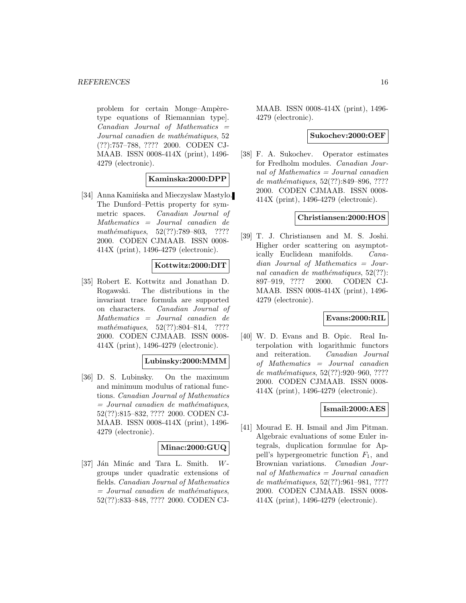problem for certain Monge–Ampèretype equations of Riemannian type].  $Canadian$  Journal of Mathematics  $=$ Journal canadien de mathématiques, 52 (??):757–788, ???? 2000. CODEN CJ-MAAB. ISSN 0008-414X (print), 1496- 4279 (electronic).

## **Kaminska:2000:DPP**

[34] Anna Kaminska and Mieczyslaw Mastylo. The Dunford–Pettis property for symmetric spaces. Canadian Journal of Mathematics = Journal canadien de mathématiques,  $52(??):789-803$ , ???? 2000. CODEN CJMAAB. ISSN 0008- 414X (print), 1496-4279 (electronic).

#### **Kottwitz:2000:DIT**

[35] Robert E. Kottwitz and Jonathan D. Rogawski. The distributions in the invariant trace formula are supported on characters. Canadian Journal of Mathematics = Journal canadien de mathématiques,  $52(??):804-814$ , ???? 2000. CODEN CJMAAB. ISSN 0008- 414X (print), 1496-4279 (electronic).

#### **Lubinsky:2000:MMM**

[36] D. S. Lubinsky. On the maximum and minimum modulus of rational functions. Canadian Journal of Mathematics  $=$  Journal canadien de mathématiques, 52(??):815–832, ???? 2000. CODEN CJ-MAAB. ISSN 0008-414X (print), 1496- 4279 (electronic).

## **Minac:2000:GUQ**

[37] Ján Minác and Tara L. Smith.  $W$ groups under quadratic extensions of fields. Canadian Journal of Mathematics  $=$  Journal canadien de mathématiques, 52(??):833–848, ???? 2000. CODEN CJ-

MAAB. ISSN 0008-414X (print), 1496- 4279 (electronic).

#### **Sukochev:2000:OEF**

[38] F. A. Sukochev. Operator estimates for Fredholm modules. Canadian Journal of Mathematics = Journal canadien de mathématiques, 52(??):849–896, ???? 2000. CODEN CJMAAB. ISSN 0008- 414X (print), 1496-4279 (electronic).

## **Christiansen:2000:HOS**

[39] T. J. Christiansen and M. S. Joshi. Higher order scattering on asymptotically Euclidean manifolds. Canadian Journal of Mathematics = Journal canadien de mathématiques,  $52(??)$ : 897–919, ???? 2000. CODEN CJ-MAAB. ISSN 0008-414X (print), 1496- 4279 (electronic).

# **Evans:2000:RIL**

[40] W. D. Evans and B. Opic. Real Interpolation with logarithmic functors and reiteration. Canadian Journal of Mathematics = Journal canadien de mathématiques, 52(??):920-960, ???? 2000. CODEN CJMAAB. ISSN 0008- 414X (print), 1496-4279 (electronic).

## **Ismail:2000:AES**

[41] Mourad E. H. Ismail and Jim Pitman. Algebraic evaluations of some Euler integrals, duplication formulae for Appell's hypergeometric function  $F_1$ , and Brownian variations. Canadian Journal of Mathematics  $=$  Journal canadien de mathématiques, 52(??):961-981, ???? 2000. CODEN CJMAAB. ISSN 0008- 414X (print), 1496-4279 (electronic).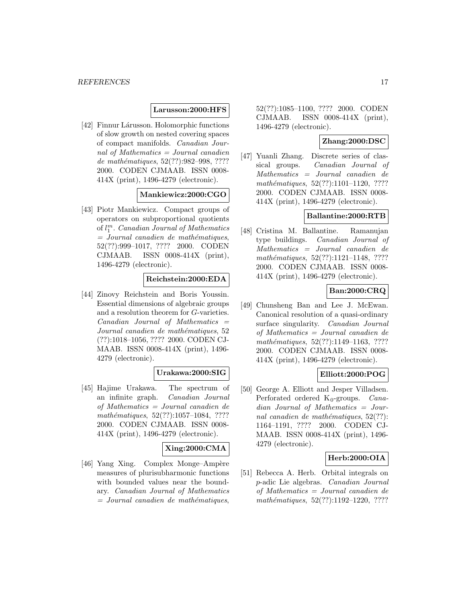#### **Larusson:2000:HFS**

[42] Finnur Lárusson. Holomorphic functions of slow growth on nested covering spaces of compact manifolds. Canadian Journal of Mathematics = Journal canadien de mathématiques, 52(??):982-998, ???? 2000. CODEN CJMAAB. ISSN 0008- 414X (print), 1496-4279 (electronic).

# **Mankiewicz:2000:CGO**

[43] Piotr Mankiewicz. Compact groups of operators on subproportional quotients of  $l_1^m$ . Canadian Journal of Mathematics  $=$  Journal canadien de mathématiques, 52(??):999–1017, ???? 2000. CODEN CJMAAB. ISSN 0008-414X (print), 1496-4279 (electronic).

#### **Reichstein:2000:EDA**

[44] Zinovy Reichstein and Boris Youssin. Essential dimensions of algebraic groups and a resolution theorem for G-varieties. Canadian Journal of Mathematics = Journal canadien de mathématiques, 52 (??):1018–1056, ???? 2000. CODEN CJ-MAAB. ISSN 0008-414X (print), 1496- 4279 (electronic).

## **Urakawa:2000:SIG**

[45] Hajime Urakawa. The spectrum of an infinite graph. Canadian Journal of Mathematics = Journal canadien de mathématiques,  $52(??):1057-1084$ , ???? 2000. CODEN CJMAAB. ISSN 0008- 414X (print), 1496-4279 (electronic).

# **Xing:2000:CMA**

[46] Yang Xing. Complex Monge–Ampère measures of plurisubharmonic functions with bounded values near the boundary. Canadian Journal of Mathematics  $=$  Journal canadien de mathématiques,

52(??):1085–1100, ???? 2000. CODEN CJMAAB. ISSN 0008-414X (print), 1496-4279 (electronic).

# **Zhang:2000:DSC**

[47] Yuanli Zhang. Discrete series of classical groups. Canadian Journal of Mathematics = Journal canadien de  $mathématiques, 52(??):1101–1120, ????$ 2000. CODEN CJMAAB. ISSN 0008- 414X (print), 1496-4279 (electronic).

#### **Ballantine:2000:RTB**

[48] Cristina M. Ballantine. Ramanujan type buildings. Canadian Journal of Mathematics = Journal canadien de mathématiques, 52(??):1121-1148, ???? 2000. CODEN CJMAAB. ISSN 0008- 414X (print), 1496-4279 (electronic).

# **Ban:2000:CRQ**

[49] Chunsheng Ban and Lee J. McEwan. Canonical resolution of a quasi-ordinary surface singularity. Canadian Journal of Mathematics = Journal canadien de mathématiques, 52(??):1149-1163, ???? 2000. CODEN CJMAAB. ISSN 0008- 414X (print), 1496-4279 (electronic).

## **Elliott:2000:POG**

[50] George A. Elliott and Jesper Villadsen. Perforated ordered  $K_0$ -groups. *Cana*dian Journal of Mathematics = Journal canadien de mathématiques,  $52(??)$ : 1164–1191, ???? 2000. CODEN CJ-MAAB. ISSN 0008-414X (print), 1496- 4279 (electronic).

## **Herb:2000:OIA**

[51] Rebecca A. Herb. Orbital integrals on p-adic Lie algebras. Canadian Journal of Mathematics = Journal canadien de mathématiques, 52(??):1192-1220, ????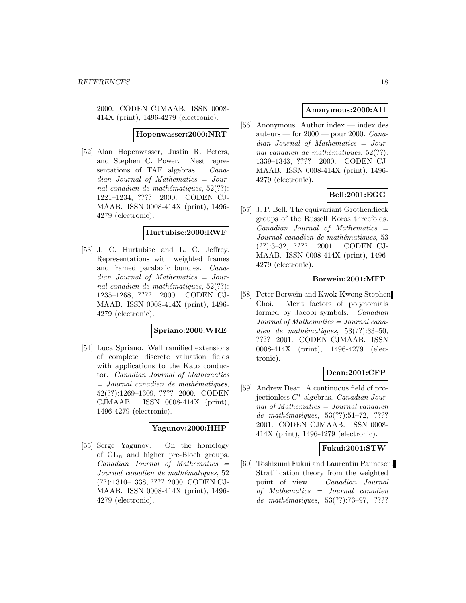2000. CODEN CJMAAB. ISSN 0008- 414X (print), 1496-4279 (electronic).

**Hopenwasser:2000:NRT**

[52] Alan Hopenwasser, Justin R. Peters, and Stephen C. Power. Nest representations of TAF algebras. Canadian Journal of Mathematics = Journal canadien de mathématiques,  $52(??)$ : 1221–1234, ???? 2000. CODEN CJ-MAAB. ISSN 0008-414X (print), 1496- 4279 (electronic).

## **Hurtubise:2000:RWF**

[53] J. C. Hurtubise and L. C. Jeffrey. Representations with weighted frames and framed parabolic bundles. Canadian Journal of Mathematics = Journal canadien de mathématiques,  $52(??)$ : 1235–1268, ???? 2000. CODEN CJ-MAAB. ISSN 0008-414X (print), 1496- 4279 (electronic).

## **Spriano:2000:WRE**

[54] Luca Spriano. Well ramified extensions of complete discrete valuation fields with applications to the Kato conductor. Canadian Journal of Mathematics  $=$  Journal canadien de mathématiques, 52(??):1269–1309, ???? 2000. CODEN CJMAAB. ISSN 0008-414X (print), 1496-4279 (electronic).

#### **Yagunov:2000:HHP**

[55] Serge Yagunov. On the homology of  $GL_n$  and higher pre-Bloch groups.  $Canadian$  Journal of Mathematics  $=$ Journal canadien de mathématiques, 52 (??):1310–1338, ???? 2000. CODEN CJ-MAAB. ISSN 0008-414X (print), 1496- 4279 (electronic).

## **Anonymous:2000:AII**

[56] Anonymous. Author index — index des auteurs — for  $2000$  — pour 2000. Canadian Journal of Mathematics = Journal canadien de mathématiques,  $52(??)$ : 1339–1343, ???? 2000. CODEN CJ-MAAB. ISSN 0008-414X (print), 1496- 4279 (electronic).

# **Bell:2001:EGG**

[57] J. P. Bell. The equivariant Grothendieck groups of the Russell–Koras threefolds.  $Canadian$  Journal of Mathematics  $=$ Journal canadien de mathématiques, 53 (??):3–32, ???? 2001. CODEN CJ-MAAB. ISSN 0008-414X (print), 1496- 4279 (electronic).

#### **Borwein:2001:MFP**

[58] Peter Borwein and Kwok-Kwong Stephen Choi. Merit factors of polynomials formed by Jacobi symbols. Canadian Journal of Mathematics = Journal canadien de mathématiques,  $53(??):33-50$ , ???? 2001. CODEN CJMAAB. ISSN 0008-414X (print), 1496-4279 (electronic).

## **Dean:2001:CFP**

[59] Andrew Dean. A continuous field of projectionless C∗-algebras. Canadian Journal of Mathematics = Journal canadien de mathématiques,  $53(??):51–72$ , ???? 2001. CODEN CJMAAB. ISSN 0008- 414X (print), 1496-4279 (electronic).

#### **Fukui:2001:STW**

[60] Toshizumi Fukui and Laurentiu Paunescu. Stratification theory from the weighted point of view. Canadian Journal of Mathematics = Journal canadien de mathématiques,  $53(??):73-97, ????$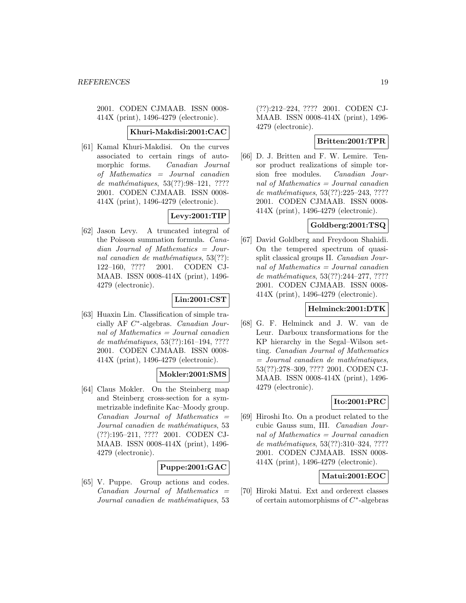2001. CODEN CJMAAB. ISSN 0008- 414X (print), 1496-4279 (electronic).

#### **Khuri-Makdisi:2001:CAC**

[61] Kamal Khuri-Makdisi. On the curves associated to certain rings of automorphic forms. Canadian Journal of Mathematics = Journal canadien de mathématiques, 53(??):98-121, ???? 2001. CODEN CJMAAB. ISSN 0008- 414X (print), 1496-4279 (electronic).

# **Levy:2001:TIP**

[62] Jason Levy. A truncated integral of the Poisson summation formula. Canadian Journal of Mathematics = Journal canadien de mathématiques,  $53(??)$ : 122–160, ???? 2001. CODEN CJ-MAAB. ISSN 0008-414X (print), 1496- 4279 (electronic).

# **Lin:2001:CST**

[63] Huaxin Lin. Classification of simple tracially AF C∗-algebras. Canadian Journal of Mathematics = Journal canadien de mathématiques,  $53(??):161-194, ????$ 2001. CODEN CJMAAB. ISSN 0008- 414X (print), 1496-4279 (electronic).

## **Mokler:2001:SMS**

[64] Claus Mokler. On the Steinberg map and Steinberg cross-section for a symmetrizable indefinite Kac–Moody group.  $Canadian$  Journal of Mathematics  $=$ Journal canadien de mathématiques, 53 (??):195–211, ???? 2001. CODEN CJ-MAAB. ISSN 0008-414X (print), 1496- 4279 (electronic).

## **Puppe:2001:GAC**

[65] V. Puppe. Group actions and codes.  $Canadian$  Journal of Mathematics  $=$ Journal canadien de mathématiques, 53

(??):212–224, ???? 2001. CODEN CJ-MAAB. ISSN 0008-414X (print), 1496- 4279 (electronic).

# **Britten:2001:TPR**

[66] D. J. Britten and F. W. Lemire. Tensor product realizations of simple torsion free modules. Canadian Journal of Mathematics  $=$  Journal canadien de mathématiques, 53(??):225–243, ???? 2001. CODEN CJMAAB. ISSN 0008- 414X (print), 1496-4279 (electronic).

## **Goldberg:2001:TSQ**

[67] David Goldberg and Freydoon Shahidi. On the tempered spectrum of quasisplit classical groups II. Canadian Journal of Mathematics = Journal canadien de mathématiques, 53(??):244-277, ????? 2001. CODEN CJMAAB. ISSN 0008- 414X (print), 1496-4279 (electronic).

## **Helminck:2001:DTK**

[68] G. F. Helminck and J. W. van de Leur. Darboux transformations for the KP hierarchy in the Segal–Wilson setting. Canadian Journal of Mathematics  $=$  Journal canadien de mathématiques, 53(??):278–309, ???? 2001. CODEN CJ-MAAB. ISSN 0008-414X (print), 1496- 4279 (electronic).

# **Ito:2001:PRC**

[69] Hiroshi Ito. On a product related to the cubic Gauss sum, III. Canadian Journal of Mathematics = Journal canadien de mathématiques, 53(??):310-324, ???? 2001. CODEN CJMAAB. ISSN 0008- 414X (print), 1496-4279 (electronic).

#### **Matui:2001:EOC**

[70] Hiroki Matui. Ext and orderext classes of certain automorphisms of C∗-algebras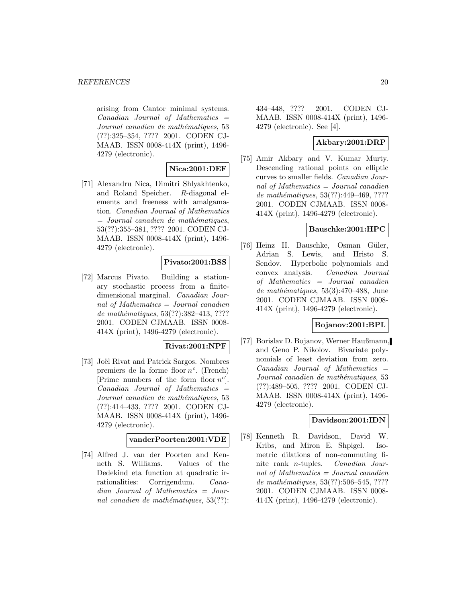arising from Cantor minimal systems.  $Canadian$  Journal of Mathematics  $=$ Journal canadien de mathématiques, 53 (??):325–354, ???? 2001. CODEN CJ-MAAB. ISSN 0008-414X (print), 1496- 4279 (electronic).

# **Nica:2001:DEF**

[71] Alexandru Nica, Dimitri Shlyakhtenko, and Roland Speicher. R-diagonal elements and freeness with amalgamation. Canadian Journal of Mathematics  $=$  Journal canadien de mathématiques, 53(??):355–381, ???? 2001. CODEN CJ-MAAB. ISSN 0008-414X (print), 1496- 4279 (electronic).

# **Pivato:2001:BSS**

[72] Marcus Pivato. Building a stationary stochastic process from a finitedimensional marginal. Canadian Journal of Mathematics = Journal canadien de mathématiques, 53(??):382-413, ???? 2001. CODEN CJMAAB. ISSN 0008- 414X (print), 1496-4279 (electronic).

## **Rivat:2001:NPF**

[73] Joël Rivat and Patrick Sargos. Nombres premiers de la forme floor  $n^c$ . (French) [Prime numbers of the form floor  $n^c$ ].  $Canadian$  Journal of Mathematics  $=$ Journal canadien de mathématiques, 53 (??):414–433, ???? 2001. CODEN CJ-MAAB. ISSN 0008-414X (print), 1496- 4279 (electronic).

## **vanderPoorten:2001:VDE**

[74] Alfred J. van der Poorten and Kenneth S. Williams. Values of the Dedekind eta function at quadratic irrationalities: Corrigendum. Canadian Journal of Mathematics = Journal canadien de mathématiques,  $53(??)$ :

434–448, ???? 2001. CODEN CJ-MAAB. ISSN 0008-414X (print), 1496- 4279 (electronic). See [4].

# **Akbary:2001:DRP**

[75] Amir Akbary and V. Kumar Murty. Descending rational points on elliptic curves to smaller fields. Canadian Journal of Mathematics = Journal canadien de mathématiques, 53(??):449-469, ???? 2001. CODEN CJMAAB. ISSN 0008- 414X (print), 1496-4279 (electronic).

## **Bauschke:2001:HPC**

[76] Heinz H. Bauschke, Osman Güler, Adrian S. Lewis, and Hristo S. Sendov. Hyperbolic polynomials and convex analysis. Canadian Journal of Mathematics = Journal canadien de mathématiques, 53(3):470–488, June 2001. CODEN CJMAAB. ISSN 0008- 414X (print), 1496-4279 (electronic).

## **Bojanov:2001:BPL**

[77] Borislav D. Bojanov, Werner Haußmann, and Geno P. Nikolov. Bivariate polynomials of least deviation from zero.  $Canadian$  Journal of Mathematics  $=$ Journal canadien de mathématiques, 53 (??):489–505, ???? 2001. CODEN CJ-MAAB. ISSN 0008-414X (print), 1496- 4279 (electronic).

## **Davidson:2001:IDN**

[78] Kenneth R. Davidson, David W. Kribs, and Miron E. Shpigel. Isometric dilations of non-commuting finite rank n-tuples. Canadian Journal of Mathematics  $=$  Journal canadien de mathématiques, 53(??):506–545, ???? 2001. CODEN CJMAAB. ISSN 0008- 414X (print), 1496-4279 (electronic).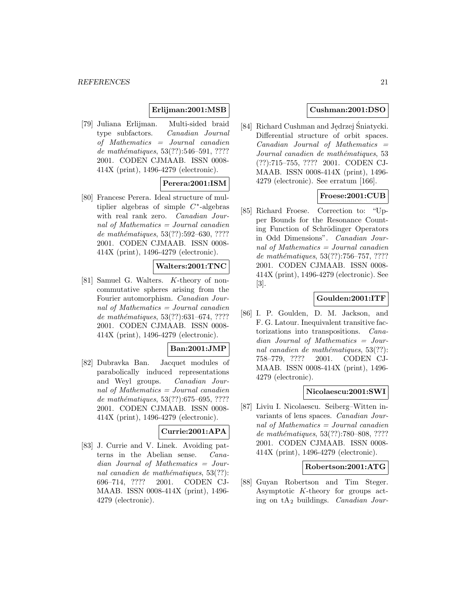# **Erlijman:2001:MSB**

[79] Juliana Erlijman. Multi-sided braid type subfactors. Canadian Journal of Mathematics = Journal canadien de mathématiques, 53(??):546–591, ???? 2001. CODEN CJMAAB. ISSN 0008- 414X (print), 1496-4279 (electronic).

# **Perera:2001:ISM**

[80] Francesc Perera. Ideal structure of multiplier algebras of simple  $C^*$ -algebras with real rank zero. Canadian Journal of Mathematics = Journal canadien de mathématiques, 53(??):592–630, ???? 2001. CODEN CJMAAB. ISSN 0008- 414X (print), 1496-4279 (electronic).

# **Walters:2001:TNC**

[81] Samuel G. Walters. K-theory of noncommutative spheres arising from the Fourier automorphism. Canadian Journal of Mathematics = Journal canadien de mathématiques,  $53(??):631-674, ????$ 2001. CODEN CJMAAB. ISSN 0008- 414X (print), 1496-4279 (electronic).

# **Ban:2001:JMP**

[82] Dubravka Ban. Jacquet modules of parabolically induced representations and Weyl groups. Canadian Journal of Mathematics = Journal canadien de mathématiques,  $53(??)$ :675–695, ???? 2001. CODEN CJMAAB. ISSN 0008- 414X (print), 1496-4279 (electronic).

## **Currie:2001:APA**

[83] J. Currie and V. Linek. Avoiding patterns in the Abelian sense. Canadian Journal of Mathematics = Journal canadien de mathématiques,  $53(??)$ : 696–714, ???? 2001. CODEN CJ-MAAB. ISSN 0008-414X (print), 1496- 4279 (electronic).

## **Cushman:2001:DSO**

[84] Richard Cushman and Jędrzej Śniatycki.<br>Differential structure of orbit spaces. Differential structure of orbit spaces.  $Canadian$  Journal of Mathematics  $=$ Journal canadien de mathématiques, 53 (??):715–755, ???? 2001. CODEN CJ-MAAB. ISSN 0008-414X (print), 1496- 4279 (electronic). See erratum [166].

## **Froese:2001:CUB**

[85] Richard Froese. Correction to: "Upper Bounds for the Resonance Counting Function of Schrödinger Operators in Odd Dimensions". Canadian Journal of Mathematics = Journal canadien de mathématiques, 53(??):756–757, ???? 2001. CODEN CJMAAB. ISSN 0008- 414X (print), 1496-4279 (electronic). See [3].

## **Goulden:2001:ITF**

[86] I. P. Goulden, D. M. Jackson, and F. G. Latour. Inequivalent transitive factorizations into transpositions. Canadian Journal of Mathematics = Journal canadien de mathématiques,  $53(??)$ : 758–779, ???? 2001. CODEN CJ-MAAB. ISSN 0008-414X (print), 1496- 4279 (electronic).

#### **Nicolaescu:2001:SWI**

[87] Liviu I. Nicolaescu. Seiberg–Witten invariants of lens spaces. Canadian Journal of Mathematics = Journal canadien de mathématiques, 53(??):780–808, ???? 2001. CODEN CJMAAB. ISSN 0008- 414X (print), 1496-4279 (electronic).

## **Robertson:2001:ATG**

[88] Guyan Robertson and Tim Steger. Asymptotic K-theory for groups acting on  $tA_2$  buildings. Canadian Jour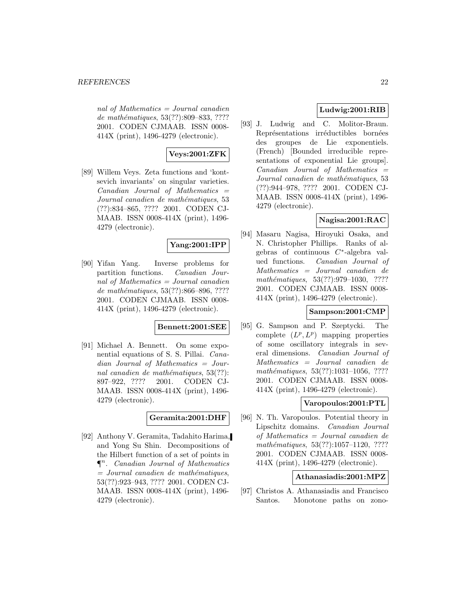nal of Mathematics  $=$  Journal canadien de mathématiques, 53(??):809–833, ???? 2001. CODEN CJMAAB. ISSN 0008- 414X (print), 1496-4279 (electronic).

# **Veys:2001:ZFK**

[89] Willem Veys. Zeta functions and 'kontsevich invariants' on singular varieties.  $Canadian$  Journal of Mathematics  $=$ Journal canadien de mathématiques, 53 (??):834–865, ???? 2001. CODEN CJ-MAAB. ISSN 0008-414X (print), 1496- 4279 (electronic).

# **Yang:2001:IPP**

[90] Yifan Yang. Inverse problems for partition functions. Canadian Journal of Mathematics = Journal canadien de mathématiques, 53(??):866–896, ???? 2001. CODEN CJMAAB. ISSN 0008- 414X (print), 1496-4279 (electronic).

#### **Bennett:2001:SEE**

[91] Michael A. Bennett. On some exponential equations of S. S. Pillai. Canadian Journal of Mathematics = Journal canadien de mathématiques,  $53(??)$ : 897–922, ???? 2001. CODEN CJ-MAAB. ISSN 0008-414X (print), 1496- 4279 (electronic).

#### **Geramita:2001:DHF**

[92] Anthony V. Geramita, Tadahito Harima, and Yong Su Shin. Decompositions of the Hilbert function of a set of points in  $\P^n$ . Canadian Journal of Mathematics  $=$  Journal canadien de mathématiques, 53(??):923–943, ???? 2001. CODEN CJ-MAAB. ISSN 0008-414X (print), 1496- 4279 (electronic).

# **Ludwig:2001:RIB**

[93] J. Ludwig and C. Molitor-Braun. Représentations irréductibles bornées des groupes de Lie exponentiels. (French) [Bounded irreducible representations of exponential Lie groups].  $Canadian$  Journal of Mathematics  $=$ Journal canadien de mathématiques, 53 (??):944–978, ???? 2001. CODEN CJ-MAAB. ISSN 0008-414X (print), 1496- 4279 (electronic).

## **Nagisa:2001:RAC**

[94] Masaru Nagisa, Hiroyuki Osaka, and N. Christopher Phillips. Ranks of algebras of continuous  $C^*$ -algebra valued functions. Canadian Journal of Mathematics = Journal canadien de mathématiques, 53(??):979–1030, ???? 2001. CODEN CJMAAB. ISSN 0008- 414X (print), 1496-4279 (electronic).

## **Sampson:2001:CMP**

[95] G. Sampson and P. Szeptycki. The complete  $(L^p, L^p)$  mapping properties of some oscillatory integrals in several dimensions. Canadian Journal of Mathematics = Journal canadien de  $mathématiques, 53(??):1031–1056, ????$ 2001. CODEN CJMAAB. ISSN 0008- 414X (print), 1496-4279 (electronic).

# **Varopoulos:2001:PTL**

[96] N. Th. Varopoulos. Potential theory in Lipschitz domains. Canadian Journal of Mathematics = Journal canadien de mathématiques, 53(??):1057-1120, ???? 2001. CODEN CJMAAB. ISSN 0008- 414X (print), 1496-4279 (electronic).

## **Athanasiadis:2001:MPZ**

[97] Christos A. Athanasiadis and Francisco Santos. Monotone paths on zono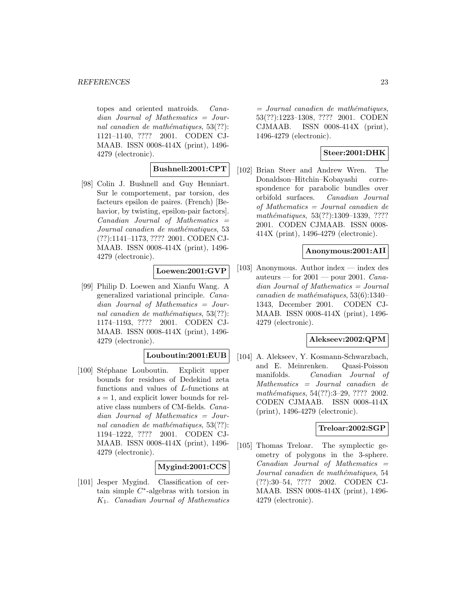topes and oriented matroids. Canadian Journal of Mathematics = Journal canadien de mathématiques,  $53(??)$ : 1121–1140, ???? 2001. CODEN CJ-MAAB. ISSN 0008-414X (print), 1496- 4279 (electronic).

## **Bushnell:2001:CPT**

[98] Colin J. Bushnell and Guy Henniart. Sur le comportement, par torsion, des facteurs epsilon de paires. (French) [Behavior, by twisting, epsilon-pair factors].  $Canadian$  Journal of Mathematics  $=$ Journal canadien de mathématiques, 53 (??):1141–1173, ???? 2001. CODEN CJ-MAAB. ISSN 0008-414X (print), 1496- 4279 (electronic).

#### **Loewen:2001:GVP**

[99] Philip D. Loewen and Xianfu Wang. A generalized variational principle. Canadian Journal of Mathematics = Journal canadien de mathématiques,  $53(??)$ : 1174–1193, ???? 2001. CODEN CJ-MAAB. ISSN 0008-414X (print), 1496- 4279 (electronic).

# **Louboutin:2001:EUB**

[100] Stéphane Louboutin. Explicit upper bounds for residues of Dedekind zeta functions and values of L-functions at  $s = 1$ , and explicit lower bounds for relative class numbers of CM-fields. Canadian Journal of Mathematics = Journal canadien de mathématiques,  $53(??)$ : 1194–1222, ???? 2001. CODEN CJ-MAAB. ISSN 0008-414X (print), 1496- 4279 (electronic).

# **Mygind:2001:CCS**

[101] Jesper Mygind. Classification of certain simple C∗-algebras with torsion in  $K_1$ . Canadian Journal of Mathematics  $=$  Journal canadien de mathématiques, 53(??):1223–1308, ???? 2001. CODEN CJMAAB. ISSN 0008-414X (print), 1496-4279 (electronic).

# **Steer:2001:DHK**

[102] Brian Steer and Andrew Wren. The Donaldson–Hitchin–Kobayashi correspondence for parabolic bundles over orbifold surfaces. Canadian Journal of Mathematics = Journal canadien de mathématiques, 53(??):1309-1339, ???? 2001. CODEN CJMAAB. ISSN 0008- 414X (print), 1496-4279 (electronic).

#### **Anonymous:2001:AII**

[103] Anonymous. Author index — index des auteurs — for  $2001$  — pour 2001. Canadian Journal of Mathematics = Journal canadien de mathématiques,  $53(6):1340-$ 1343, December 2001. CODEN CJ-MAAB. ISSN 0008-414X (print), 1496- 4279 (electronic).

# **Alekseev:2002:QPM**

[104] A. Alekseev, Y. Kosmann-Schwarzbach, and E. Meinrenken. Quasi-Poisson manifolds. Canadian Journal of Mathematics = Journal canadien de mathématiques, 54(??):3-29, ???? 2002. CODEN CJMAAB. ISSN 0008-414X (print), 1496-4279 (electronic).

## **Treloar:2002:SGP**

[105] Thomas Treloar. The symplectic geometry of polygons in the 3-sphere.  $Canadian$  Journal of Mathematics  $=$ Journal canadien de mathématiques, 54 (??):30–54, ???? 2002. CODEN CJ-MAAB. ISSN 0008-414X (print), 1496- 4279 (electronic).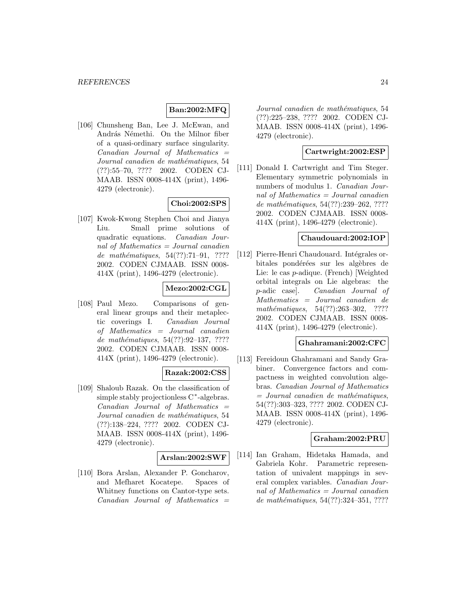# **Ban:2002:MFQ**

[106] Chunsheng Ban, Lee J. McEwan, and András Némethi. On the Milnor fiber of a quasi-ordinary surface singularity.  $Canadian$  Journal of Mathematics  $=$ Journal canadien de mathématiques, 54 (??):55–70, ???? 2002. CODEN CJ-MAAB. ISSN 0008-414X (print), 1496- 4279 (electronic).

## **Choi:2002:SPS**

[107] Kwok-Kwong Stephen Choi and Jianya Liu. Small prime solutions of quadratic equations. Canadian Journal of Mathematics = Journal canadien de mathématiques,  $54(??):71-91, ????$ 2002. CODEN CJMAAB. ISSN 0008- 414X (print), 1496-4279 (electronic).

## **Mezo:2002:CGL**

[108] Paul Mezo. Comparisons of general linear groups and their metaplectic coverings I. Canadian Journal of Mathematics = Journal canadien de mathématiques,  $54(??):92-137, ????$ 2002. CODEN CJMAAB. ISSN 0008- 414X (print), 1496-4279 (electronic).

## **Razak:2002:CSS**

[109] Shaloub Razak. On the classification of simple stably projectionless C∗-algebras.  $Canadian$  Journal of Mathematics  $=$ Journal canadien de mathématiques, 54 (??):138–224, ???? 2002. CODEN CJ-MAAB. ISSN 0008-414X (print), 1496- 4279 (electronic).

#### **Arslan:2002:SWF**

[110] Bora Arslan, Alexander P. Goncharov, and Mefharet Kocatepe. Spaces of Whitney functions on Cantor-type sets.  $Canadian$  Journal of Mathematics  $=$ 

Journal canadien de mathématiques, 54 (??):225–238, ???? 2002. CODEN CJ-MAAB. ISSN 0008-414X (print), 1496- 4279 (electronic).

## **Cartwright:2002:ESP**

[111] Donald I. Cartwright and Tim Steger. Elementary symmetric polynomials in numbers of modulus 1. Canadian Journal of Mathematics  $=$  Journal canadien de mathématiques, 54(??):239-262, ???? 2002. CODEN CJMAAB. ISSN 0008- 414X (print), 1496-4279 (electronic).

#### **Chaudouard:2002:IOP**

[112] Pierre-Henri Chaudouard. Intégrales orbitales pondérées sur les algèbres de Lie: le cas p-adique. (French) [Weighted orbital integrals on Lie algebras: the p-adic case]. Canadian Journal of Mathematics = Journal canadien de mathématiques,  $54(??):263-302$ , ???? 2002. CODEN CJMAAB. ISSN 0008- 414X (print), 1496-4279 (electronic).

## **Ghahramani:2002:CFC**

[113] Fereidoun Ghahramani and Sandy Grabiner. Convergence factors and compactness in weighted convolution algebras. Canadian Journal of Mathematics  $=$  Journal canadien de mathématiques, 54(??):303–323, ???? 2002. CODEN CJ-MAAB. ISSN 0008-414X (print), 1496- 4279 (electronic).

## **Graham:2002:PRU**

[114] Ian Graham, Hidetaka Hamada, and Gabriela Kohr. Parametric representation of univalent mappings in several complex variables. Canadian Journal of Mathematics  $=$  Journal canadien de mathématiques,  $54(??):324-351, ????$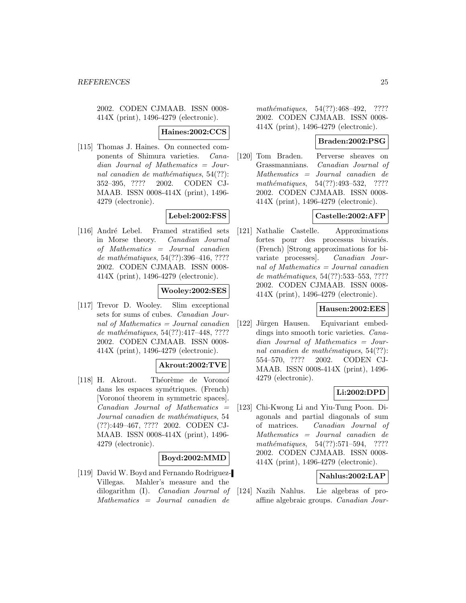2002. CODEN CJMAAB. ISSN 0008- 414X (print), 1496-4279 (electronic).

**Haines:2002:CCS**

[115] Thomas J. Haines. On connected components of Shimura varieties. Canadian Journal of Mathematics = Journal canadien de mathématiques,  $54(??)$ : 352–395, ???? 2002. CODEN CJ-MAAB. ISSN 0008-414X (print), 1496- 4279 (electronic).

# **Lebel:2002:FSS**

[116] André Lebel. Framed stratified sets in Morse theory. Canadian Journal of Mathematics = Journal canadien de mathématiques, 54(??):396-416, ???? 2002. CODEN CJMAAB. ISSN 0008- 414X (print), 1496-4279 (electronic).

# **Wooley:2002:SES**

[117] Trevor D. Wooley. Slim exceptional sets for sums of cubes. Canadian Journal of Mathematics = Journal canadien de mathématiques,  $54(??):417-448$ , ???? 2002. CODEN CJMAAB. ISSN 0008- 414X (print), 1496-4279 (electronic).

# **Akrout:2002:TVE**

[118] H. Akrout. Théorème de Voronoí dans les espaces symétriques. (French) [Voronoí theorem in symmetric spaces].  $Canadian$  Journal of Mathematics  $=$ Journal canadien de mathématiques, 54 (??):449–467, ???? 2002. CODEN CJ-MAAB. ISSN 0008-414X (print), 1496- 4279 (electronic).

#### **Boyd:2002:MMD**

[119] David W. Boyd and Fernando Rodriguez-Villegas. Mahler's measure and the dilogarithm (I). Canadian Journal of Mathematics = Journal canadien de

mathématiques, 54(??):468-492, ???? 2002. CODEN CJMAAB. ISSN 0008- 414X (print), 1496-4279 (electronic).

## **Braden:2002:PSG**

[120] Tom Braden. Perverse sheaves on Grassmannians. Canadian Journal of Mathematics = Journal canadien de mathématiques, 54(??):493-532, ???? 2002. CODEN CJMAAB. ISSN 0008- 414X (print), 1496-4279 (electronic).

# **Castelle:2002:AFP**

[121] Nathalie Castelle. Approximations fortes pour des processus bivariés. (French) [Strong approximations for bivariate processes]. Canadian Journal of Mathematics = Journal canadien de mathématiques, 54(??):533-553, ???? 2002. CODEN CJMAAB. ISSN 0008- 414X (print), 1496-4279 (electronic).

## **Hausen:2002:EES**

[122] Jürgen Hausen. Equivariant embeddings into smooth toric varieties. Canadian Journal of Mathematics = Journal canadien de mathématiques,  $54(??)$ : 554–570, ???? 2002. CODEN CJ-MAAB. ISSN 0008-414X (print), 1496- 4279 (electronic).

## **Li:2002:DPD**

[123] Chi-Kwong Li and Yiu-Tung Poon. Diagonals and partial diagonals of sum of matrices. Canadian Journal of Mathematics = Journal canadien de mathématiques,  $54(??):571-594$ , ???? 2002. CODEN CJMAAB. ISSN 0008- 414X (print), 1496-4279 (electronic).

# **Nahlus:2002:LAP**

[124] Nazih Nahlus. Lie algebras of proaffine algebraic groups. Canadian Jour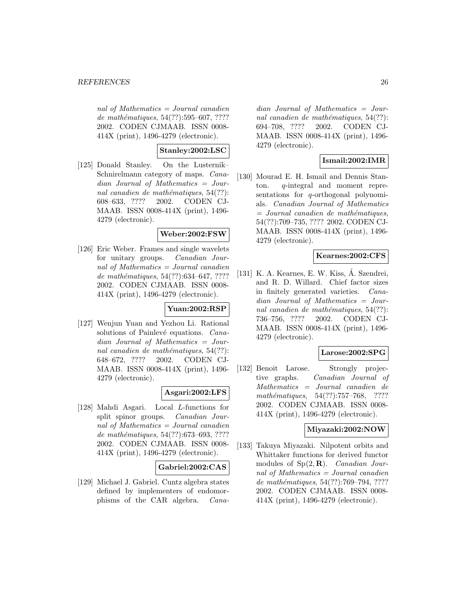nal of Mathematics  $=$  Journal canadien de mathématiques, 54(??):595–607, ???? 2002. CODEN CJMAAB. ISSN 0008- 414X (print), 1496-4279 (electronic).

# **Stanley:2002:LSC**

[125] Donald Stanley. On the Lusternik– Schnirelmann category of maps. Canadian Journal of Mathematics = Journal canadien de mathématiques,  $54(??)$ : 608–633, ???? 2002. CODEN CJ-MAAB. ISSN 0008-414X (print), 1496- 4279 (electronic).

## **Weber:2002:FSW**

[126] Eric Weber. Frames and single wavelets for unitary groups. Canadian Journal of Mathematics = Journal canadien de mathématiques, 54(??):634–647, ???? 2002. CODEN CJMAAB. ISSN 0008- 414X (print), 1496-4279 (electronic).

#### **Yuan:2002:RSP**

[127] Wenjun Yuan and Yezhou Li. Rational solutions of Painlevé equations. Canadian Journal of Mathematics = Journal canadien de mathématiques,  $54(??)$ : 648–672, ???? 2002. CODEN CJ-MAAB. ISSN 0008-414X (print), 1496- 4279 (electronic).

## **Asgari:2002:LFS**

[128] Mahdi Asgari. Local L-functions for split spinor groups. Canadian Journal of Mathematics = Journal canadien de mathématiques, 54(??):673–693, ???? 2002. CODEN CJMAAB. ISSN 0008- 414X (print), 1496-4279 (electronic).

## **Gabriel:2002:CAS**

[129] Michael J. Gabriel. Cuntz algebra states defined by implementers of endomorphisms of the CAR algebra. Cana-

dian Journal of Mathematics = Journal canadien de mathématiques,  $54(??)$ : 694–708, ???? 2002. CODEN CJ-MAAB. ISSN 0008-414X (print), 1496- 4279 (electronic).

## **Ismail:2002:IMR**

[130] Mourad E. H. Ismail and Dennis Stanton. q-integral and moment representations for q-orthogonal polynomials. Canadian Journal of Mathematics  $=$  Journal canadien de mathématiques. 54(??):709–735, ???? 2002. CODEN CJ-MAAB. ISSN 0008-414X (print), 1496- 4279 (electronic).

## **Kearnes:2002:CFS**

[131] K. A. Kearnes, E. W. Kiss, Á. Szendrei, and R. D. Willard. Chief factor sizes in finitely generated varieties. Canadian Journal of Mathematics = Journal canadien de mathématiques,  $54(??)$ : 736–756, ???? 2002. CODEN CJ-MAAB. ISSN 0008-414X (print), 1496- 4279 (electronic).

## **Larose:2002:SPG**

[132] Benoit Larose. Strongly projective graphs. Canadian Journal of Mathematics = Journal canadien de mathématiques, 54(??):757-768, ???? 2002. CODEN CJMAAB. ISSN 0008- 414X (print), 1496-4279 (electronic).

#### **Miyazaki:2002:NOW**

[133] Takuya Miyazaki. Nilpotent orbits and Whittaker functions for derived functor modules of Sp(2, **R**). Canadian Journal of Mathematics  $=$  Journal canadien de mathématiques, 54(??):769–794, ???? 2002. CODEN CJMAAB. ISSN 0008- 414X (print), 1496-4279 (electronic).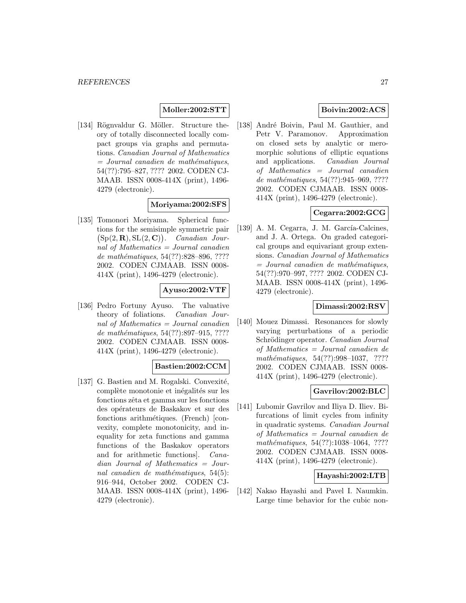## **Moller:2002:STT**

[134] Rögnvaldur G. Möller. Structure theory of totally disconnected locally compact groups via graphs and permutations. Canadian Journal of Mathematics  $=$  Journal canadien de mathématiques, 54(??):795–827, ???? 2002. CODEN CJ-MAAB. ISSN 0008-414X (print), 1496- 4279 (electronic).

## **Moriyama:2002:SFS**

[135] Tomonori Moriyama. Spherical functions for the semisimple symmetric pair  $(Sp(2, \mathbf{R}), SL(2, \mathbf{C}))$ . Canadian Journal of Mathematics = Journal canadien de mathématiques, 54(??):828–896, ???? 2002. CODEN CJMAAB. ISSN 0008- 414X (print), 1496-4279 (electronic).

## **Ayuso:2002:VTF**

[136] Pedro Fortuny Ayuso. The valuative theory of foliations. Canadian Journal of Mathematics = Journal canadien de mathématiques,  $54(??):897-915, ????$ 2002. CODEN CJMAAB. ISSN 0008- 414X (print), 1496-4279 (electronic).

## **Bastien:2002:CCM**

[137] G. Bastien and M. Rogalski. Convexité, complète monotonie et inégalités sur les fonctions zêta et gamma sur les fonctions des opérateurs de Baskakov et sur des fonctions arithmétiques. (French) [convexity, complete monotonicity, and inequality for zeta functions and gamma functions of the Baskakov operators and for arithmetic functions]. Canadian Journal of Mathematics = Journal canadien de mathématiques,  $54(5)$ : 916–944, October 2002. CODEN CJ-MAAB. ISSN 0008-414X (print), 1496- 4279 (electronic).

# **Boivin:2002:ACS**

[138] André Boivin, Paul M. Gauthier, and Petr V. Paramonov. Approximation on closed sets by analytic or meromorphic solutions of elliptic equations and applications. Canadian Journal of Mathematics = Journal canadien de mathématiques, 54(??):945-969, ???? 2002. CODEN CJMAAB. ISSN 0008- 414X (print), 1496-4279 (electronic).

# **Cegarra:2002:GCG**

[139] A. M. Cegarra, J. M. García-Calcines, and J. A. Ortega. On graded categorical groups and equivariant group extensions. Canadian Journal of Mathematics  $=$  Journal canadien de mathématiques, 54(??):970–997, ???? 2002. CODEN CJ-MAAB. ISSN 0008-414X (print), 1496- 4279 (electronic).

## **Dimassi:2002:RSV**

[140] Mouez Dimassi. Resonances for slowly varying perturbations of a periodic Schrödinger operator. Canadian Journal of Mathematics = Journal canadien de mathématiques,  $54(??):998-1037$ , ???? 2002. CODEN CJMAAB. ISSN 0008- 414X (print), 1496-4279 (electronic).

#### **Gavrilov:2002:BLC**

[141] Lubomir Gavrilov and Iliya D. Iliev. Bifurcations of limit cycles from infinity in quadratic systems. Canadian Journal of Mathematics = Journal canadien de mathématiques, 54(??):1038-1064, ???? 2002. CODEN CJMAAB. ISSN 0008- 414X (print), 1496-4279 (electronic).

#### **Hayashi:2002:LTB**

[142] Nakao Hayashi and Pavel I. Naumkin. Large time behavior for the cubic non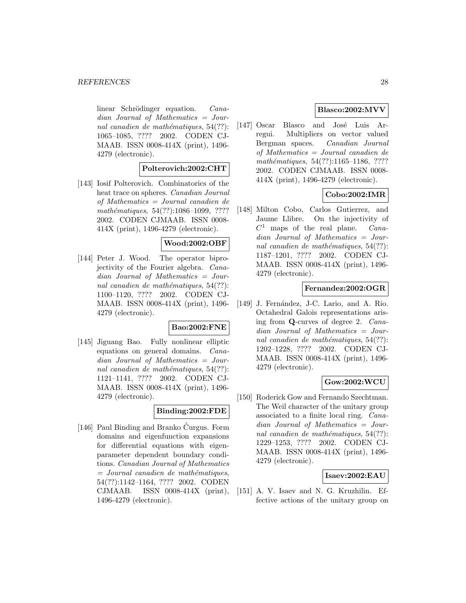linear Schrödinger equation. Canadian Journal of Mathematics = Journal canadien de mathématiques,  $54(??)$ : 1065–1085, ???? 2002. CODEN CJ-MAAB. ISSN 0008-414X (print), 1496- 4279 (electronic).

## **Polterovich:2002:CHT**

[143] Iosif Polterovich. Combinatorics of the heat trace on spheres. Canadian Journal of Mathematics = Journal canadien de mathématiques, 54(??):1086-1099, ???? 2002. CODEN CJMAAB. ISSN 0008- 414X (print), 1496-4279 (electronic).

## **Wood:2002:OBF**

[144] Peter J. Wood. The operator biprojectivity of the Fourier algebra. Canadian Journal of Mathematics = Journal canadien de mathématiques,  $54(??)$ : 1100–1120, ???? 2002. CODEN CJ-MAAB. ISSN 0008-414X (print), 1496- 4279 (electronic).

# **Bao:2002:FNE**

[145] Jiguang Bao. Fully nonlinear elliptic equations on general domains. Canadian Journal of Mathematics = Journal canadien de mathématiques,  $54(??)$ : 1121–1141, ???? 2002. CODEN CJ-MAAB. ISSN 0008-414X (print), 1496- 4279 (electronic).

# **Binding:2002:FDE**

[146] Paul Binding and Branko Curgus. Form ´ domains and eigenfunction expansions for differential equations with eigenparameter dependent boundary conditions. Canadian Journal of Mathematics  $=$  Journal canadien de mathématiques, 54(??):1142–1164, ???? 2002. CODEN CJMAAB. ISSN 0008-414X (print), 1496-4279 (electronic).

# **Blasco:2002:MVV**

[147] Oscar Blasco and José Luis Arregui. Multipliers on vector valued Bergman spaces. Canadian Journal of Mathematics = Journal canadien de mathématiques, 54(??):1165–1186, ???? 2002. CODEN CJMAAB. ISSN 0008- 414X (print), 1496-4279 (electronic).

# **Cobo:2002:IMR**

[148] Milton Cobo, Carlos Gutierrez, and Jaume Llibre. On the injectivity of  $C<sup>1</sup>$  maps of the real plane. *Cana*dian Journal of Mathematics = Journal canadien de mathématiques,  $54(??)$ : 1187–1201, ???? 2002. CODEN CJ-MAAB. ISSN 0008-414X (print), 1496- 4279 (electronic).

## **Fernandez:2002:OGR**

[149] J. Fernández, J-C. Lario, and A. Rio. Octahedral Galois representations arising from **Q**-curves of degree 2. Canadian Journal of Mathematics = Journal canadien de mathématiques,  $54(??)$ : 1202–1228, ???? 2002. CODEN CJ-MAAB. ISSN 0008-414X (print), 1496- 4279 (electronic).

## **Gow:2002:WCU**

[150] Roderick Gow and Fernando Szechtman. The Weil character of the unitary group associated to a finite local ring. Canadian Journal of Mathematics = Journal canadien de mathématiques,  $54(??)$ : 1229–1253, ???? 2002. CODEN CJ-MAAB. ISSN 0008-414X (print), 1496- 4279 (electronic).

#### **Isaev:2002:EAU**

[151] A. V. Isaev and N. G. Kruzhilin. Effective actions of the unitary group on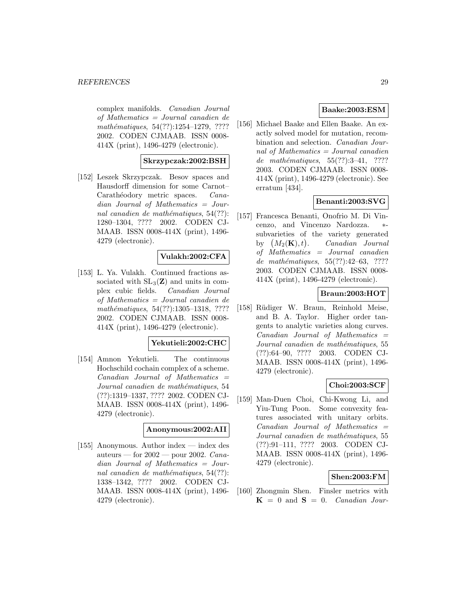complex manifolds. Canadian Journal of Mathematics = Journal canadien de mathématiques, 54(??):1254–1279, ???? 2002. CODEN CJMAAB. ISSN 0008- 414X (print), 1496-4279 (electronic).

#### **Skrzypczak:2002:BSH**

[152] Leszek Skrzypczak. Besov spaces and Hausdorff dimension for some Carnot– Carathéodory metric spaces. Canadian Journal of Mathematics = Journal canadien de mathématiques,  $54(??)$ : 1280–1304, ???? 2002. CODEN CJ-MAAB. ISSN 0008-414X (print), 1496- 4279 (electronic).

## **Vulakh:2002:CFA**

[153] L. Ya. Vulakh. Continued fractions associated with  $SL_3(\mathbf{Z})$  and units in complex cubic fields. Canadian Journal of Mathematics = Journal canadien de mathématiques, 54(??):1305-1318, ???? 2002. CODEN CJMAAB. ISSN 0008- 414X (print), 1496-4279 (electronic).

## **Yekutieli:2002:CHC**

[154] Amnon Yekutieli. The continuous Hochschild cochain complex of a scheme.  $Canadian$  Journal of Mathematics  $=$ Journal canadien de mathématiques, 54 (??):1319–1337, ???? 2002. CODEN CJ-MAAB. ISSN 0008-414X (print), 1496- 4279 (electronic).

#### **Anonymous:2002:AII**

[155] Anonymous. Author index — index des auteurs — for  $2002$  — pour 2002. Canadian Journal of Mathematics = Journal canadien de mathématiques,  $54(??)$ : 1338–1342, ???? 2002. CODEN CJ-MAAB. ISSN 0008-414X (print), 1496- 4279 (electronic).

## **Baake:2003:ESM**

[156] Michael Baake and Ellen Baake. An exactly solved model for mutation, recombination and selection. Canadian Journal of Mathematics  $=$  Journal canadien de mathématiques,  $55(??):3-41$ , ???? 2003. CODEN CJMAAB. ISSN 0008- 414X (print), 1496-4279 (electronic). See erratum [434].

# **Benanti:2003:SVG**

[157] Francesca Benanti, Onofrio M. Di Vincenzo, and Vincenzo Nardozza. subvarieties of the variety generated by  $(M_2(K), t)$ . Canadian Journal of Mathematics = Journal canadien de mathématiques,  $55(??):42-63$ , ???? 2003. CODEN CJMAAB. ISSN 0008- 414X (print), 1496-4279 (electronic).

## **Braun:2003:HOT**

[158] Rüdiger W. Braun, Reinhold Meise, and B. A. Taylor. Higher order tangents to analytic varieties along curves.  $Canadian$  Journal of Mathematics  $=$ Journal canadien de mathématiques, 55 (??):64–90, ???? 2003. CODEN CJ-MAAB. ISSN 0008-414X (print), 1496- 4279 (electronic).

## **Choi:2003:SCF**

[159] Man-Duen Choi, Chi-Kwong Li, and Yiu-Tung Poon. Some convexity features associated with unitary orbits. Canadian Journal of Mathematics = Journal canadien de mathématiques, 55 (??):91–111, ???? 2003. CODEN CJ-MAAB. ISSN 0008-414X (print), 1496- 4279 (electronic).

## **Shen:2003:FM**

[160] Zhongmin Shen. Finsler metrics with  $K = 0$  and  $S = 0$ . *Canadian Jour-*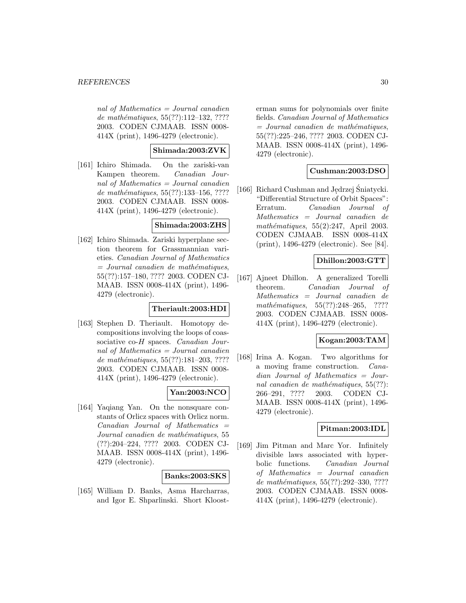nal of Mathematics  $=$  Journal canadien de mathématiques,  $55(??):112-132, ????$ 2003. CODEN CJMAAB. ISSN 0008- 414X (print), 1496-4279 (electronic).

## **Shimada:2003:ZVK**

[161] Ichiro Shimada. On the zariski-van Kampen theorem. Canadian Journal of Mathematics = Journal canadien de mathématiques, 55(??):133-156, ???? 2003. CODEN CJMAAB. ISSN 0008- 414X (print), 1496-4279 (electronic).

#### **Shimada:2003:ZHS**

[162] Ichiro Shimada. Zariski hyperplane section theorem for Grassmannian varieties. Canadian Journal of Mathematics  $=$  Journal canadien de mathématiques, 55(??):157–180, ???? 2003. CODEN CJ-MAAB. ISSN 0008-414X (print), 1496- 4279 (electronic).

## **Theriault:2003:HDI**

[163] Stephen D. Theriault. Homotopy decompositions involving the loops of coassociative co-H spaces. *Canadian Jour*nal of Mathematics = Journal canadien de mathématiques,  $55(??):181-203, ????$ 2003. CODEN CJMAAB. ISSN 0008- 414X (print), 1496-4279 (electronic).

# **Yan:2003:NCO**

[164] Yaqiang Yan. On the nonsquare constants of Orlicz spaces with Orlicz norm.  $Canadian$  Journal of Mathematics  $=$ Journal canadien de mathématiques, 55 (??):204–224, ???? 2003. CODEN CJ-MAAB. ISSN 0008-414X (print), 1496- 4279 (electronic).

## **Banks:2003:SKS**

[165] William D. Banks, Asma Harcharras, and Igor E. Shparlinski. Short Kloost-

erman sums for polynomials over finite fields. Canadian Journal of Mathematics  $=$  Journal canadien de mathématiques, 55(??):225–246, ???? 2003. CODEN CJ-MAAB. ISSN 0008-414X (print), 1496- 4279 (electronic).

# **Cushman:2003:DSO**

[166] Richard Cushman and Jędrzej Śniatycki.<br>
"Differential Structure of Orbit Spaces" "Differential Structure of Orbit Spaces": Erratum. Canadian Journal of Mathematics = Journal canadien de mathématiques,  $55(2):247$ , April 2003. CODEN CJMAAB. ISSN 0008-414X (print), 1496-4279 (electronic). See [84].

## **Dhillon:2003:GTT**

[167] Ajneet Dhillon. A generalized Torelli theorem. Canadian Journal of Mathematics = Journal canadien de mathématiques,  $55(??):248-265$ , ???? 2003. CODEN CJMAAB. ISSN 0008- 414X (print), 1496-4279 (electronic).

# **Kogan:2003:TAM**

[168] Irina A. Kogan. Two algorithms for a moving frame construction. Canadian Journal of Mathematics = Journal canadien de mathématiques,  $55(??)$ : 266–291, ???? 2003. CODEN CJ-MAAB. ISSN 0008-414X (print), 1496- 4279 (electronic).

## **Pitman:2003:IDL**

[169] Jim Pitman and Marc Yor. Infinitely divisible laws associated with hyperbolic functions. Canadian Journal of Mathematics = Journal canadien de mathématiques, 55(??):292-330, ???? 2003. CODEN CJMAAB. ISSN 0008- 414X (print), 1496-4279 (electronic).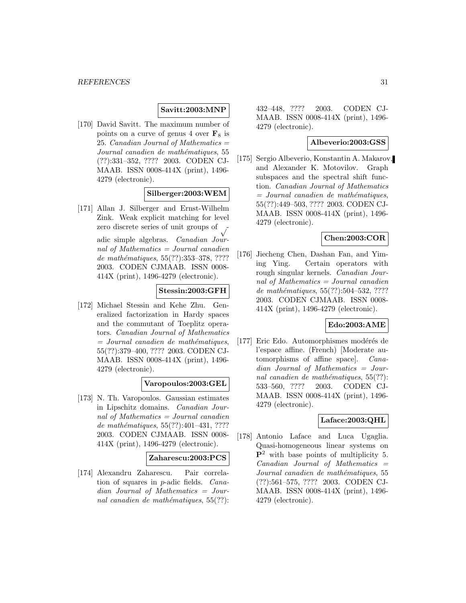## **Savitt:2003:MNP**

[170] David Savitt. The maximum number of points on a curve of genus 4 over  $\mathbf{F}_8$  is 25. Canadian Journal of Mathematics  $=$ Journal canadien de mathématiques, 55 (??):331–352, ???? 2003. CODEN CJ-MAAB. ISSN 0008-414X (print), 1496- 4279 (electronic).

#### **Silberger:2003:WEM**

[171] Allan J. Silberger and Ernst-Wilhelm Zink. Weak explicit matching for level zero discrete series of unit groups of adic simple algebras. Canadian Journal of Mathematics = Journal canadien de mathématiques, 55(??):353-378, ???? 2003. CODEN CJMAAB. ISSN 0008- 414X (print), 1496-4279 (electronic).

#### **Stessin:2003:GFH**

[172] Michael Stessin and Kehe Zhu. Generalized factorization in Hardy spaces and the commutant of Toeplitz operators. Canadian Journal of Mathematics  $=$  Journal canadien de mathématiques, 55(??):379–400, ???? 2003. CODEN CJ-MAAB. ISSN 0008-414X (print), 1496- 4279 (electronic).

## **Varopoulos:2003:GEL**

[173] N. Th. Varopoulos. Gaussian estimates in Lipschitz domains. Canadian Journal of Mathematics = Journal canadien de mathématiques,  $55(??):401-431, ????$ 2003. CODEN CJMAAB. ISSN 0008- 414X (print), 1496-4279 (electronic).

#### **Zaharescu:2003:PCS**

[174] Alexandru Zaharescu. Pair correlation of squares in p-adic fields. Canadian Journal of Mathematics = Journal canadien de mathématiques,  $55(??)$ : 432–448, ???? 2003. CODEN CJ-MAAB. ISSN 0008-414X (print), 1496- 4279 (electronic).

## **Albeverio:2003:GSS**

[175] Sergio Albeverio, Konstantin A. Makarov, and Alexander K. Motovilov. Graph subspaces and the spectral shift function. Canadian Journal of Mathematics  $=$  Journal canadien de mathématiques, 55(??):449–503, ???? 2003. CODEN CJ-MAAB. ISSN 0008-414X (print), 1496- 4279 (electronic).

# **Chen:2003:COR**

[176] Jiecheng Chen, Dashan Fan, and Yiming Ying. Certain operators with rough singular kernels. Canadian Journal of Mathematics = Journal canadien de mathématiques,  $55(??):504-532, ????$ 2003. CODEN CJMAAB. ISSN 0008- 414X (print), 1496-4279 (electronic).

## **Edo:2003:AME**

[177] Eric Edo. Automorphismes modérés de l'espace affine. (French) [Moderate automorphisms of affine space]. Canadian Journal of Mathematics = Journal canadien de mathématiques,  $55(??)$ : 533–560, ???? 2003. CODEN CJ-MAAB. ISSN 0008-414X (print), 1496- 4279 (electronic).

#### **Laface:2003:QHL**

[178] Antonio Laface and Luca Ugaglia. Quasi-homogeneous linear systems on **P**<sup>2</sup> with base points of multiplicity 5.  $Canadian$  Journal of Mathematics  $=$ Journal canadien de mathématiques, 55 (??):561–575, ???? 2003. CODEN CJ-MAAB. ISSN 0008-414X (print), 1496- 4279 (electronic).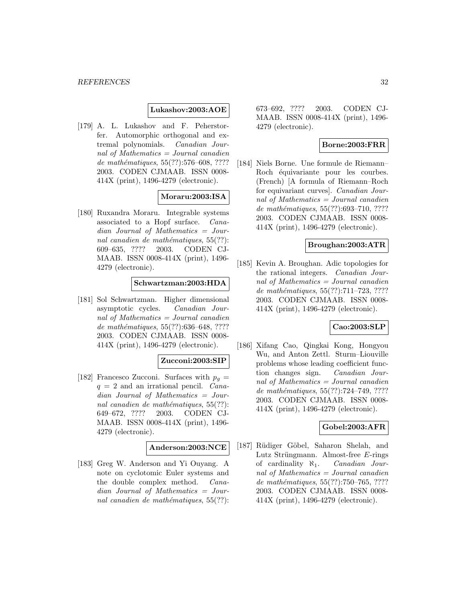#### **Lukashov:2003:AOE**

[179] A. L. Lukashov and F. Peherstorfer. Automorphic orthogonal and extremal polynomials. Canadian Journal of Mathematics = Journal canadien de mathématiques,  $55(??):576–608, ????$ 2003. CODEN CJMAAB. ISSN 0008- 414X (print), 1496-4279 (electronic).

## **Moraru:2003:ISA**

[180] Ruxandra Moraru. Integrable systems associated to a Hopf surface. Canadian Journal of Mathematics = Journal canadien de mathématiques,  $55(??)$ : 609–635, ???? 2003. CODEN CJ-MAAB. ISSN 0008-414X (print), 1496- 4279 (electronic).

#### **Schwartzman:2003:HDA**

[181] Sol Schwartzman. Higher dimensional asymptotic cycles. Canadian Journal of Mathematics = Journal canadien de mathématiques,  $55(??):636–648, ????$ 2003. CODEN CJMAAB. ISSN 0008- 414X (print), 1496-4279 (electronic).

## **Zucconi:2003:SIP**

[182] Francesco Zucconi. Surfaces with  $p_q =$  $q = 2$  and an irrational pencil. *Cana*dian Journal of Mathematics = Journal canadien de mathématiques,  $55(??)$ : 649–672, ???? 2003. CODEN CJ-MAAB. ISSN 0008-414X (print), 1496- 4279 (electronic).

## **Anderson:2003:NCE**

[183] Greg W. Anderson and Yi Ouyang. A note on cyclotomic Euler systems and the double complex method. Canadian Journal of Mathematics = Journal canadien de mathématiques,  $55(??)$ :

673–692, ???? 2003. CODEN CJ-MAAB. ISSN 0008-414X (print), 1496- 4279 (electronic).

# **Borne:2003:FRR**

[184] Niels Borne. Une formule de Riemann– Roch équivariante pour les courbes. (French) [A formula of Riemann–Roch for equivariant curves]. Canadian Journal of Mathematics = Journal canadien de mathématiques,  $55(??):693-710, ????$ 2003. CODEN CJMAAB. ISSN 0008- 414X (print), 1496-4279 (electronic).

## **Broughan:2003:ATR**

[185] Kevin A. Broughan. Adic topologies for the rational integers. Canadian Journal of Mathematics = Journal canadien de mathématiques,  $55(??)$ :711–723, ???? 2003. CODEN CJMAAB. ISSN 0008- 414X (print), 1496-4279 (electronic).

#### **Cao:2003:SLP**

[186] Xifang Cao, Qingkai Kong, Hongyou Wu, and Anton Zettl. Sturm–Liouville problems whose leading coefficient function changes sign. Canadian Journal of Mathematics = Journal canadien de mathématiques,  $55(??):724-749, ????$ 2003. CODEN CJMAAB. ISSN 0008- 414X (print), 1496-4279 (electronic).

## **Gobel:2003:AFR**

[187] Rüdiger Göbel, Saharon Shelah, and Lutz Strüngmann. Almost-free  $E$ -rings of cardinality  $\aleph_1$ . *Canadian Jour*nal of Mathematics = Journal canadien de mathématiques, 55(??):750–765, ???? 2003. CODEN CJMAAB. ISSN 0008- 414X (print), 1496-4279 (electronic).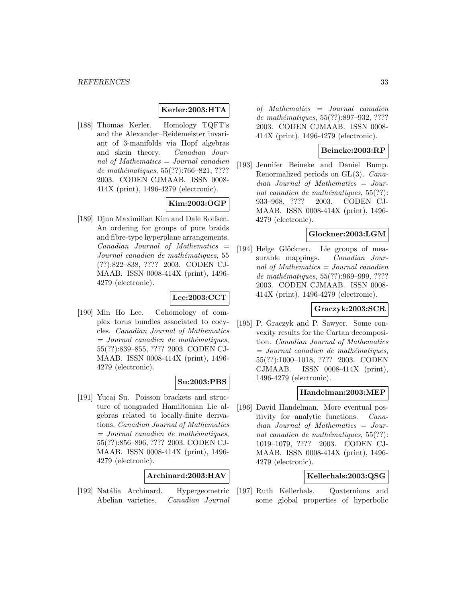## **Kerler:2003:HTA**

[188] Thomas Kerler. Homology TQFT's and the Alexander–Reidemeister invariant of 3-manifolds via Hopf algebras and skein theory. Canadian Journal of Mathematics = Journal canadien de mathématiques,  $55(??):766–821, ????$ 2003. CODEN CJMAAB. ISSN 0008- 414X (print), 1496-4279 (electronic).

# **Kim:2003:OGP**

[189] Djun Maximilian Kim and Dale Rolfsen. An ordering for groups of pure braids and fibre-type hyperplane arrangements.  $Canadian$  Journal of Mathematics  $=$ Journal canadien de mathématiques, 55 (??):822–838, ???? 2003. CODEN CJ-MAAB. ISSN 0008-414X (print), 1496- 4279 (electronic).

# **Lee:2003:CCT**

[190] Min Ho Lee. Cohomology of complex torus bundles associated to cocycles. Canadian Journal of Mathematics  $=$  Journal canadien de mathématiques, 55(??):839–855, ???? 2003. CODEN CJ-MAAB. ISSN 0008-414X (print), 1496- 4279 (electronic).

## **Su:2003:PBS**

[191] Yucai Su. Poisson brackets and structure of nongraded Hamiltonian Lie algebras related to locally-finite derivations. Canadian Journal of Mathematics  $=$  Journal canadien de mathématiques, 55(??):856–896, ???? 2003. CODEN CJ-MAAB. ISSN 0008-414X (print), 1496- 4279 (electronic).

## **Archinard:2003:HAV**

[192] Natália Archinard. Hypergeometric Abelian varieties. Canadian Journal

of Mathematics = Journal canadien de mathématiques, 55(??):897-932, ???? 2003. CODEN CJMAAB. ISSN 0008- 414X (print), 1496-4279 (electronic).

## **Beineke:2003:RP**

[193] Jennifer Beineke and Daniel Bump. Renormalized periods on GL(3). Canadian Journal of Mathematics = Journal canadien de mathématiques,  $55(??)$ : 933–968, ???? 2003. CODEN CJ-MAAB. ISSN 0008-414X (print), 1496- 4279 (electronic).

#### **Glockner:2003:LGM**

[194] Helge Glöckner. Lie groups of measurable mappings. *Canadian Jour*nal of Mathematics = Journal canadien de mathématiques, 55(??):969-999, ???? 2003. CODEN CJMAAB. ISSN 0008- 414X (print), 1496-4279 (electronic).

## **Graczyk:2003:SCR**

[195] P. Graczyk and P. Sawyer. Some convexity results for the Cartan decomposition. Canadian Journal of Mathematics  $=$  Journal canadien de mathématiques, 55(??):1000–1018, ???? 2003. CODEN CJMAAB. ISSN 0008-414X (print), 1496-4279 (electronic).

#### **Handelman:2003:MEP**

[196] David Handelman. More eventual positivity for analytic functions. Canadian Journal of Mathematics = Journal canadien de mathématiques,  $55(??)$ : 1019–1079, ???? 2003. CODEN CJ-MAAB. ISSN 0008-414X (print), 1496- 4279 (electronic).

## **Kellerhals:2003:QSG**

[197] Ruth Kellerhals. Quaternions and some global properties of hyperbolic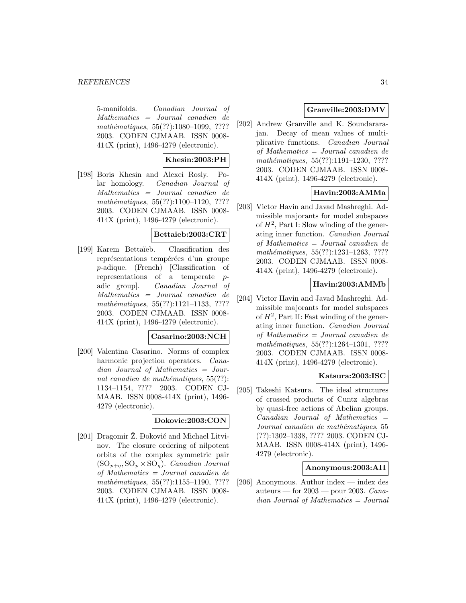5-manifolds. Canadian Journal of Mathematics = Journal canadien de mathématiques, 55(??):1080-1099, ???? 2003. CODEN CJMAAB. ISSN 0008- 414X (print), 1496-4279 (electronic).

## **Khesin:2003:PH**

[198] Boris Khesin and Alexei Rosly. Polar homology. Canadian Journal of Mathematics = Journal canadien de mathématiques,  $55(??):1100-1120, ????$ 2003. CODEN CJMAAB. ISSN 0008- 414X (print), 1496-4279 (electronic).

#### **Bettaieb:2003:CRT**

[199] Karem Bettaïeb. Classification des représentations tempérées d'un groupe p-adique. (French) [Classification of representations of a temperate padic group]. Canadian Journal of Mathematics = Journal canadien de mathématiques,  $55(??):1121-1133, ????$ 2003. CODEN CJMAAB. ISSN 0008- 414X (print), 1496-4279 (electronic).

#### **Casarino:2003:NCH**

[200] Valentina Casarino. Norms of complex harmonic projection operators. *Cana*dian Journal of Mathematics = Journal canadien de mathématiques,  $55(??)$ : 1134–1154, ???? 2003. CODEN CJ-MAAB. ISSN 0008-414X (print), 1496- 4279 (electronic).

## **Dokovic:2003:CON**

[201] Dragomir Ž. Đoković and Michael Litvinov. The closure ordering of nilpotent orbits of the complex symmetric pair  $(SO_{p+q}, SO_p \times SO_q)$ . *Canadian Journal* of Mathematics = Journal canadien de mathématiques,  $55(??):1155-1190, ????$ 2003. CODEN CJMAAB. ISSN 0008- 414X (print), 1496-4279 (electronic).

# **Granville:2003:DMV**

[202] Andrew Granville and K. Soundararajan. Decay of mean values of multiplicative functions. Canadian Journal of Mathematics = Journal canadien de mathématiques, 55(??):1191-1230, ???? 2003. CODEN CJMAAB. ISSN 0008- 414X (print), 1496-4279 (electronic).

## **Havin:2003:AMMa**

[203] Victor Havin and Javad Mashreghi. Admissible majorants for model subspaces of  $H^2$ , Part I: Slow winding of the generating inner function. Canadian Journal of Mathematics = Journal canadien de mathématiques, 55(??):1231-1263, ???? 2003. CODEN CJMAAB. ISSN 0008- 414X (print), 1496-4279 (electronic).

## **Havin:2003:AMMb**

[204] Victor Havin and Javad Mashreghi. Admissible majorants for model subspaces of  $H^2$ , Part II: Fast winding of the generating inner function. Canadian Journal of Mathematics = Journal canadien de mathématiques, 55(??):1264-1301, ???? 2003. CODEN CJMAAB. ISSN 0008- 414X (print), 1496-4279 (electronic).

# **Katsura:2003:ISC**

[205] Takeshi Katsura. The ideal structures of crossed products of Cuntz algebras by quasi-free actions of Abelian groups.  $Canadian$  Journal of Mathematics  $=$ Journal canadien de mathématiques, 55 (??):1302–1338, ???? 2003. CODEN CJ-MAAB. ISSN 0008-414X (print), 1496- 4279 (electronic).

#### **Anonymous:2003:AII**

[206] Anonymous. Author index — index des auteurs — for  $2003$  — pour 2003. Canadian Journal of Mathematics = Journal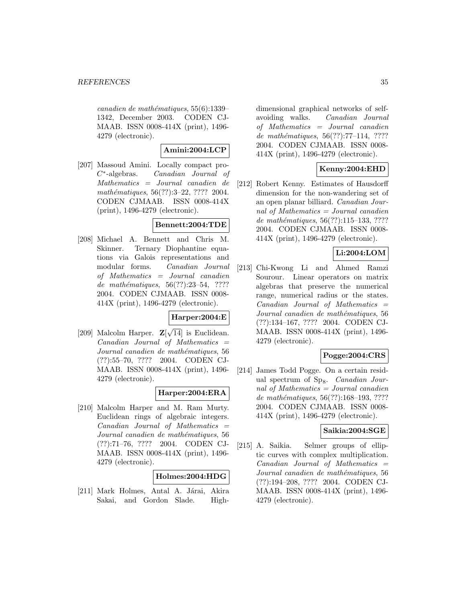$cana dien de mathématiques, 55(6):1339-$ 1342, December 2003. CODEN CJ-MAAB. ISSN 0008-414X (print), 1496- 4279 (electronic).

## **Amini:2004:LCP**

[207] Massoud Amini. Locally compact pro-C∗-algebras. Canadian Journal of Mathematics = Journal canadien de mathématiques, 56(??):3–22, ???? 2004. CODEN CJMAAB. ISSN 0008-414X (print), 1496-4279 (electronic).

#### **Bennett:2004:TDE**

[208] Michael A. Bennett and Chris M. Skinner. Ternary Diophantine equations via Galois representations and modular forms. Canadian Journal of Mathematics = Journal canadien de mathématiques,  $56(??):23-54$ , ???? 2004. CODEN CJMAAB. ISSN 0008- 414X (print), 1496-4279 (electronic).

## **Harper:2004:E**

[209] Malcolm Harper.  $\mathbf{Z}[\sqrt{14}]$  is Euclidean. Canadian Journal of Mathematics = Journal canadien de mathématiques, 56 (??):55–70, ???? 2004. CODEN CJ-MAAB. ISSN 0008-414X (print), 1496- 4279 (electronic).

## **Harper:2004:ERA**

[210] Malcolm Harper and M. Ram Murty. Euclidean rings of algebraic integers.  $Canadian$  Journal of Mathematics  $=$ Journal canadien de mathématiques, 56 (??):71–76, ???? 2004. CODEN CJ-MAAB. ISSN 0008-414X (print), 1496- 4279 (electronic).

## **Holmes:2004:HDG**

[211] Mark Holmes, Antal A. Járai, Akira Sakai, and Gordon Slade. High-

dimensional graphical networks of selfavoiding walks. Canadian Journal of Mathematics = Journal canadien de mathématiques,  $56(??):77-114$ , ???? 2004. CODEN CJMAAB. ISSN 0008- 414X (print), 1496-4279 (electronic).

## **Kenny:2004:EHD**

[212] Robert Kenny. Estimates of Hausdorff dimension for the non-wandering set of an open planar billiard. Canadian Journal of Mathematics  $=$  Journal canadien de mathématiques, 56(??):115-133, ???? 2004. CODEN CJMAAB. ISSN 0008- 414X (print), 1496-4279 (electronic).

# **Li:2004:LOM**

[213] Chi-Kwong Li and Ahmed Ramzi Sourour. Linear operators on matrix algebras that preserve the numerical range, numerical radius or the states.  $Canadian$  Journal of Mathematics  $=$ Journal canadien de mathématiques, 56 (??):134–167, ???? 2004. CODEN CJ-MAAB. ISSN 0008-414X (print), 1496- 4279 (electronic).

## **Pogge:2004:CRS**

[214] James Todd Pogge. On a certain residual spectrum of  $Sp_8$ . *Canadian Jour*nal of Mathematics = Journal canadien de mathématiques,  $56(??):168-193, ????$ 2004. CODEN CJMAAB. ISSN 0008- 414X (print), 1496-4279 (electronic).

#### **Saikia:2004:SGE**

[215] A. Saikia. Selmer groups of elliptic curves with complex multiplication.  $Canadian$  Journal of Mathematics  $=$ Journal canadien de mathématiques, 56 (??):194–208, ???? 2004. CODEN CJ-MAAB. ISSN 0008-414X (print), 1496- 4279 (electronic).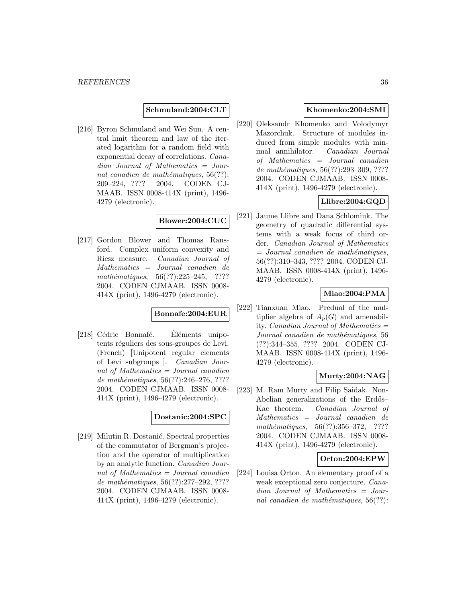**Schmuland:2004:CLT**

[216] Byron Schmuland and Wei Sun. A central limit theorem and law of the iterated logarithm for a random field with exponential decay of correlations. Canadian Journal of Mathematics = Journal canadien de mathématiques,  $56(??)$ : 209–224, ???? 2004. CODEN CJ-MAAB. ISSN 0008-414X (print), 1496- 4279 (electronic).

## **Blower:2004:CUC**

[217] Gordon Blower and Thomas Ransford. Complex uniform convexity and Riesz measure. Canadian Journal of Mathematics = Journal canadien de mathématiques,  $56(??):225-245$ , ???? 2004. CODEN CJMAAB. ISSN 0008- 414X (print), 1496-4279 (electronic).

## **Bonnafe:2004:EUR**

[218] Cédric Bonnafé. Eléments unipotents réguliers des sous-groupes de Levi. (French) [Unipotent regular elements of Levi subgroups ]. Canadian Journal of Mathematics = Journal canadien de mathématiques,  $56(??):246-276, ????$ 2004. CODEN CJMAAB. ISSN 0008- 414X (print), 1496-4279 (electronic).

## **Dostanic:2004:SPC**

[219] Milutin R. Dostanić. Spectral properties of the commutator of Bergman's projection and the operator of multiplication by an analytic function. Canadian Journal of Mathematics = Journal canadien de mathématiques,  $56(??):277-292, ????$ 2004. CODEN CJMAAB. ISSN 0008- 414X (print), 1496-4279 (electronic).

## **Khomenko:2004:SMI**

[220] Oleksandr Khomenko and Volodymyr Mazorchuk. Structure of modules induced from simple modules with minimal annihilator. Canadian Journal of Mathematics = Journal canadien de mathématiques, 56(??):293-309, ???? 2004. CODEN CJMAAB. ISSN 0008- 414X (print), 1496-4279 (electronic).

# **Llibre:2004:GQD**

[221] Jaume Llibre and Dana Schlomiuk. The geometry of quadratic differential systems with a weak focus of third order. Canadian Journal of Mathematics  $=$  Journal canadien de mathématiques, 56(??):310–343, ???? 2004. CODEN CJ-MAAB. ISSN 0008-414X (print), 1496- 4279 (electronic).

# **Miao:2004:PMA**

[222] Tianxuan Miao. Predual of the multiplier algebra of  $A_p(G)$  and amenability. Canadian Journal of Mathematics = Journal canadien de mathématiques, 56 (??):344–355, ???? 2004. CODEN CJ-MAAB. ISSN 0008-414X (print), 1496- 4279 (electronic).

# **Murty:2004:NAG**

[223] M. Ram Murty and Filip Saidak. Non-Abelian generalizations of the Erdős– Kac theorem. Canadian Journal of Mathematics = Journal canadien de  $mathématiques, 56(??):356-372, ????$ 2004. CODEN CJMAAB. ISSN 0008- 414X (print), 1496-4279 (electronic).

#### **Orton:2004:EPW**

[224] Louisa Orton. An elementary proof of a weak exceptional zero conjecture. Canadian Journal of Mathematics = Journal canadien de mathématiques,  $56(??)$ :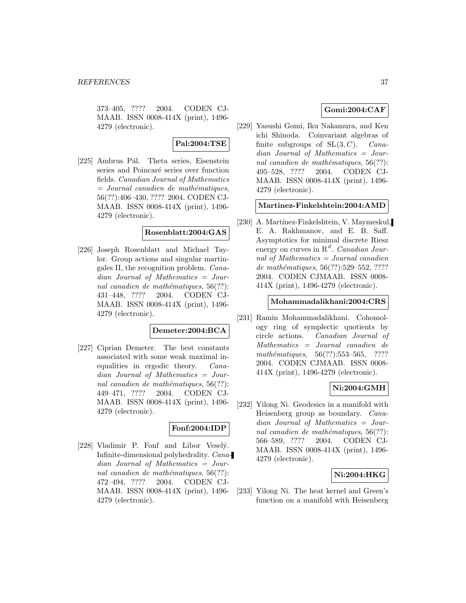373–405, ???? 2004. CODEN CJ-MAAB. ISSN 0008-414X (print), 1496- 4279 (electronic).

### **Pal:2004:TSE**

[225] Ambrus Pál. Theta series, Eisenstein series and Poincaré series over function fields. Canadian Journal of Mathematics  $=$  Journal canadien de mathématiques, 56(??):406–430, ???? 2004. CODEN CJ-MAAB. ISSN 0008-414X (print), 1496- 4279 (electronic).

### **Rosenblatt:2004:GAS**

[226] Joseph Rosenblatt and Michael Taylor. Group actions and singular martingales II, the recognition problem. Canadian Journal of Mathematics = Journal canadien de mathématiques,  $56(??)$ : 431–448, ???? 2004. CODEN CJ-MAAB. ISSN 0008-414X (print), 1496- 4279 (electronic).

### **Demeter:2004:BCA**

[227] Ciprian Demeter. The best constants associated with some weak maximal inequalities in ergodic theory. Canadian Journal of Mathematics = Journal canadien de mathématiques,  $56(??)$ : 449–471, ???? 2004. CODEN CJ-MAAB. ISSN 0008-414X (print), 1496- 4279 (electronic).

### **Fonf:2004:IDP**

[228] Vladimir P. Fonf and Libor Vesely. Infinite-dimensional polyhedrality. Canadian Journal of Mathematics = Journal canadien de mathématiques,  $56(??)$ : 472–494, ???? 2004. CODEN CJ-MAAB. ISSN 0008-414X (print), 1496- 4279 (electronic).

# **Gomi:2004:CAF**

[229] Yasushi Gomi, Iku Nakamura, and Ken ichi Shinoda. Coinvariant algebras of finite subgroups of  $SL(3, C)$ . Canadian Journal of Mathematics = Journal canadien de mathématiques,  $56(??)$ : 495–528, ???? 2004. CODEN CJ-MAAB. ISSN 0008-414X (print), 1496- 4279 (electronic).

#### **Martinez-Finkelshtein:2004:AMD**

[230] A. Martínez-Finkelshtein, V. Maymeskul, E. A. Rakhmanov, and E. B. Saff. Asymptotics for minimal discrete Riesz energy on curves in  $R^d$ . Canadian Journal of Mathematics  $=$  Journal canadien de mathématiques, 56(??):529–552, ???? 2004. CODEN CJMAAB. ISSN 0008- 414X (print), 1496-4279 (electronic).

#### **Mohammadalikhani:2004:CRS**

[231] Ramin Mohammadalikhani. Cohomology ring of symplectic quotients by circle actions. Canadian Journal of Mathematics = Journal canadien de mathématiques,  $56(??):553-565$ , ???? 2004. CODEN CJMAAB. ISSN 0008- 414X (print), 1496-4279 (electronic).

### **Ni:2004:GMH**

[232] Yilong Ni. Geodesics in a manifold with Heisenberg group as boundary. Canadian Journal of Mathematics = Journal canadien de mathématiques,  $56(??)$ : 566–589, ???? 2004. CODEN CJ-MAAB. ISSN 0008-414X (print), 1496- 4279 (electronic).

### **Ni:2004:HKG**

[233] Yilong Ni. The heat kernel and Green's function on a manifold with Heisenberg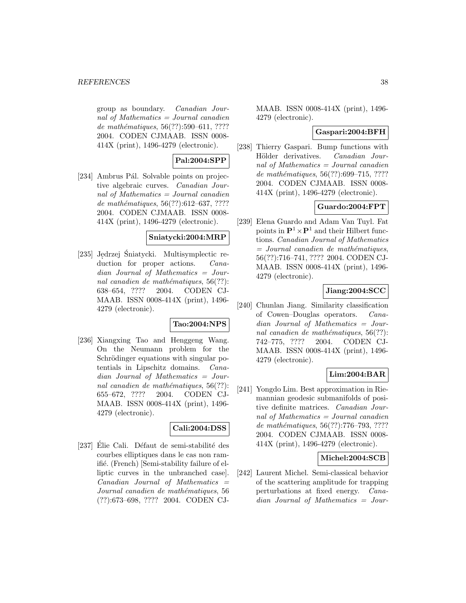group as boundary. Canadian Journal of Mathematics  $=$  Journal canadien de mathématiques,  $56(??):590–611, ????$ 2004. CODEN CJMAAB. ISSN 0008- 414X (print), 1496-4279 (electronic).

## **Pal:2004:SPP**

[234] Ambrus Pál. Solvable points on projective algebraic curves. Canadian Journal of Mathematics = Journal canadien de mathématiques,  $56(??):612-637, ????$ 2004. CODEN CJMAAB. ISSN 0008- 414X (print), 1496-4279 (electronic).

## **Sniatycki:2004:MRP**

[235] Jędrzej Śniatycki. Multisymplectic reduction for proper actions. *Cana*dian Journal of Mathematics = Journal canadien de mathématiques,  $56(??)$ : 638–654, ???? 2004. CODEN CJ-MAAB. ISSN 0008-414X (print), 1496- 4279 (electronic).

### **Tao:2004:NPS**

[236] Xiangxing Tao and Henggeng Wang. On the Neumann problem for the Schrödinger equations with singular potentials in Lipschitz domains. Canadian Journal of Mathematics = Journal canadien de mathématiques,  $56(??)$ : 655–672, ???? 2004. CODEN CJ-MAAB. ISSN 0008-414X (print), 1496- 4279 (electronic).

### **Cali:2004:DSS**

[237] Élie Cali. Défaut de semi-stabilité des courbes elliptiques dans le cas non ramifié. (French) [Semi-stability failure of elliptic curves in the unbranched case]. Canadian Journal of Mathematics = Journal canadien de mathématiques, 56 (??):673–698, ???? 2004. CODEN CJ-

MAAB. ISSN 0008-414X (print), 1496- 4279 (electronic).

#### **Gaspari:2004:BFH**

[238] Thierry Gaspari. Bump functions with Hölder derivatives. Canadian Journal of Mathematics = Journal canadien de mathématiques, 56(??):699–715, ???? 2004. CODEN CJMAAB. ISSN 0008- 414X (print), 1496-4279 (electronic).

### **Guardo:2004:FPT**

[239] Elena Guardo and Adam Van Tuyl. Fat points in  $\mathbf{P}^1 \times \mathbf{P}^1$  and their Hilbert functions. Canadian Journal of Mathematics  $=$  Journal canadien de mathématiques, 56(??):716–741, ???? 2004. CODEN CJ-MAAB. ISSN 0008-414X (print), 1496- 4279 (electronic).

### **Jiang:2004:SCC**

[240] Chunlan Jiang. Similarity classification of Cowen–Douglas operators. Canadian Journal of Mathematics = Journal canadien de mathématiques,  $56(??)$ : 742–775, ???? 2004. CODEN CJ-MAAB. ISSN 0008-414X (print), 1496- 4279 (electronic).

### **Lim:2004:BAR**

[241] Yongdo Lim. Best approximation in Riemannian geodesic submanifolds of positive definite matrices. Canadian Journal of Mathematics = Journal canadien de mathématiques, 56(??):776–793, ???? 2004. CODEN CJMAAB. ISSN 0008- 414X (print), 1496-4279 (electronic).

#### **Michel:2004:SCB**

[242] Laurent Michel. Semi-classical behavior of the scattering amplitude for trapping perturbations at fixed energy. Canadian Journal of Mathematics = Jour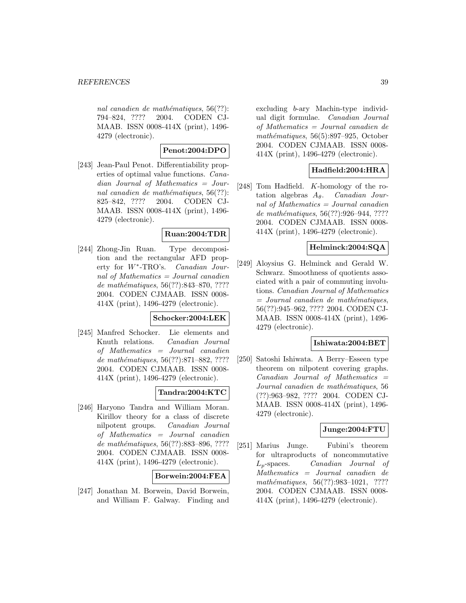nal canadien de mathématiques,  $56(??)$ : 794–824, ???? 2004. CODEN CJ-MAAB. ISSN 0008-414X (print), 1496- 4279 (electronic).

# **Penot:2004:DPO**

[243] Jean-Paul Penot. Differentiability properties of optimal value functions. Canadian Journal of Mathematics = Journal canadien de mathématiques,  $56(??)$ : 825–842, ???? 2004. CODEN CJ-MAAB. ISSN 0008-414X (print), 1496- 4279 (electronic).

## **Ruan:2004:TDR**

[244] Zhong-Jin Ruan. Type decomposition and the rectangular AFD property for W∗-TRO's. Canadian Journal of Mathematics = Journal canadien de mathématiques, 56(??):843-870, ???? 2004. CODEN CJMAAB. ISSN 0008- 414X (print), 1496-4279 (electronic).

### **Schocker:2004:LEK**

[245] Manfred Schocker. Lie elements and Knuth relations. Canadian Journal of Mathematics = Journal canadien de mathématiques, 56(??):871–882, ???? 2004. CODEN CJMAAB. ISSN 0008- 414X (print), 1496-4279 (electronic).

### **Tandra:2004:KTC**

[246] Haryono Tandra and William Moran. Kirillov theory for a class of discrete nilpotent groups. Canadian Journal of Mathematics = Journal canadien de mathématiques, 56(??):883-896, ???? 2004. CODEN CJMAAB. ISSN 0008- 414X (print), 1496-4279 (electronic).

### **Borwein:2004:FEA**

[247] Jonathan M. Borwein, David Borwein, and William F. Galway. Finding and

excluding b-ary Machin-type individual digit formulae. Canadian Journal of Mathematics = Journal canadien de mathématiques,  $56(5):897-925$ , October 2004. CODEN CJMAAB. ISSN 0008- 414X (print), 1496-4279 (electronic).

### **Hadfield:2004:HRA**

[248] Tom Hadfield. K-homology of the rotation algebras  $A_{\theta}$ . Canadian Journal of Mathematics = Journal canadien de mathématiques, 56(??):926-944, ???? 2004. CODEN CJMAAB. ISSN 0008- 414X (print), 1496-4279 (electronic).

## **Helminck:2004:SQA**

[249] Aloysius G. Helminck and Gerald W. Schwarz. Smoothness of quotients associated with a pair of commuting involutions. Canadian Journal of Mathematics  $=$  Journal canadien de mathématiques, 56(??):945–962, ???? 2004. CODEN CJ-MAAB. ISSN 0008-414X (print), 1496- 4279 (electronic).

### **Ishiwata:2004:BET**

[250] Satoshi Ishiwata. A Berry–Esseen type theorem on nilpotent covering graphs.  $Canadian$  Journal of Mathematics  $=$ Journal canadien de mathématiques, 56 (??):963–982, ???? 2004. CODEN CJ-MAAB. ISSN 0008-414X (print), 1496- 4279 (electronic).

### **Junge:2004:FTU**

[251] Marius Junge. Fubini's theorem for ultraproducts of noncommutative Lp-spaces. Canadian Journal of Mathematics = Journal canadien de mathématiques, 56(??):983-1021, ???? 2004. CODEN CJMAAB. ISSN 0008- 414X (print), 1496-4279 (electronic).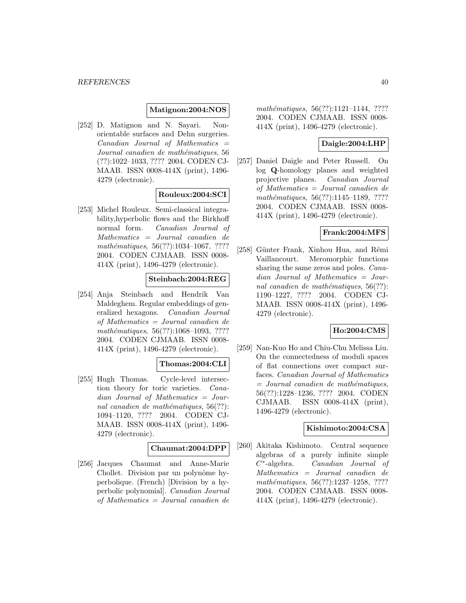#### **Matignon:2004:NOS**

[252] D. Matignon and N. Sayari. Nonorientable surfaces and Dehn surgeries.  $Canadian$  Journal of Mathematics  $=$ Journal canadien de mathématiques, 56 (??):1022–1033, ???? 2004. CODEN CJ-MAAB. ISSN 0008-414X (print), 1496- 4279 (electronic).

## **Rouleux:2004:SCI**

[253] Michel Rouleux. Semi-classical integrability,hyperbolic flows and the Birkhoff normal form. Canadian Journal of Mathematics = Journal canadien de mathématiques,  $56(??):1034-1067, ????$ 2004. CODEN CJMAAB. ISSN 0008- 414X (print), 1496-4279 (electronic).

## **Steinbach:2004:REG**

[254] Anja Steinbach and Hendrik Van Maldeghem. Regular embeddings of generalized hexagons. Canadian Journal of Mathematics = Journal canadien de mathématiques, 56(??):1068-1093, ???? 2004. CODEN CJMAAB. ISSN 0008- 414X (print), 1496-4279 (electronic).

### **Thomas:2004:CLI**

[255] Hugh Thomas. Cycle-level intersection theory for toric varieties. Canadian Journal of Mathematics = Journal canadien de mathématiques,  $56(??)$ : 1094–1120, ???? 2004. CODEN CJ-MAAB. ISSN 0008-414X (print), 1496- 4279 (electronic).

### **Chaumat:2004:DPP**

[256] Jacques Chaumat and Anne-Marie Chollet. Division par un polynôme hyperbolique. (French) [Division by a hyperbolic polynomial]. Canadian Journal of Mathematics = Journal canadien de mathématiques, 56(??):1121-1144, ???? 2004. CODEN CJMAAB. ISSN 0008- 414X (print), 1496-4279 (electronic).

### **Daigle:2004:LHP**

[257] Daniel Daigle and Peter Russell. On log **Q**-homology planes and weighted projective planes. Canadian Journal of Mathematics = Journal canadien de mathématiques, 56(??):1145–1189, ???? 2004. CODEN CJMAAB. ISSN 0008- 414X (print), 1496-4279 (electronic).

### **Frank:2004:MFS**

[258] Günter Frank, Xinhou Hua, and Rémi Vaillancourt. Meromorphic functions sharing the same zeros and poles. Canadian Journal of Mathematics = Journal canadien de mathématiques,  $56(??)$ : 1190–1227, ???? 2004. CODEN CJ-MAAB. ISSN 0008-414X (print), 1496- 4279 (electronic).

### **Ho:2004:CMS**

[259] Nan-Kuo Ho and Chiu-Chu Melissa Liu. On the connectedness of moduli spaces of flat connections over compact surfaces. Canadian Journal of Mathematics  $=$  Journal canadien de mathématiques, 56(??):1228–1236, ???? 2004. CODEN CJMAAB. ISSN 0008-414X (print), 1496-4279 (electronic).

### **Kishimoto:2004:CSA**

[260] Akitaka Kishimoto. Central sequence algebras of a purely infinite simple C∗-algebra. Canadian Journal of Mathematics = Journal canadien de mathématiques, 56(??):1237-1258, ???? 2004. CODEN CJMAAB. ISSN 0008- 414X (print), 1496-4279 (electronic).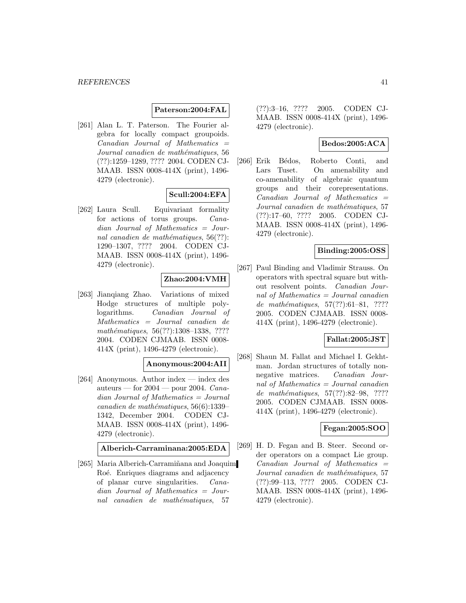#### **Paterson:2004:FAL**

[261] Alan L. T. Paterson. The Fourier algebra for locally compact groupoids.  $Canadian$  Journal of Mathematics  $=$ Journal canadien de mathématiques, 56 (??):1259–1289, ???? 2004. CODEN CJ-MAAB. ISSN 0008-414X (print), 1496- 4279 (electronic).

## **Scull:2004:EFA**

[262] Laura Scull. Equivariant formality for actions of torus groups. Canadian Journal of Mathematics = Journal canadien de mathématiques,  $56(??)$ : 1290–1307, ???? 2004. CODEN CJ-MAAB. ISSN 0008-414X (print), 1496- 4279 (electronic).

# **Zhao:2004:VMH**

[263] Jianqiang Zhao. Variations of mixed Hodge structures of multiple polylogarithms. Canadian Journal of Mathematics = Journal canadien de mathématiques, 56(??):1308-1338, ???? 2004. CODEN CJMAAB. ISSN 0008- 414X (print), 1496-4279 (electronic).

## **Anonymous:2004:AII**

[264] Anonymous. Author index — index des auteurs — for  $2004$  — pour 2004. Canadian Journal of Mathematics = Journal  $cana dien de mathématiques, 56(6):1339-$ 1342, December 2004. CODEN CJ-MAAB. ISSN 0008-414X (print), 1496- 4279 (electronic).

**Alberich-Carraminana:2005:EDA**

[265] Maria Alberich-Carramiñana and Joaquim Roé. Enriques diagrams and adjacency of planar curve singularities. Canadian Journal of Mathematics = Journal canadien de mathématiques, 57

(??):3–16, ???? 2005. CODEN CJ-MAAB. ISSN 0008-414X (print), 1496- 4279 (electronic).

## **Bedos:2005:ACA**

[266] Erik Bédos, Roberto Conti, and Lars Tuset. On amenability and co-amenability of algebraic quantum groups and their corepresentations.  $Canadian$  Journal of Mathematics  $=$ Journal canadien de mathématiques, 57 (??):17–60, ???? 2005. CODEN CJ-MAAB. ISSN 0008-414X (print), 1496- 4279 (electronic).

## **Binding:2005:OSS**

[267] Paul Binding and Vladimir Strauss. On operators with spectral square but without resolvent points. Canadian Journal of Mathematics = Journal canadien de mathématiques,  $57(??):61-81, ????$ 2005. CODEN CJMAAB. ISSN 0008- 414X (print), 1496-4279 (electronic).

# **Fallat:2005:JST**

[268] Shaun M. Fallat and Michael I. Gekhtman. Jordan structures of totally nonnegative matrices. Canadian Journal of Mathematics = Journal canadien de mathématiques, 57(??):82-98, ???? 2005. CODEN CJMAAB. ISSN 0008- 414X (print), 1496-4279 (electronic).

### **Fegan:2005:SOO**

[269] H. D. Fegan and B. Steer. Second order operators on a compact Lie group.  $Canadian$  Journal of Mathematics  $=$ Journal canadien de mathématiques, 57 (??):99–113, ???? 2005. CODEN CJ-MAAB. ISSN 0008-414X (print), 1496- 4279 (electronic).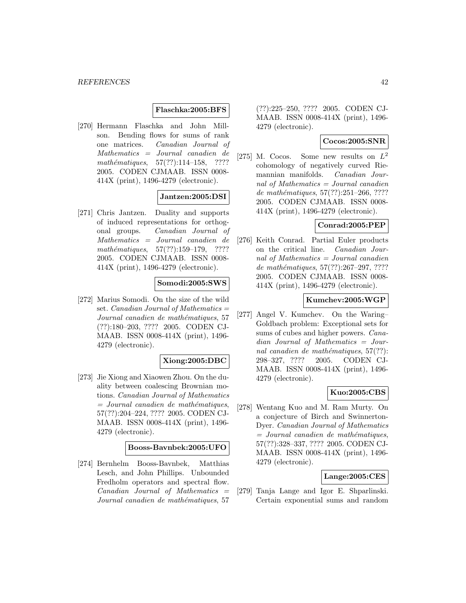#### **Flaschka:2005:BFS**

[270] Hermann Flaschka and John Millson. Bending flows for sums of rank one matrices. Canadian Journal of Mathematics = Journal canadien de mathématiques,  $57(??):114-158$ , ???? 2005. CODEN CJMAAB. ISSN 0008- 414X (print), 1496-4279 (electronic).

## **Jantzen:2005:DSI**

[271] Chris Jantzen. Duality and supports of induced representations for orthogonal groups. Canadian Journal of Mathematics = Journal canadien de mathématiques,  $57(??):159-179$ , ???? 2005. CODEN CJMAAB. ISSN 0008- 414X (print), 1496-4279 (electronic).

#### **Somodi:2005:SWS**

[272] Marius Somodi. On the size of the wild set. Canadian Journal of Mathematics  $=$ Journal canadien de mathématiques, 57 (??):180–203, ???? 2005. CODEN CJ-MAAB. ISSN 0008-414X (print), 1496- 4279 (electronic).

## **Xiong:2005:DBC**

[273] Jie Xiong and Xiaowen Zhou. On the duality between coalescing Brownian motions. Canadian Journal of Mathematics  $=$  Journal canadien de mathématiques, 57(??):204–224, ???? 2005. CODEN CJ-MAAB. ISSN 0008-414X (print), 1496- 4279 (electronic).

#### **Booss-Bavnbek:2005:UFO**

[274] Bernhelm Booss-Bavnbek, Matthias Lesch, and John Phillips. Unbounded Fredholm operators and spectral flow.  $Canadian$  Journal of Mathematics  $=$ Journal canadien de mathématiques, 57

(??):225–250, ???? 2005. CODEN CJ-MAAB. ISSN 0008-414X (print), 1496- 4279 (electronic).

### **Cocos:2005:SNR**

[275] M. Cocos. Some new results on  $L^2$ cohomology of negatively curved Riemannian manifolds. Canadian Journal of Mathematics = Journal canadien de mathématiques,  $57(??):251-266, ????$ 2005. CODEN CJMAAB. ISSN 0008- 414X (print), 1496-4279 (electronic).

### **Conrad:2005:PEP**

[276] Keith Conrad. Partial Euler products on the critical line. Canadian Journal of Mathematics = Journal canadien de mathématiques, 57(??):267-297, ???? 2005. CODEN CJMAAB. ISSN 0008- 414X (print), 1496-4279 (electronic).

#### **Kumchev:2005:WGP**

[277] Angel V. Kumchev. On the Waring– Goldbach problem: Exceptional sets for sums of cubes and higher powers. *Cana*dian Journal of Mathematics = Journal canadien de mathématiques,  $57(??)$ : 298–327, ???? 2005. CODEN CJ-MAAB. ISSN 0008-414X (print), 1496- 4279 (electronic).

#### **Kuo:2005:CBS**

[278] Wentang Kuo and M. Ram Murty. On a conjecture of Birch and Swinnerton-Dyer. Canadian Journal of Mathematics  $=$  Journal canadien de mathématiques, 57(??):328–337, ???? 2005. CODEN CJ-MAAB. ISSN 0008-414X (print), 1496- 4279 (electronic).

#### **Lange:2005:CES**

[279] Tanja Lange and Igor E. Shparlinski. Certain exponential sums and random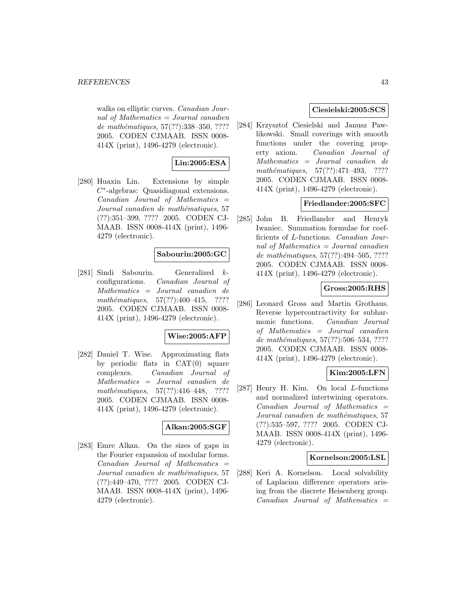walks on elliptic curves. Canadian Journal of Mathematics = Journal canadien de mathématiques, 57(??):338–350, ???? 2005. CODEN CJMAAB. ISSN 0008- 414X (print), 1496-4279 (electronic).

# **Lin:2005:ESA**

[280] Huaxin Lin. Extensions by simple C∗-algebras: Quasidiagonal extensions.  $Canadian$  Journal of Mathematics  $=$ Journal canadien de mathématiques, 57 (??):351–399, ???? 2005. CODEN CJ-MAAB. ISSN 0008-414X (print), 1496- 4279 (electronic).

### **Sabourin:2005:GC**

[281] Sindi Sabourin. Generalized kconfigurations. Canadian Journal of Mathematics = Journal canadien de mathématiques,  $57(??):400-415$ , ???? 2005. CODEN CJMAAB. ISSN 0008- 414X (print), 1496-4279 (electronic).

#### **Wise:2005:AFP**

[282] Daniel T. Wise. Approximating flats by periodic flats in  $CAT(0)$  square complexes. Canadian Journal of Mathematics = Journal canadien de mathématiques,  $57(??):416-448$ , ???? 2005. CODEN CJMAAB. ISSN 0008- 414X (print), 1496-4279 (electronic).

### **Alkan:2005:SGF**

[283] Emre Alkan. On the sizes of gaps in the Fourier expansion of modular forms.  $Canadian$  Journal of Mathematics  $=$ Journal canadien de mathématiques, 57 (??):449–470, ???? 2005. CODEN CJ-MAAB. ISSN 0008-414X (print), 1496- 4279 (electronic).

### **Ciesielski:2005:SCS**

[284] Krzysztof Ciesielski and Janusz Pawlikowski. Small coverings with smooth functions under the covering property axiom. Canadian Journal of Mathematics = Journal canadien de  $mathématiques, 57(??):471–493, ????$ 2005. CODEN CJMAAB. ISSN 0008- 414X (print), 1496-4279 (electronic).

## **Friedlander:2005:SFC**

[285] John B. Friedlander and Henryk Iwaniec. Summation formulae for coefficients of L-functions. Canadian Journal of Mathematics = Journal canadien de mathématiques, 57(??):494-505, ???? 2005. CODEN CJMAAB. ISSN 0008- 414X (print), 1496-4279 (electronic).

### **Gross:2005:RHS**

[286] Leonard Gross and Martin Grothaus. Reverse hypercontractivity for subharmonic functions. Canadian Journal of Mathematics = Journal canadien de mathématiques,  $57(??):506-534, ????$ 2005. CODEN CJMAAB. ISSN 0008- 414X (print), 1496-4279 (electronic).

# **Kim:2005:LFN**

[287] Henry H. Kim. On local L-functions and normalized intertwining operators.  $Canadian$  Journal of Mathematics  $=$ Journal canadien de mathématiques, 57 (??):535–597, ???? 2005. CODEN CJ-MAAB. ISSN 0008-414X (print), 1496- 4279 (electronic).

#### **Kornelson:2005:LSL**

[288] Keri A. Kornelson. Local solvability of Laplacian difference operators arising from the discrete Heisenberg group.  $Canadian$  Journal of Mathematics  $=$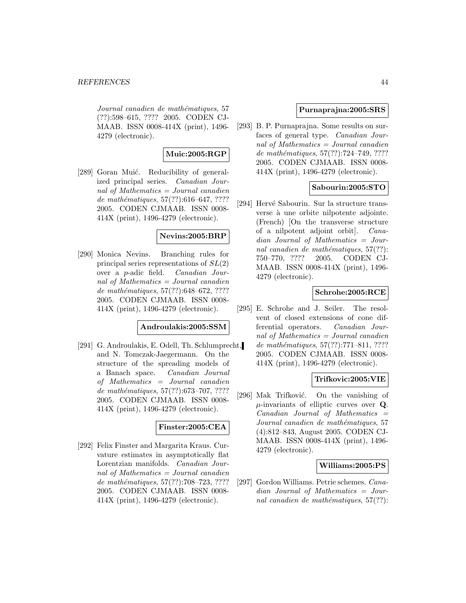Journal canadien de mathématiques, 57 (??):598–615, ???? 2005. CODEN CJ-MAAB. ISSN 0008-414X (print), 1496- 4279 (electronic).

# **Muic:2005:RGP**

[289] Goran Muić. Reducibility of generalized principal series. Canadian Journal of Mathematics = Journal canadien de mathématiques,  $57(??):616-647, ????$ 2005. CODEN CJMAAB. ISSN 0008- 414X (print), 1496-4279 (electronic).

## **Nevins:2005:BRP**

[290] Monica Nevins. Branching rules for principal series representations of  $SL(2)$ over a p-adic field. Canadian Journal of Mathematics = Journal canadien de mathématiques,  $57(??):648–672, ????$ 2005. CODEN CJMAAB. ISSN 0008- 414X (print), 1496-4279 (electronic).

## **Androulakis:2005:SSM**

[291] G. Androulakis, E. Odell, Th. Schlumprecht, and N. Tomczak-Jaegermann. On the structure of the spreading models of a Banach space. Canadian Journal of Mathematics = Journal canadien de mathématiques,  $57(??)$ :673-707, ???? 2005. CODEN CJMAAB. ISSN 0008- 414X (print), 1496-4279 (electronic).

# **Finster:2005:CEA**

[292] Felix Finster and Margarita Kraus. Curvature estimates in asymptotically flat Lorentzian manifolds. Canadian Journal of Mathematics  $=$  Journal canadien de mathématiques, 57(??):708–723, ???? 2005. CODEN CJMAAB. ISSN 0008- 414X (print), 1496-4279 (electronic).

## **Purnaprajna:2005:SRS**

[293] B. P. Purnaprajna. Some results on surfaces of general type. Canadian Journal of Mathematics = Journal canadien de mathématiques,  $57(??):724-749, ????$ 2005. CODEN CJMAAB. ISSN 0008- 414X (print), 1496-4279 (electronic).

## **Sabourin:2005:STO**

[294] Hervé Sabourin. Sur la structure transverse à une orbite nilpotente adjointe. (French) [On the transverse structure of a nilpotent adjoint orbit]. Canadian Journal of Mathematics = Journal canadien de mathématiques,  $57(??)$ : 750–770, ???? 2005. CODEN CJ-MAAB. ISSN 0008-414X (print), 1496- 4279 (electronic).

# **Schrohe:2005:RCE**

[295] E. Schrohe and J. Seiler. The resolvent of closed extensions of cone differential operators. Canadian Journal of Mathematics = Journal canadien de mathématiques,  $57(??):771-811, ????$ 2005. CODEN CJMAAB. ISSN 0008- 414X (print), 1496-4279 (electronic).

### **Trifkovic:2005:VIE**

[296] Mak Trifković. On the vanishing of µ-invariants of elliptic curves over **Q**.  $Canadian$  Journal of Mathematics  $=$ Journal canadien de mathématiques, 57 (4):812–843, August 2005. CODEN CJ-MAAB. ISSN 0008-414X (print), 1496- 4279 (electronic).

### **Williams:2005:PS**

[297] Gordon Williams. Petrie schemes. Canadian Journal of Mathematics = Journal canadien de mathématiques,  $57(??)$ :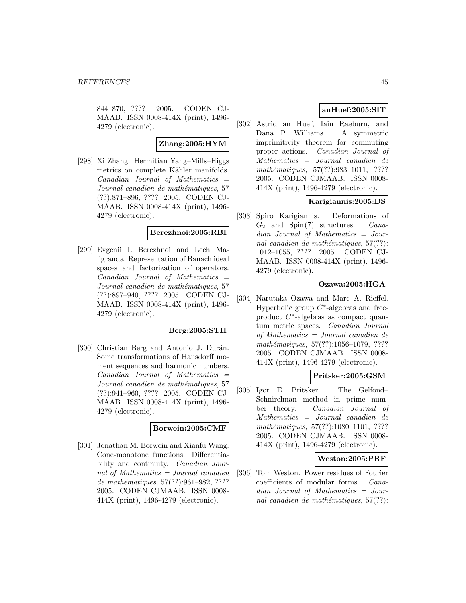844–870, ???? 2005. CODEN CJ-MAAB. ISSN 0008-414X (print), 1496- 4279 (electronic).

#### **Zhang:2005:HYM**

[298] Xi Zhang. Hermitian Yang–Mills–Higgs metrics on complete Kähler manifolds.  $Canadian$  Journal of Mathematics  $=$ Journal canadien de mathématiques, 57 (??):871–896, ???? 2005. CODEN CJ-MAAB. ISSN 0008-414X (print), 1496- 4279 (electronic).

### **Berezhnoi:2005:RBI**

[299] Evgenii I. Berezhnoi and Lech Maligranda. Representation of Banach ideal spaces and factorization of operators.  $Canadian$  Journal of Mathematics  $=$ Journal canadien de mathématiques, 57 (??):897–940, ???? 2005. CODEN CJ-MAAB. ISSN 0008-414X (print), 1496- 4279 (electronic).

#### **Berg:2005:STH**

[300] Christian Berg and Antonio J. Durán. Some transformations of Hausdorff moment sequences and harmonic numbers.  $Canadian$  Journal of Mathematics  $=$ Journal canadien de mathématiques, 57 (??):941–960, ???? 2005. CODEN CJ-MAAB. ISSN 0008-414X (print), 1496- 4279 (electronic).

#### **Borwein:2005:CMF**

[301] Jonathan M. Borwein and Xianfu Wang. Cone-monotone functions: Differentiability and continuity. Canadian Journal of Mathematics = Journal canadien de mathématiques, 57(??):961-982, ???? 2005. CODEN CJMAAB. ISSN 0008- 414X (print), 1496-4279 (electronic).

## **anHuef:2005:SIT**

[302] Astrid an Huef, Iain Raeburn, and Dana P. Williams. A symmetric imprimitivity theorem for commuting proper actions. Canadian Journal of Mathematics = Journal canadien de mathématiques, 57(??):983-1011, ???? 2005. CODEN CJMAAB. ISSN 0008- 414X (print), 1496-4279 (electronic).

# **Karigiannis:2005:DS**

[303] Spiro Karigiannis. Deformations of  $G_2$  and Spin(7) structures. Canadian Journal of Mathematics = Journal canadien de mathématiques,  $57(??)$ : 1012–1055, ???? 2005. CODEN CJ-MAAB. ISSN 0008-414X (print), 1496- 4279 (electronic).

### **Ozawa:2005:HGA**

[304] Narutaka Ozawa and Marc A. Rieffel. Hyperbolic group  $C^*$ -algebras and freeproduct C∗-algebras as compact quantum metric spaces. Canadian Journal of Mathematics = Journal canadien de mathématiques, 57(??):1056-1079, ???? 2005. CODEN CJMAAB. ISSN 0008- 414X (print), 1496-4279 (electronic).

# **Pritsker:2005:GSM**

[305] Igor E. Pritsker. The Gelfond– Schnirelman method in prime number theory. Canadian Journal of Mathematics = Journal canadien de mathématiques, 57(??):1080-1101, ???? 2005. CODEN CJMAAB. ISSN 0008- 414X (print), 1496-4279 (electronic).

#### **Weston:2005:PRF**

[306] Tom Weston. Power residues of Fourier coefficients of modular forms. Canadian Journal of Mathematics = Journal canadien de mathématiques,  $57(??)$ :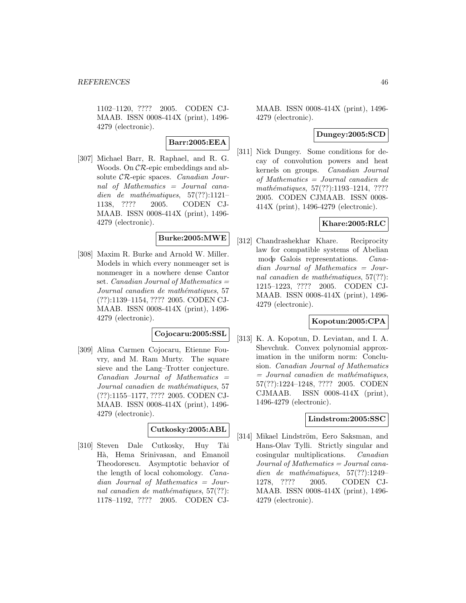1102–1120, ???? 2005. CODEN CJ-MAAB. ISSN 0008-414X (print), 1496- 4279 (electronic).

# **Barr:2005:EEA**

[307] Michael Barr, R. Raphael, and R. G. Woods. On CR-epic embeddings and absolute CR-epic spaces. Canadian Journal of Mathematics = Journal canadien de mathématiques,  $57(??):1121-$ 1138, ???? 2005. CODEN CJ-MAAB. ISSN 0008-414X (print), 1496- 4279 (electronic).

# **Burke:2005:MWE**

[308] Maxim R. Burke and Arnold W. Miller. Models in which every nonmeager set is nonmeager in a nowhere dense Cantor set. *Canadian Journal of Mathematics*  $=$ Journal canadien de mathématiques, 57 (??):1139–1154, ???? 2005. CODEN CJ-MAAB. ISSN 0008-414X (print), 1496- 4279 (electronic).

# **Cojocaru:2005:SSL**

[309] Alina Carmen Cojocaru, Etienne Fouvry, and M. Ram Murty. The square sieve and the Lang–Trotter conjecture.  $Canadian$  Journal of Mathematics  $=$ Journal canadien de mathématiques, 57 (??):1155–1177, ???? 2005. CODEN CJ-MAAB. ISSN 0008-414X (print), 1496- 4279 (electronic).

# **Cutkosky:2005:ABL**

[310] Steven Dale Cutkosky, Huy Tài Hà, Hema Srinivasan, and Emanoil Theodorescu. Asymptotic behavior of the length of local cohomology. Canadian Journal of Mathematics = Journal canadien de mathématiques,  $57(??)$ : 1178–1192, ???? 2005. CODEN CJ-

MAAB. ISSN 0008-414X (print), 1496- 4279 (electronic).

### **Dungey:2005:SCD**

[311] Nick Dungey. Some conditions for decay of convolution powers and heat kernels on groups. Canadian Journal of Mathematics = Journal canadien de mathématiques, 57(??):1193-1214, ???? 2005. CODEN CJMAAB. ISSN 0008- 414X (print), 1496-4279 (electronic).

## **Khare:2005:RLC**

[312] Chandrashekhar Khare. Reciprocity law for compatible systems of Abelian modp Galois representations. Canadian Journal of Mathematics = Journal canadien de mathématiques,  $57(??)$ : 1215–1223, ???? 2005. CODEN CJ-MAAB. ISSN 0008-414X (print), 1496- 4279 (electronic).

## **Kopotun:2005:CPA**

[313] K. A. Kopotun, D. Leviatan, and I. A. Shevchuk. Convex polynomial approximation in the uniform norm: Conclusion. Canadian Journal of Mathematics  $=$  Journal canadien de mathématiques, 57(??):1224–1248, ???? 2005. CODEN CJMAAB. ISSN 0008-414X (print), 1496-4279 (electronic).

### **Lindstrom:2005:SSC**

[314] Mikael Lindström, Eero Saksman, and Hans-Olav Tylli. Strictly singular and cosingular multiplications. Canadian Journal of Mathematics = Journal canadien de mathématiques,  $57(??):1249-$ 1278, ???? 2005. CODEN CJ-MAAB. ISSN 0008-414X (print), 1496- 4279 (electronic).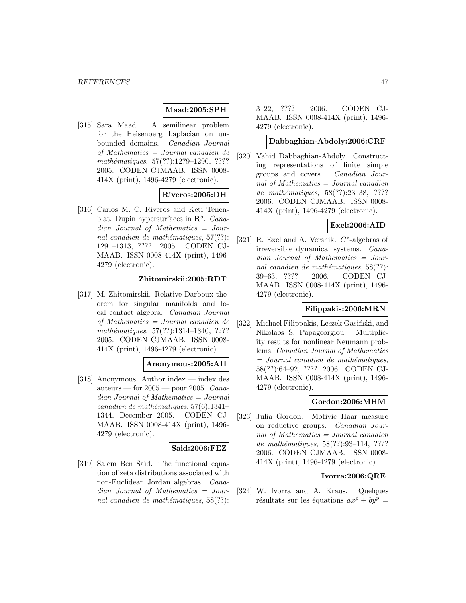## **Maad:2005:SPH**

[315] Sara Maad. A semilinear problem for the Heisenberg Laplacian on unbounded domains. Canadian Journal of Mathematics = Journal canadien de mathématiques, 57(??):1279-1290, ???? 2005. CODEN CJMAAB. ISSN 0008- 414X (print), 1496-4279 (electronic).

### **Riveros:2005:DH**

[316] Carlos M. C. Riveros and Keti Tenenblat. Dupin hypersurfaces in **R**<sup>5</sup>. Canadian Journal of Mathematics = Journal canadien de mathématiques,  $57(??)$ : 1291–1313, ???? 2005. CODEN CJ-MAAB. ISSN 0008-414X (print), 1496- 4279 (electronic).

#### **Zhitomirskii:2005:RDT**

[317] M. Zhitomirskii. Relative Darboux theorem for singular manifolds and local contact algebra. Canadian Journal of Mathematics = Journal canadien de mathématiques, 57(??):1314-1340, ???? 2005. CODEN CJMAAB. ISSN 0008- 414X (print), 1496-4279 (electronic).

# **Anonymous:2005:AII**

[318] Anonymous. Author index — index des auteurs — for  $2005$  — pour 2005. Canadian Journal of Mathematics = Journal canadien de mathématiques,  $57(6):1341-$ 1344, December 2005. CODEN CJ-MAAB. ISSN 0008-414X (print), 1496- 4279 (electronic).

### **Said:2006:FEZ**

[319] Salem Ben Saïd. The functional equation of zeta distributions associated with non-Euclidean Jordan algebras. Canadian Journal of Mathematics = Journal canadien de mathématiques,  $58(??)$ :

3–22, ???? 2006. CODEN CJ-MAAB. ISSN 0008-414X (print), 1496- 4279 (electronic).

### **Dabbaghian-Abdoly:2006:CRF**

[320] Vahid Dabbaghian-Abdoly. Constructing representations of finite simple groups and covers. Canadian Journal of Mathematics  $=$  Journal canadien de mathématiques, 58(??):23-38, ???? 2006. CODEN CJMAAB. ISSN 0008- 414X (print), 1496-4279 (electronic).

### **Exel:2006:AID**

[321] R. Exel and A. Vershik.  $C^*$ -algebras of irreversible dynamical systems. Canadian Journal of Mathematics = Journal canadien de mathématiques,  $58(??)$ : 39–63, ???? 2006. CODEN CJ-MAAB. ISSN 0008-414X (print), 1496- 4279 (electronic).

#### **Filippakis:2006:MRN**

[322] Michael Filippakis, Leszek Gasiński, and Nikolaos S. Papageorgiou. Multiplicity results for nonlinear Neumann problems. Canadian Journal of Mathematics  $=$  Journal canadien de mathématiques, 58(??):64–92, ???? 2006. CODEN CJ-MAAB. ISSN 0008-414X (print), 1496- 4279 (electronic).

### **Gordon:2006:MHM**

[323] Julia Gordon. Motivic Haar measure on reductive groups. Canadian Journal of Mathematics = Journal canadien de mathématiques, 58(??):93-114, ???? 2006. CODEN CJMAAB. ISSN 0008- 414X (print), 1496-4279 (electronic).

#### **Ivorra:2006:QRE**

[324] W. Ivorra and A. Kraus. Quelques résultats sur les équations  $ax^p + by^p =$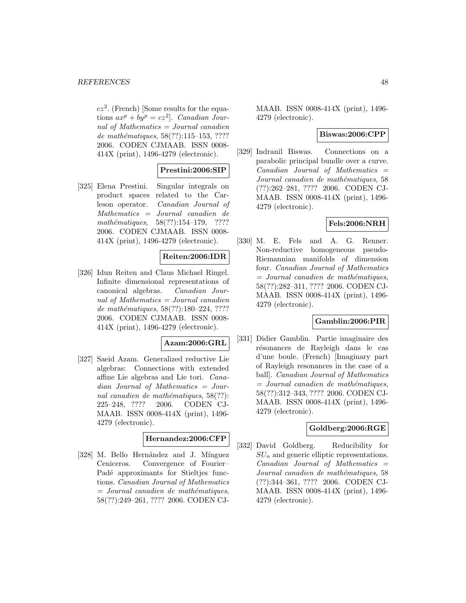$cz^2$ . (French) [Some results for the equations  $ax^p + by^p = cz^2$ . Canadian Journal of Mathematics  $=$  Journal canadien de mathématiques, 58(??):115–153, ???? 2006. CODEN CJMAAB. ISSN 0008- 414X (print), 1496-4279 (electronic).

## **Prestini:2006:SIP**

[325] Elena Prestini. Singular integrals on product spaces related to the Carleson operator. Canadian Journal of Mathematics = Journal canadien de mathématiques,  $58(??):154-179$ , ???? 2006. CODEN CJMAAB. ISSN 0008- 414X (print), 1496-4279 (electronic).

### **Reiten:2006:IDR**

[326] Idun Reiten and Claus Michael Ringel. Infinite dimensional representations of canonical algebras. Canadian Journal of Mathematics = Journal canadien de mathématiques, 58(??):180-224, ???? 2006. CODEN CJMAAB. ISSN 0008- 414X (print), 1496-4279 (electronic).

#### **Azam:2006:GRL**

[327] Saeid Azam. Generalized reductive Lie algebras: Connections with extended affine Lie algebras and Lie tori. Canadian Journal of Mathematics = Journal canadien de mathématiques,  $58(??)$ : 225–248, ???? 2006. CODEN CJ-MAAB. ISSN 0008-414X (print), 1496- 4279 (electronic).

#### **Hernandez:2006:CFP**

[328] M. Bello Hernández and J. Mínguez Ceniceros. Convergence of Fourier– Padé approximants for Stieltjes functions. Canadian Journal of Mathematics  $=$  Journal canadien de mathématiques, 58(??):249–261, ???? 2006. CODEN CJ-

MAAB. ISSN 0008-414X (print), 1496- 4279 (electronic).

#### **Biswas:2006:CPP**

[329] Indranil Biswas. Connections on a parabolic principal bundle over a curve.  $Canadian$  Journal of Mathematics  $=$ Journal canadien de mathématiques, 58 (??):262–281, ???? 2006. CODEN CJ-MAAB. ISSN 0008-414X (print), 1496- 4279 (electronic).

### **Fels:2006:NRH**

[330] M. E. Fels and A. G. Renner. Non-reductive homogeneous pseudo-Riemannian manifolds of dimension four. Canadian Journal of Mathematics  $=$  Journal canadien de mathématiques, 58(??):282–311, ???? 2006. CODEN CJ-MAAB. ISSN 0008-414X (print), 1496- 4279 (electronic).

### **Gamblin:2006:PIR**

[331] Didier Gamblin. Partie imaginaire des résonances de Rayleigh dans le cas d'une boule. (French) [Imaginary part of Rayleigh resonances in the case of a ball]. Canadian Journal of Mathematics  $=$  Journal canadien de mathématiques, 58(??):312–343, ???? 2006. CODEN CJ-MAAB. ISSN 0008-414X (print), 1496- 4279 (electronic).

### **Goldberg:2006:RGE**

[332] David Goldberg. Reducibility for  $SU_n$  and generic elliptic representations.  $Canadian$  Journal of Mathematics  $=$ Journal canadien de mathématiques, 58 (??):344–361, ???? 2006. CODEN CJ-MAAB. ISSN 0008-414X (print), 1496- 4279 (electronic).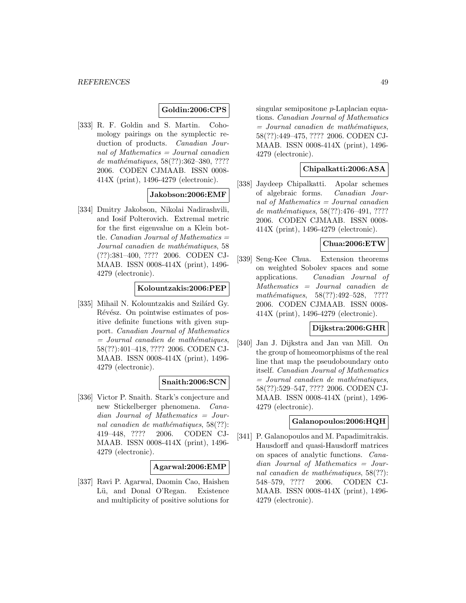### **Goldin:2006:CPS**

[333] R. F. Goldin and S. Martin. Cohomology pairings on the symplectic reduction of products. Canadian Journal of Mathematics = Journal canadien de mathématiques, 58(??):362-380, ???? 2006. CODEN CJMAAB. ISSN 0008- 414X (print), 1496-4279 (electronic).

### **Jakobson:2006:EMF**

[334] Dmitry Jakobson, Nikolai Nadirashvili, and Iosif Polterovich. Extremal metric for the first eigenvalue on a Klein bottle. *Canadian Journal of Mathematics*  $=$ Journal canadien de mathématiques, 58 (??):381–400, ???? 2006. CODEN CJ-MAAB. ISSN 0008-414X (print), 1496- 4279 (electronic).

## **Kolountzakis:2006:PEP**

[335] Mihail N. Kolountzakis and Szilárd Gy. Révész. On pointwise estimates of positive definite functions with given support. Canadian Journal of Mathematics  $=$  Journal canadien de mathématiques, 58(??):401–418, ???? 2006. CODEN CJ-MAAB. ISSN 0008-414X (print), 1496- 4279 (electronic).

#### **Snaith:2006:SCN**

[336] Victor P. Snaith. Stark's conjecture and new Stickelberger phenomena. Canadian Journal of Mathematics = Journal canadien de mathématiques,  $58(??)$ : 419–448, ???? 2006. CODEN CJ-MAAB. ISSN 0008-414X (print), 1496- 4279 (electronic).

### **Agarwal:2006:EMP**

[337] Ravi P. Agarwal, Daomin Cao, Haishen Lü, and Donal O'Regan. Existence and multiplicity of positive solutions for

singular semipositone p-Laplacian equations. Canadian Journal of Mathematics  $=$  Journal canadien de mathématiques, 58(??):449–475, ???? 2006. CODEN CJ-MAAB. ISSN 0008-414X (print), 1496- 4279 (electronic).

#### **Chipalkatti:2006:ASA**

[338] Jaydeep Chipalkatti. Apolar schemes of algebraic forms. Canadian Journal of Mathematics = Journal canadien de mathématiques, 58(??):476-491, ???? 2006. CODEN CJMAAB. ISSN 0008- 414X (print), 1496-4279 (electronic).

### **Chua:2006:ETW**

[339] Seng-Kee Chua. Extension theorems on weighted Sobolev spaces and some applications. Canadian Journal of Mathematics = Journal canadien de mathématiques, 58(??):492–528, ???? 2006. CODEN CJMAAB. ISSN 0008- 414X (print), 1496-4279 (electronic).

#### **Dijkstra:2006:GHR**

[340] Jan J. Dijkstra and Jan van Mill. On the group of homeomorphisms of the real line that map the pseudoboundary onto itself. Canadian Journal of Mathematics  $=$  Journal canadien de mathématiques, 58(??):529–547, ???? 2006. CODEN CJ-MAAB. ISSN 0008-414X (print), 1496- 4279 (electronic).

#### **Galanopoulos:2006:HQH**

[341] P. Galanopoulos and M. Papadimitrakis. Hausdorff and quasi-Hausdorff matrices on spaces of analytic functions. Canadian Journal of Mathematics = Journal canadien de mathématiques,  $58(??)$ : 548–579, ???? 2006. CODEN CJ-MAAB. ISSN 0008-414X (print), 1496- 4279 (electronic).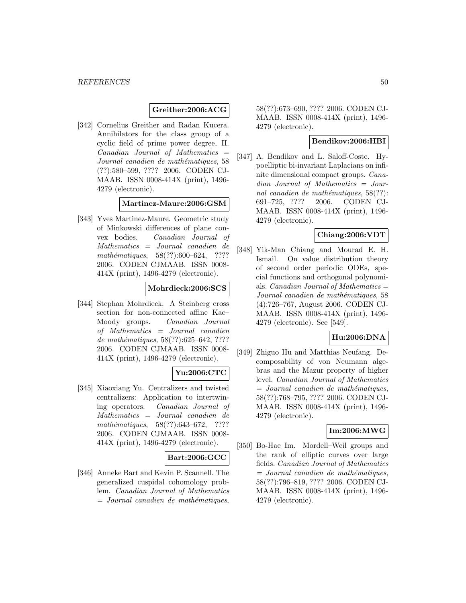### **Greither:2006:ACG**

[342] Cornelius Greither and Radan Kucera. Annihilators for the class group of a cyclic field of prime power degree, II.  $Canadian$  Journal of Mathematics  $=$ Journal canadien de mathématiques, 58 (??):580–599, ???? 2006. CODEN CJ-MAAB. ISSN 0008-414X (print), 1496- 4279 (electronic).

#### **Martinez-Maure:2006:GSM**

[343] Yves Martinez-Maure. Geometric study of Minkowski differences of plane convex bodies. Canadian Journal of Mathematics = Journal canadien de mathématiques,  $58(??):600-624$ , ???? 2006. CODEN CJMAAB. ISSN 0008- 414X (print), 1496-4279 (electronic).

## **Mohrdieck:2006:SCS**

[344] Stephan Mohrdieck. A Steinberg cross section for non-connected affine Kac– Moody groups. Canadian Journal of Mathematics = Journal canadien de mathématiques,  $58(??):625-642, ????$ 2006. CODEN CJMAAB. ISSN 0008- 414X (print), 1496-4279 (electronic).

## **Yu:2006:CTC**

[345] Xiaoxiang Yu. Centralizers and twisted centralizers: Application to intertwining operators. Canadian Journal of Mathematics = Journal canadien de mathématiques,  $58(??):643-672$ , ???? 2006. CODEN CJMAAB. ISSN 0008- 414X (print), 1496-4279 (electronic).

#### **Bart:2006:GCC**

[346] Anneke Bart and Kevin P. Scannell. The generalized cuspidal cohomology problem. Canadian Journal of Mathematics  $=$  Journal canadien de mathématiques,

58(??):673–690, ???? 2006. CODEN CJ-MAAB. ISSN 0008-414X (print), 1496- 4279 (electronic).

### **Bendikov:2006:HBI**

[347] A. Bendikov and L. Saloff-Coste. Hypoelliptic bi-invariant Laplacians on infinite dimensional compact groups. Canadian Journal of Mathematics = Journal canadien de mathématiques,  $58(??)$ : 691–725, ???? 2006. CODEN CJ-MAAB. ISSN 0008-414X (print), 1496- 4279 (electronic).

## **Chiang:2006:VDT**

[348] Yik-Man Chiang and Mourad E. H. Ismail. On value distribution theory of second order periodic ODEs, special functions and orthogonal polynomials. *Canadian Journal of Mathematics*  $=$ Journal canadien de mathématiques, 58 (4):726–767, August 2006. CODEN CJ-MAAB. ISSN 0008-414X (print), 1496- 4279 (electronic). See [549].

### **Hu:2006:DNA**

[349] Zhiguo Hu and Matthias Neufang. Decomposability of von Neumann algebras and the Mazur property of higher level. Canadian Journal of Mathematics  $=$  Journal canadien de mathématiques, 58(??):768–795, ???? 2006. CODEN CJ-MAAB. ISSN 0008-414X (print), 1496- 4279 (electronic).

#### **Im:2006:MWG**

[350] Bo-Hae Im. Mordell–Weil groups and the rank of elliptic curves over large fields. Canadian Journal of Mathematics  $=$  Journal canadien de mathématiques, 58(??):796–819, ???? 2006. CODEN CJ-MAAB. ISSN 0008-414X (print), 1496- 4279 (electronic).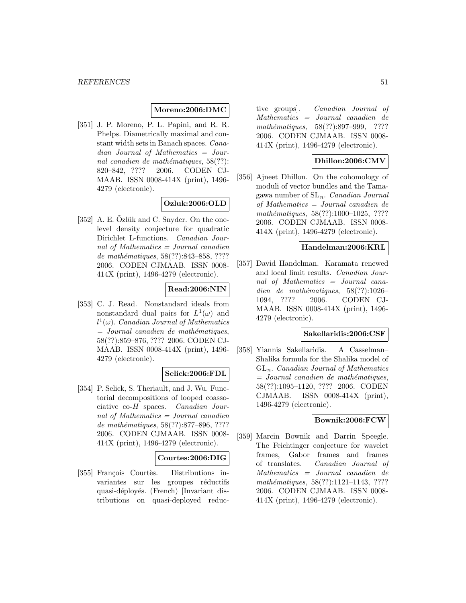### **Moreno:2006:DMC**

[351] J. P. Moreno, P. L. Papini, and R. R. Phelps. Diametrically maximal and constant width sets in Banach spaces. Canadian Journal of Mathematics = Journal canadien de mathématiques,  $58(??)$ : 820–842, ???? 2006. CODEN CJ-MAAB. ISSN 0008-414X (print), 1496- 4279 (electronic).

# **Ozluk:2006:OLD**

 $[352]$  A. E. Ozlük and C. Snyder. On the onelevel density conjecture for quadratic Dirichlet L-functions. Canadian Journal of Mathematics = Journal canadien de mathématiques, 58(??):843-858, ???? 2006. CODEN CJMAAB. ISSN 0008- 414X (print), 1496-4279 (electronic).

## **Read:2006:NIN**

[353] C. J. Read. Nonstandard ideals from nonstandard dual pairs for  $L^1(\omega)$  and  $l^1(\omega)$ . Canadian Journal of Mathematics  $=$  Journal canadien de mathématiques, 58(??):859–876, ???? 2006. CODEN CJ-MAAB. ISSN 0008-414X (print), 1496- 4279 (electronic).

### **Selick:2006:FDL**

[354] P. Selick, S. Theriault, and J. Wu. Functorial decompositions of looped coassociative co-H spaces. Canadian Journal of Mathematics = Journal canadien de mathématiques, 58(??):877–896, ???? 2006. CODEN CJMAAB. ISSN 0008- 414X (print), 1496-4279 (electronic).

#### **Courtes:2006:DIG**

[355] François Courtès. Distributions invariantes sur les groupes réductifs quasi-déployés. (French) [Invariant distributions on quasi-deployed reduc-

tive groups]. Canadian Journal of Mathematics = Journal canadien de mathématiques, 58(??):897–999, ???? 2006. CODEN CJMAAB. ISSN 0008- 414X (print), 1496-4279 (electronic).

### **Dhillon:2006:CMV**

[356] Ajneet Dhillon. On the cohomology of moduli of vector bundles and the Tamagawa number of  $SL_n$ . *Canadian Journal* of Mathematics = Journal canadien de mathématiques, 58(??):1000-1025, ???? 2006. CODEN CJMAAB. ISSN 0008- 414X (print), 1496-4279 (electronic).

### **Handelman:2006:KRL**

[357] David Handelman. Karamata renewed and local limit results. Canadian Journal of Mathematics = Journal canadien de mathématiques,  $58(??):1026-$ 1094, ???? 2006. CODEN CJ-MAAB. ISSN 0008-414X (print), 1496- 4279 (electronic).

#### **Sakellaridis:2006:CSF**

[358] Yiannis Sakellaridis. A Casselman– Shalika formula for the Shalika model of  $GL_n$ . Canadian Journal of Mathematics  $=$  Journal canadien de mathématiques, 58(??):1095–1120, ???? 2006. CODEN CJMAAB. ISSN 0008-414X (print), 1496-4279 (electronic).

## **Bownik:2006:FCW**

[359] Marcin Bownik and Darrin Speegle. The Feichtinger conjecture for wavelet frames, Gabor frames and frames of translates. Canadian Journal of Mathematics = Journal canadien de mathématiques, 58(??):1121-1143, ???? 2006. CODEN CJMAAB. ISSN 0008- 414X (print), 1496-4279 (electronic).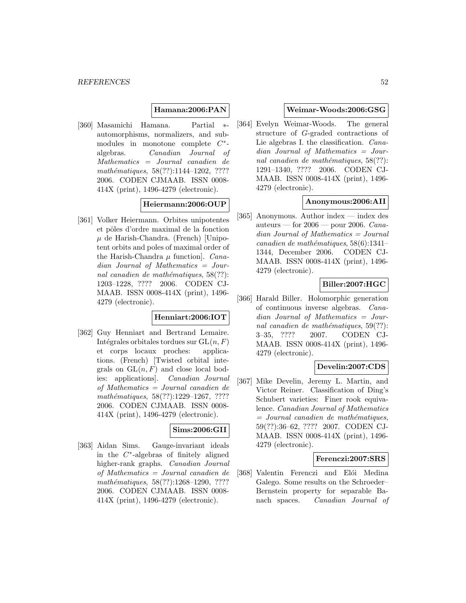### **Hamana:2006:PAN**

[360] Masamichi Hamana. Partial ∗ automorphisms, normalizers, and submodules in monotone complete C∗ algebras. Canadian Journal of Mathematics = Journal canadien de mathématiques, 58(??):1144–1202, ???? 2006. CODEN CJMAAB. ISSN 0008- 414X (print), 1496-4279 (electronic).

### **Heiermann:2006:OUP**

[361] Volker Heiermann. Orbites unipotentes et pôles d'ordre maximal de la fonction  $\mu$  de Harish-Chandra. (French) [Unipotent orbits and poles of maximal order of the Harish-Chandra  $\mu$  function. *Cana*dian Journal of Mathematics = Journal canadien de mathématiques,  $58(??)$ : 1203–1228, ???? 2006. CODEN CJ-MAAB. ISSN 0008-414X (print), 1496- 4279 (electronic).

#### **Henniart:2006:IOT**

[362] Guy Henniart and Bertrand Lemaire. Intégrales orbitales tordues sur  $GL(n, F)$ et corps locaux proches: applications. (French) [Twisted orbital integrals on  $GL(n, F)$  and close local bodies: applications]. Canadian Journal of Mathematics = Journal canadien de mathématiques, 58(??):1229-1267, ???? 2006. CODEN CJMAAB. ISSN 0008- 414X (print), 1496-4279 (electronic).

### **Sims:2006:GII**

[363] Aidan Sims. Gauge-invariant ideals in the  $C^*$ -algebras of finitely aligned higher-rank graphs. Canadian Journal of Mathematics = Journal canadien de mathématiques, 58(??):1268-1290, ???? 2006. CODEN CJMAAB. ISSN 0008- 414X (print), 1496-4279 (electronic).

### **Weimar-Woods:2006:GSG**

[364] Evelyn Weimar-Woods. The general structure of G-graded contractions of Lie algebras I. the classification. Canadian Journal of Mathematics = Journal canadien de mathématiques,  $58(??)$ : 1291–1340, ???? 2006. CODEN CJ-MAAB. ISSN 0008-414X (print), 1496- 4279 (electronic).

# **Anonymous:2006:AII**

[365] Anonymous. Author index — index des auteurs — for  $2006$  — pour 2006. Canadian Journal of Mathematics = Journal canadien de mathématiques,  $58(6):1341-$ 1344, December 2006. CODEN CJ-MAAB. ISSN 0008-414X (print), 1496- 4279 (electronic).

#### **Biller:2007:HGC**

[366] Harald Biller. Holomorphic generation of continuous inverse algebras. Canadian Journal of Mathematics = Journal canadien de mathématiques,  $59(??)$ : 3–35, ???? 2007. CODEN CJ-MAAB. ISSN 0008-414X (print), 1496- 4279 (electronic).

### **Develin:2007:CDS**

[367] Mike Develin, Jeremy L. Martin, and Victor Reiner. Classification of Ding's Schubert varieties: Finer rook equivalence. Canadian Journal of Mathematics  $=$  Journal canadien de mathématiques, 59(??):36–62, ???? 2007. CODEN CJ-MAAB. ISSN 0008-414X (print), 1496- 4279 (electronic).

#### **Ferenczi:2007:SRS**

[368] Valentin Ferenczi and Elói Medina Galego. Some results on the Schroeder– Bernstein property for separable Banach spaces. Canadian Journal of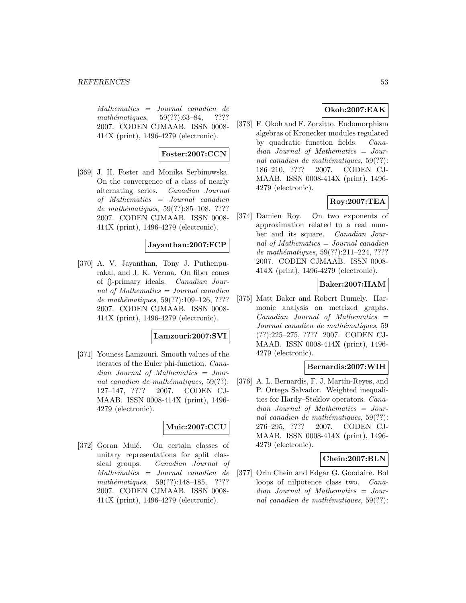Mathematics = Journal canadien de mathématiques,  $59(??):63–84$ , ???? 2007. CODEN CJMAAB. ISSN 0008- 414X (print), 1496-4279 (electronic).

## **Foster:2007:CCN**

[369] J. H. Foster and Monika Serbinowska. On the convergence of a class of nearly alternating series. Canadian Journal of Mathematics = Journal canadien de mathématiques,  $59(??):85-108$ , ???? 2007. CODEN CJMAAB. ISSN 0008- 414X (print), 1496-4279 (electronic).

#### **Jayanthan:2007:FCP**

[370] A. V. Jayanthan, Tony J. Puthenpurakal, and J. K. Verma. On fiber cones of  $\arrow$ -primary ideals. *Canadian Jour*nal of Mathematics = Journal canadien de mathématiques,  $59(??):109-126, ????$ 2007. CODEN CJMAAB. ISSN 0008- 414X (print), 1496-4279 (electronic).

#### **Lamzouri:2007:SVI**

[371] Youness Lamzouri. Smooth values of the iterates of the Euler phi-function. Canadian Journal of Mathematics = Journal canadien de mathématiques,  $59(??)$ : 127–147, ???? 2007. CODEN CJ-MAAB. ISSN 0008-414X (print), 1496- 4279 (electronic).

# **Muic:2007:CCU**

[372] Goran Muić. On certain classes of unitary representations for split classical groups. Canadian Journal of Mathematics = Journal canadien de mathématiques,  $59(??):148-185$ , ???? 2007. CODEN CJMAAB. ISSN 0008- 414X (print), 1496-4279 (electronic).

# **Okoh:2007:EAK**

[373] F. Okoh and F. Zorzitto. Endomorphism algebras of Kronecker modules regulated by quadratic function fields. Canadian Journal of Mathematics = Journal canadien de mathématiques,  $59(??)$ : 186–210, ???? 2007. CODEN CJ-MAAB. ISSN 0008-414X (print), 1496- 4279 (electronic).

# **Roy:2007:TEA**

[374] Damien Roy. On two exponents of approximation related to a real number and its square. Canadian Journal of Mathematics  $=$  Journal canadien de mathématiques,  $59(??):211-224, ????$ 2007. CODEN CJMAAB. ISSN 0008- 414X (print), 1496-4279 (electronic).

## **Baker:2007:HAM**

[375] Matt Baker and Robert Rumely. Harmonic analysis on metrized graphs.  $Canadian$  Journal of Mathematics  $=$ Journal canadien de mathématiques, 59 (??):225–275, ???? 2007. CODEN CJ-MAAB. ISSN 0008-414X (print), 1496- 4279 (electronic).

## **Bernardis:2007:WIH**

[376] A. L. Bernardis, F. J. Martín-Reyes, and P. Ortega Salvador. Weighted inequalities for Hardy–Steklov operators. Canadian Journal of Mathematics = Journal canadien de mathématiques,  $59(??)$ : 276–295, ???? 2007. CODEN CJ-MAAB. ISSN 0008-414X (print), 1496- 4279 (electronic).

#### **Chein:2007:BLN**

[377] Orin Chein and Edgar G. Goodaire. Bol loops of nilpotence class two. Canadian Journal of Mathematics = Journal canadien de mathématiques,  $59(??)$ :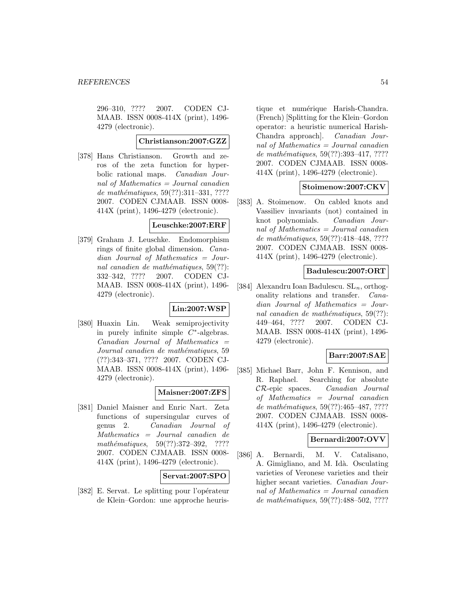296–310, ???? 2007. CODEN CJ-MAAB. ISSN 0008-414X (print), 1496- 4279 (electronic).

## **Christianson:2007:GZZ**

[378] Hans Christianson. Growth and zeros of the zeta function for hyperbolic rational maps. Canadian Journal of Mathematics = Journal canadien de mathématiques, 59(??):311-331, ???? 2007. CODEN CJMAAB. ISSN 0008- 414X (print), 1496-4279 (electronic).

## **Leuschke:2007:ERF**

[379] Graham J. Leuschke. Endomorphism rings of finite global dimension. Canadian Journal of Mathematics = Journal canadien de mathématiques,  $59(??)$ : 332–342, ???? 2007. CODEN CJ-MAAB. ISSN 0008-414X (print), 1496- 4279 (electronic).

## **Lin:2007:WSP**

[380] Huaxin Lin. Weak semiprojectivity in purely infinite simple  $C^*$ -algebras.  $Canadian$  Journal of Mathematics  $=$ Journal canadien de mathématiques, 59 (??):343–371, ???? 2007. CODEN CJ-MAAB. ISSN 0008-414X (print), 1496- 4279 (electronic).

### **Maisner:2007:ZFS**

[381] Daniel Maisner and Enric Nart. Zeta functions of supersingular curves of genus 2. Canadian Journal of Mathematics = Journal canadien de mathématiques,  $59(??):372-392$ , ???? 2007. CODEN CJMAAB. ISSN 0008- 414X (print), 1496-4279 (electronic).

#### **Servat:2007:SPO**

[382] E. Servat. Le splitting pour l'opérateur de Klein–Gordon: une approche heuris-

tique et numérique Harish-Chandra. (French) [Splitting for the Klein–Gordon operator: a heuristic numerical Harish-Chandra approach]. Canadian Journal of Mathematics  $=$  Journal canadien de mathématiques, 59(??):393-417, ???? 2007. CODEN CJMAAB. ISSN 0008- 414X (print), 1496-4279 (electronic).

## **Stoimenow:2007:CKV**

[383] A. Stoimenow. On cabled knots and Vassiliev invariants (not) contained in knot polynomials. Canadian Journal of Mathematics  $=$  Journal canadien de mathématiques, 59(??):418-448, ???? 2007. CODEN CJMAAB. ISSN 0008- 414X (print), 1496-4279 (electronic).

#### **Badulescu:2007:ORT**

[384] Alexandru Ioan Badulescu.  $SL_n$ , orthogonality relations and transfer. Canadian Journal of Mathematics = Journal canadien de mathématiques,  $59(??)$ : 449–464, ???? 2007. CODEN CJ-MAAB. ISSN 0008-414X (print), 1496- 4279 (electronic).

### **Barr:2007:SAE**

[385] Michael Barr, John F. Kennison, and R. Raphael. Searching for absolute CR-epic spaces. Canadian Journal of Mathematics = Journal canadien de mathématiques,  $59(??):465-487, ????$ 2007. CODEN CJMAAB. ISSN 0008- 414X (print), 1496-4279 (electronic).

## **Bernardi:2007:OVV**

[386] A. Bernardi, M. V. Catalisano, A. Gimigliano, and M. Idà. Osculating varieties of Veronese varieties and their higher secant varieties. Canadian Journal of Mathematics  $=$  Journal canadien de mathématiques,  $59(??):488-502, ????$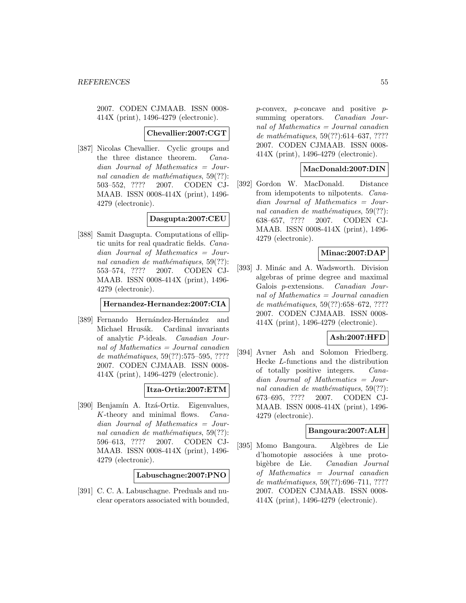2007. CODEN CJMAAB. ISSN 0008- 414X (print), 1496-4279 (electronic).

#### **Chevallier:2007:CGT**

[387] Nicolas Chevallier. Cyclic groups and the three distance theorem. Canadian Journal of Mathematics = Journal canadien de mathématiques,  $59(??)$ : 503–552, ???? 2007. CODEN CJ-MAAB. ISSN 0008-414X (print), 1496- 4279 (electronic).

## **Dasgupta:2007:CEU**

[388] Samit Dasgupta. Computations of elliptic units for real quadratic fields. Canadian Journal of Mathematics = Journal canadien de mathématiques,  $59(??)$ : 553–574, ???? 2007. CODEN CJ-MAAB. ISSN 0008-414X (print), 1496- 4279 (electronic).

#### **Hernandez-Hernandez:2007:CIA**

[389] Fernando Hernández-Hernández and Michael Hrusák. Cardinal invariants of analytic P-ideals. Canadian Journal of Mathematics = Journal canadien de mathématiques, 59(??):575–595, ???? 2007. CODEN CJMAAB. ISSN 0008- 414X (print), 1496-4279 (electronic).

### **Itza-Ortiz:2007:ETM**

[390] Benjamín A. Itzá-Ortiz. Eigenvalues, K-theory and minimal flows. Canadian Journal of Mathematics = Journal canadien de mathématiques,  $59(??)$ : 596–613, ???? 2007. CODEN CJ-MAAB. ISSN 0008-414X (print), 1496- 4279 (electronic).

**Labuschagne:2007:PNO**

[391] C. C. A. Labuschagne. Preduals and nuclear operators associated with bounded,  $p$ -convex,  $p$ -concave and positive  $p$ summing operators. *Canadian Jour*nal of Mathematics  $=$  Journal canadien de mathématiques,  $59(??):614-637, ????$ 2007. CODEN CJMAAB. ISSN 0008- 414X (print), 1496-4279 (electronic).

#### **MacDonald:2007:DIN**

[392] Gordon W. MacDonald. Distance from idempotents to nilpotents. Canadian Journal of Mathematics = Journal canadien de mathématiques,  $59(??)$ : 638–657, ???? 2007. CODEN CJ-MAAB. ISSN 0008-414X (print), 1496- 4279 (electronic).

## **Minac:2007:DAP**

[393] J. Minác and A. Wadsworth. Division algebras of prime degree and maximal Galois p-extensions. Canadian Journal of Mathematics = Journal canadien de mathématiques, 59(??):658–672, ???? 2007. CODEN CJMAAB. ISSN 0008- 414X (print), 1496-4279 (electronic).

### **Ash:2007:HFD**

[394] Avner Ash and Solomon Friedberg. Hecke L-functions and the distribution of totally positive integers. Canadian Journal of Mathematics = Journal canadien de mathématiques,  $59(??)$ : 673–695, ???? 2007. CODEN CJ-MAAB. ISSN 0008-414X (print), 1496- 4279 (electronic).

#### **Bangoura:2007:ALH**

[395] Momo Bangoura. Algèbres de Lie d'homotopie associées à une protobigèbre de Lie. Canadian Journal of Mathematics = Journal canadien de mathématiques, 59(??):696-711, ???? 2007. CODEN CJMAAB. ISSN 0008- 414X (print), 1496-4279 (electronic).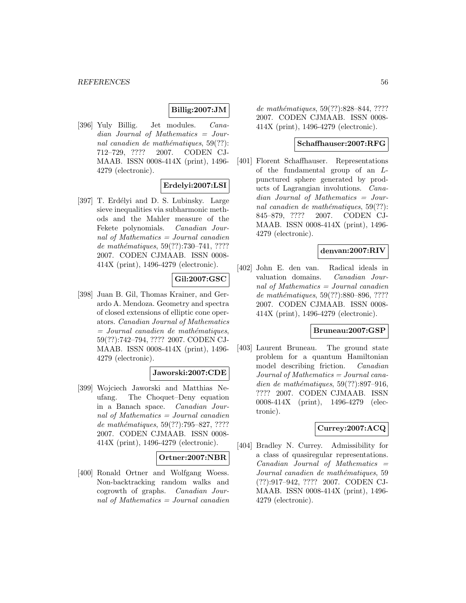## **Billig:2007:JM**

[396] Yuly Billig. Jet modules. Canadian Journal of Mathematics = Journal canadien de mathématiques,  $59(??)$ : 712–729, ???? 2007. CODEN CJ-MAAB. ISSN 0008-414X (print), 1496- 4279 (electronic).

## **Erdelyi:2007:LSI**

[397] T. Erdélyi and D. S. Lubinsky. Large sieve inequalities via subharmonic methods and the Mahler measure of the Fekete polynomials. Canadian Journal of Mathematics = Journal canadien de mathématiques,  $59(??):730–741, ????$ 2007. CODEN CJMAAB. ISSN 0008- 414X (print), 1496-4279 (electronic).

### **Gil:2007:GSC**

[398] Juan B. Gil, Thomas Krainer, and Gerardo A. Mendoza. Geometry and spectra of closed extensions of elliptic cone operators. Canadian Journal of Mathematics  $=$  Journal canadien de mathématiques, 59(??):742–794, ???? 2007. CODEN CJ-MAAB. ISSN 0008-414X (print), 1496- 4279 (electronic).

### **Jaworski:2007:CDE**

[399] Wojciech Jaworski and Matthias Neufang. The Choquet–Deny equation in a Banach space. Canadian Journal of Mathematics = Journal canadien de mathématiques,  $59(??):795–827, ????$ 2007. CODEN CJMAAB. ISSN 0008- 414X (print), 1496-4279 (electronic).

### **Ortner:2007:NBR**

[400] Ronald Ortner and Wolfgang Woess. Non-backtracking random walks and cogrowth of graphs. Canadian Journal of Mathematics = Journal canadien

de mathématiques, 59(??):828–844, ???? 2007. CODEN CJMAAB. ISSN 0008- 414X (print), 1496-4279 (electronic).

#### **Schaffhauser:2007:RFG**

[401] Florent Schaffhauser. Representations of the fundamental group of an Lpunctured sphere generated by products of Lagrangian involutions. Canadian Journal of Mathematics = Journal canadien de mathématiques,  $59(??)$ : 845–879, ???? 2007. CODEN CJ-MAAB. ISSN 0008-414X (print), 1496- 4279 (electronic).

## **denvan:2007:RIV**

[402] John E. den van. Radical ideals in valuation domains. Canadian Journal of Mathematics = Journal canadien de mathématiques, 59(??):880–896, ???? 2007. CODEN CJMAAB. ISSN 0008- 414X (print), 1496-4279 (electronic).

#### **Bruneau:2007:GSP**

[403] Laurent Bruneau. The ground state problem for a quantum Hamiltonian model describing friction. Canadian Journal of Mathematics = Journal canadien de mathématiques,  $59(??):897-916$ , ???? 2007. CODEN CJMAAB. ISSN 0008-414X (print), 1496-4279 (electronic).

#### **Currey:2007:ACQ**

[404] Bradley N. Currey. Admissibility for a class of quasiregular representations.  $Canadian$  Journal of Mathematics  $=$ Journal canadien de mathématiques, 59 (??):917–942, ???? 2007. CODEN CJ-MAAB. ISSN 0008-414X (print), 1496- 4279 (electronic).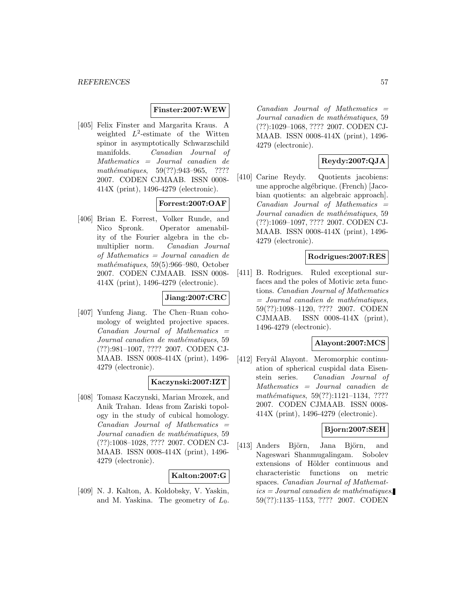#### **Finster:2007:WEW**

[405] Felix Finster and Margarita Kraus. A weighted  $L^2$ -estimate of the Witten spinor in asymptotically Schwarzschild manifolds. Canadian Journal of Mathematics = Journal canadien de mathématiques, 59(??):943-965, ???? 2007. CODEN CJMAAB. ISSN 0008- 414X (print), 1496-4279 (electronic).

# **Forrest:2007:OAF**

[406] Brian E. Forrest, Volker Runde, and Nico Spronk. Operator amenability of the Fourier algebra in the cbmultiplier norm. Canadian Journal of Mathematics = Journal canadien de mathématiques,  $59(5):966-980$ , October 2007. CODEN CJMAAB. ISSN 0008- 414X (print), 1496-4279 (electronic).

# **Jiang:2007:CRC**

[407] Yunfeng Jiang. The Chen–Ruan cohomology of weighted projective spaces.  $Canadian$  Journal of Mathematics  $=$ Journal canadien de mathématiques, 59 (??):981–1007, ???? 2007. CODEN CJ-MAAB. ISSN 0008-414X (print), 1496- 4279 (electronic).

#### **Kaczynski:2007:IZT**

[408] Tomasz Kaczynski, Marian Mrozek, and Anik Trahan. Ideas from Zariski topology in the study of cubical homology.  $Canadian$  Journal of Mathematics  $=$ Journal canadien de mathématiques, 59 (??):1008–1028, ???? 2007. CODEN CJ-MAAB. ISSN 0008-414X (print), 1496- 4279 (electronic).

### **Kalton:2007:G**

[409] N. J. Kalton, A. Koldobsky, V. Yaskin, and M. Yaskina. The geometry of  $L_0$ .  $Canadian$  Journal of Mathematics  $=$ Journal canadien de mathématiques, 59 (??):1029–1068, ???? 2007. CODEN CJ-MAAB. ISSN 0008-414X (print), 1496- 4279 (electronic).

## **Reydy:2007:QJA**

[410] Carine Reydy. Quotients jacobiens: une approche alg´ebrique. (French) [Jacobian quotients: an algebraic approach].  $Canadian$  Journal of Mathematics  $=$ Journal canadien de mathématiques, 59 (??):1069–1097, ???? 2007. CODEN CJ-MAAB. ISSN 0008-414X (print), 1496- 4279 (electronic).

#### **Rodrigues:2007:RES**

[411] B. Rodrigues. Ruled exceptional surfaces and the poles of Motivic zeta functions. Canadian Journal of Mathematics  $=$  Journal canadien de mathématiques, 59(??):1098–1120, ???? 2007. CODEN CJMAAB. ISSN 0008-414X (print), 1496-4279 (electronic).

#### **Alayont:2007:MCS**

[412] Feryâl Alayont. Meromorphic continuation of spherical cuspidal data Eisenstein series. Canadian Journal of Mathematics = Journal canadien de mathématiques, 59(??):1121-1134, ???? 2007. CODEN CJMAAB. ISSN 0008- 414X (print), 1496-4279 (electronic).

# **Bjorn:2007:SEH**

[413] Anders Björn, Jana Björn, and Nageswari Shanmugalingam. Sobolev extensions of Hölder continuous and characteristic functions on metric spaces. Canadian Journal of Mathemat $ics = Journal\; can\; define\; mathematics,$ 59(??):1135–1153, ???? 2007. CODEN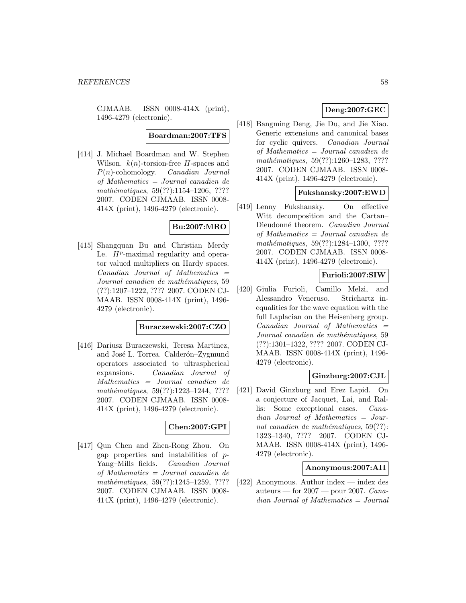CJMAAB. ISSN 0008-414X (print), 1496-4279 (electronic).

**Boardman:2007:TFS**

[414] J. Michael Boardman and W. Stephen Wilson.  $k(n)$ -torsion-free H-spaces and P(n)-cohomology. Canadian Journal of Mathematics = Journal canadien de mathématiques,  $59(??):1154-1206, ????$ 2007. CODEN CJMAAB. ISSN 0008- 414X (print), 1496-4279 (electronic).

# **Bu:2007:MRO**

[415] Shangquan Bu and Christian Merdy Le.  $H^p$ -maximal regularity and operator valued multipliers on Hardy spaces.  $Canadian$  Journal of Mathematics  $=$ Journal canadien de mathématiques, 59 (??):1207–1222, ???? 2007. CODEN CJ-MAAB. ISSN 0008-414X (print), 1496- 4279 (electronic).

## **Buraczewski:2007:CZO**

[416] Dariusz Buraczewski, Teresa Martinez, and José L. Torrea. Calderón–Zygmund operators associated to ultraspherical expansions. Canadian Journal of Mathematics = Journal canadien de mathématiques, 59(??):1223-1244, ???? 2007. CODEN CJMAAB. ISSN 0008- 414X (print), 1496-4279 (electronic).

# **Chen:2007:GPI**

[417] Qun Chen and Zhen-Rong Zhou. On gap properties and instabilities of p-Yang–Mills fields. Canadian Journal of Mathematics = Journal canadien de mathématiques,  $59(??):1245-1259, ????$ 2007. CODEN CJMAAB. ISSN 0008- 414X (print), 1496-4279 (electronic).

# **Deng:2007:GEC**

[418] Bangming Deng, Jie Du, and Jie Xiao. Generic extensions and canonical bases for cyclic quivers. Canadian Journal of Mathematics = Journal canadien de mathématiques, 59(??):1260–1283, ???? 2007. CODEN CJMAAB. ISSN 0008- 414X (print), 1496-4279 (electronic).

### **Fukshansky:2007:EWD**

[419] Lenny Fukshansky. On effective Witt decomposition and the Cartan– Dieudonné theorem. Canadian Journal of Mathematics = Journal canadien de mathématiques, 59(??):1284-1300, ???? 2007. CODEN CJMAAB. ISSN 0008- 414X (print), 1496-4279 (electronic).

## **Furioli:2007:SIW**

[420] Giulia Furioli, Camillo Melzi, and Alessandro Veneruso. Strichartz inequalities for the wave equation with the full Laplacian on the Heisenberg group.  $Canadian$  Journal of Mathematics  $=$ Journal canadien de mathématiques, 59 (??):1301–1322, ???? 2007. CODEN CJ-MAAB. ISSN 0008-414X (print), 1496- 4279 (electronic).

# **Ginzburg:2007:CJL**

[421] David Ginzburg and Erez Lapid. On a conjecture of Jacquet, Lai, and Rallis: Some exceptional cases. Canadian Journal of Mathematics = Journal canadien de mathématiques,  $59(??)$ : 1323–1340, ???? 2007. CODEN CJ-MAAB. ISSN 0008-414X (print), 1496- 4279 (electronic).

#### **Anonymous:2007:AII**

[422] Anonymous. Author index — index des auteurs — for  $2007$  — pour 2007. Canadian Journal of Mathematics = Journal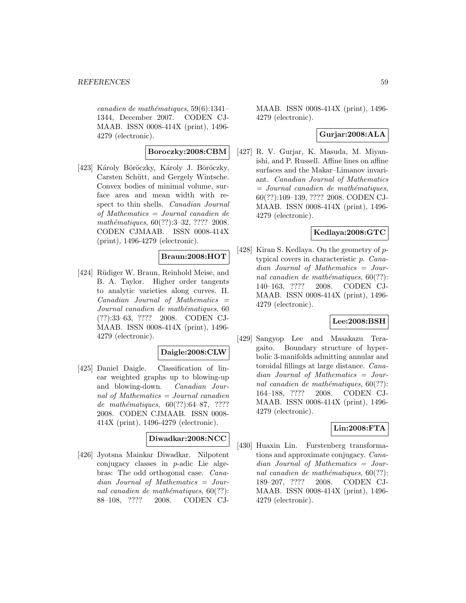$cana dien de mathématiques, 59(6):1341-$ 1344, December 2007. CODEN CJ-MAAB. ISSN 0008-414X (print), 1496- 4279 (electronic).

## **Boroczky:2008:CBM**

[423] Károly Böröczky, Károly J. Böröczky, Carsten Schütt, and Gergely Wintsche. Convex bodies of minimal volume, surface area and mean width with respect to thin shells. Canadian Journal of Mathematics = Journal canadien de mathématiques, 60(??):3–32, ???? 2008. CODEN CJMAAB. ISSN 0008-414X (print), 1496-4279 (electronic).

### **Braun:2008:HOT**

[424] Rüdiger W. Braun, Reinhold Meise, and B. A. Taylor. Higher order tangents to analytic varieties along curves. II.  $Canadian$  Journal of Mathematics  $=$ Journal canadien de mathématiques, 60 (??):33–63, ???? 2008. CODEN CJ-MAAB. ISSN 0008-414X (print), 1496- 4279 (electronic).

## **Daigle:2008:CLW**

[425] Daniel Daigle. Classification of linear weighted graphs up to blowing-up and blowing-down. Canadian Journal of Mathematics = Journal canadien de mathématiques,  $60(??):64-87, ????$ 2008. CODEN CJMAAB. ISSN 0008- 414X (print), 1496-4279 (electronic).

#### **Diwadkar:2008:NCC**

[426] Jyotsna Mainkar Diwadkar. Nilpotent conjugacy classes in p-adic Lie algebras: The odd orthogonal case. Canadian Journal of Mathematics = Journal canadien de mathématiques,  $60(??)$ : 88–108, ???? 2008. CODEN CJ-

MAAB. ISSN 0008-414X (print), 1496- 4279 (electronic).

# **Gurjar:2008:ALA**

[427] R. V. Gurjar, K. Masuda, M. Miyanishi, and P. Russell. Affine lines on affine surfaces and the Makar–Limanov invariant. Canadian Journal of Mathematics  $=$  Journal canadien de mathématiques, 60(??):109–139, ???? 2008. CODEN CJ-MAAB. ISSN 0008-414X (print), 1496- 4279 (electronic).

#### **Kedlaya:2008:GTC**

[428] Kiran S. Kedlaya. On the geometry of  $p$ typical covers in characteristic p. Canadian Journal of Mathematics = Journal canadien de mathématiques,  $60(??)$ : 140–163, ???? 2008. CODEN CJ-MAAB. ISSN 0008-414X (print), 1496- 4279 (electronic).

## **Lee:2008:BSH**

[429] Sangyop Lee and Masakazu Teragaito. Boundary structure of hyperbolic 3-manifolds admitting annular and toroidal fillings at large distance. Canadian Journal of Mathematics = Journal canadien de mathématiques,  $60(??)$ : 164–188, ???? 2008. CODEN CJ-MAAB. ISSN 0008-414X (print), 1496- 4279 (electronic).

## **Lin:2008:FTA**

[430] Huaxin Lin. Furstenberg transformations and approximate conjugacy. Canadian Journal of Mathematics = Journal canadien de mathématiques,  $60(??)$ : 189–207, ???? 2008. CODEN CJ-MAAB. ISSN 0008-414X (print), 1496- 4279 (electronic).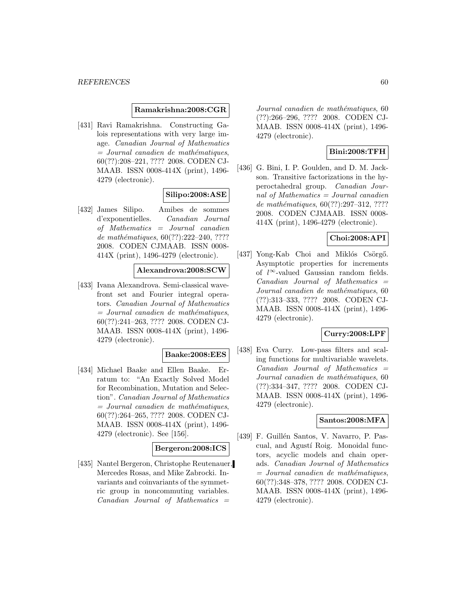#### **Ramakrishna:2008:CGR**

[431] Ravi Ramakrishna. Constructing Galois representations with very large image. Canadian Journal of Mathematics  $=$  Journal canadien de mathématiques, 60(??):208–221, ???? 2008. CODEN CJ-MAAB. ISSN 0008-414X (print), 1496- 4279 (electronic).

### **Silipo:2008:ASE**

[432] James Silipo. Amibes de sommes d'exponentielles. Canadian Journal of Mathematics = Journal canadien de mathématiques,  $60(??):222-240, ????$ 2008. CODEN CJMAAB. ISSN 0008- 414X (print), 1496-4279 (electronic).

#### **Alexandrova:2008:SCW**

[433] Ivana Alexandrova. Semi-classical wavefront set and Fourier integral operators. Canadian Journal of Mathematics  $=$  Journal canadien de mathématiques, 60(??):241–263, ???? 2008. CODEN CJ-MAAB. ISSN 0008-414X (print), 1496- 4279 (electronic).

#### **Baake:2008:EES**

[434] Michael Baake and Ellen Baake. Erratum to: "An Exactly Solved Model for Recombination, Mutation and Selection". Canadian Journal of Mathematics  $=$  Journal canadien de mathématiques, 60(??):264–265, ???? 2008. CODEN CJ-MAAB. ISSN 0008-414X (print), 1496- 4279 (electronic). See [156].

#### **Bergeron:2008:ICS**

[435] Nantel Bergeron, Christophe Reutenauer, Mercedes Rosas, and Mike Zabrocki. Invariants and coinvariants of the symmetric group in noncommuting variables.  $Canadian$  Journal of Mathematics  $=$ 

Journal canadien de mathématiques, 60 (??):266–296, ???? 2008. CODEN CJ-MAAB. ISSN 0008-414X (print), 1496- 4279 (electronic).

## **Bini:2008:TFH**

[436] G. Bini, I. P. Goulden, and D. M. Jackson. Transitive factorizations in the hyperoctahedral group. Canadian Journal of Mathematics  $=$  Journal canadien de mathématiques,  $60(??):297-312, ????$ 2008. CODEN CJMAAB. ISSN 0008- 414X (print), 1496-4279 (electronic).

# **Choi:2008:API**

 $[437]$  Yong-Kab Choi and Miklós Csörgő. Asymptotic properties for increments of l <sup>∞</sup>-valued Gaussian random fields.  $Canadian$  Journal of Mathematics  $=$ Journal canadien de mathématiques, 60 (??):313–333, ???? 2008. CODEN CJ-MAAB. ISSN 0008-414X (print), 1496- 4279 (electronic).

#### **Curry:2008:LPF**

[438] Eva Curry. Low-pass filters and scaling functions for multivariable wavelets.  $Canadian$  Journal of Mathematics  $=$ Journal canadien de mathématiques, 60 (??):334–347, ???? 2008. CODEN CJ-MAAB. ISSN 0008-414X (print), 1496- 4279 (electronic).

### **Santos:2008:MFA**

[439] F. Guillén Santos, V. Navarro, P. Pascual, and Agustí Roig. Monoidal functors, acyclic models and chain operads. Canadian Journal of Mathematics  $=$  Journal canadien de mathématiques, 60(??):348–378, ???? 2008. CODEN CJ-MAAB. ISSN 0008-414X (print), 1496- 4279 (electronic).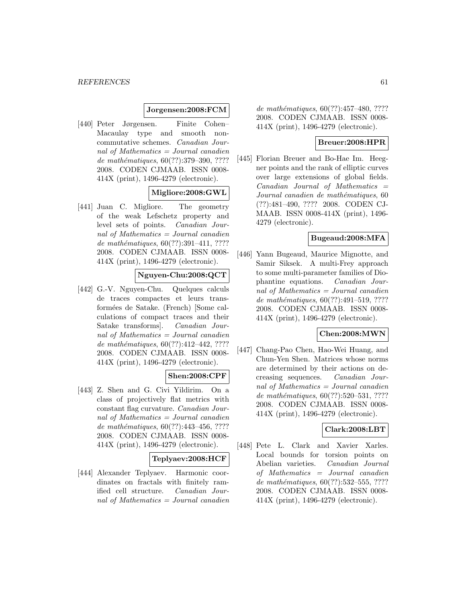#### **Jorgensen:2008:FCM**

[440] Peter Jørgensen. Finite Cohen– Macaulay type and smooth noncommutative schemes. Canadian Journal of Mathematics = Journal canadien de mathématiques, 60(??):379–390, ???? 2008. CODEN CJMAAB. ISSN 0008- 414X (print), 1496-4279 (electronic).

### **Migliore:2008:GWL**

[441] Juan C. Migliore. The geometry of the weak Lefschetz property and level sets of points. Canadian Journal of Mathematics = Journal canadien de mathématiques,  $60(??):391-411, ????$ 2008. CODEN CJMAAB. ISSN 0008- 414X (print), 1496-4279 (electronic).

# **Nguyen-Chu:2008:QCT**

[442] G.-V. Nguyen-Chu. Quelques calculs de traces compactes et leurs transform´ees de Satake. (French) [Some calculations of compact traces and their Satake transforms]. Canadian Journal of Mathematics = Journal canadien de mathématiques,  $60(??):412-442, ????$ 2008. CODEN CJMAAB. ISSN 0008- 414X (print), 1496-4279 (electronic).

## **Shen:2008:CPF**

[443] Z. Shen and G. Civi Yildirim. On a class of projectively flat metrics with constant flag curvature. Canadian Journal of Mathematics = Journal canadien de mathématiques, 60(??):443-456, ???? 2008. CODEN CJMAAB. ISSN 0008- 414X (print), 1496-4279 (electronic).

### **Teplyaev:2008:HCF**

[444] Alexander Teplyaev. Harmonic coordinates on fractals with finitely ramified cell structure. Canadian Journal of Mathematics = Journal canadien

de mathématiques,  $60(??):457-480, ????$ 2008. CODEN CJMAAB. ISSN 0008- 414X (print), 1496-4279 (electronic).

## **Breuer:2008:HPR**

[445] Florian Breuer and Bo-Hae Im. Heegner points and the rank of elliptic curves over large extensions of global fields.  $Canadian$  Journal of Mathematics  $=$ Journal canadien de mathématiques, 60 (??):481–490, ???? 2008. CODEN CJ-MAAB. ISSN 0008-414X (print), 1496- 4279 (electronic).

# **Bugeaud:2008:MFA**

[446] Yann Bugeaud, Maurice Mignotte, and Samir Siksek. A multi-Frey approach to some multi-parameter families of Diophantine equations. Canadian Journal of Mathematics = Journal canadien de mathématiques,  $60(??):491-519, ????$ 2008. CODEN CJMAAB. ISSN 0008- 414X (print), 1496-4279 (electronic).

#### **Chen:2008:MWN**

[447] Chang-Pao Chen, Hao-Wei Huang, and Chun-Yen Shen. Matrices whose norms are determined by their actions on decreasing sequences. Canadian Journal of Mathematics  $=$  Journal canadien de mathématiques,  $60(??)$ :520–531, ???? 2008. CODEN CJMAAB. ISSN 0008- 414X (print), 1496-4279 (electronic).

### **Clark:2008:LBT**

[448] Pete L. Clark and Xavier Xarles. Local bounds for torsion points on Abelian varieties. Canadian Journal of Mathematics = Journal canadien de mathématiques,  $60(??):532-555, ????$ 2008. CODEN CJMAAB. ISSN 0008- 414X (print), 1496-4279 (electronic).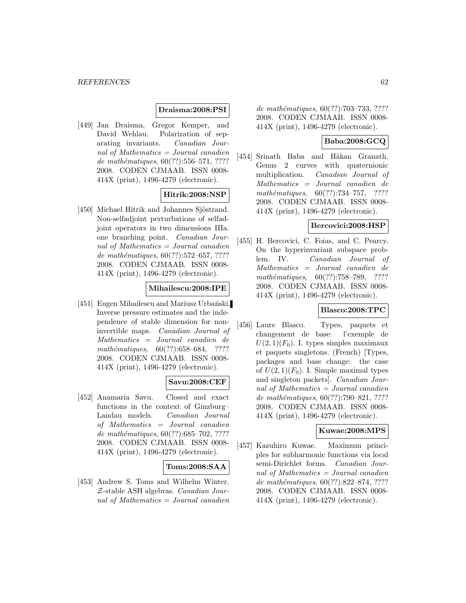### **Draisma:2008:PSI**

[449] Jan Draisma, Gregor Kemper, and David Wehlau. Polarization of separating invariants. Canadian Journal of Mathematics = Journal canadien de mathématiques,  $60(??):556–571, ????$ 2008. CODEN CJMAAB. ISSN 0008- 414X (print), 1496-4279 (electronic).

## **Hitrik:2008:NSP**

[450] Michael Hitrik and Johannes Sjöstrand. Non-selfadjoint perturbations of selfadjoint operators in two dimensions IIIa. one branching point. Canadian Journal of Mathematics = Journal canadien de mathématiques,  $60(??):572-657, ????$ 2008. CODEN CJMAAB. ISSN 0008- 414X (print), 1496-4279 (electronic).

#### **Mihailescu:2008:IPE**

[451] Eugen Mihailescu and Mariusz Urbański. Inverse pressure estimates and the independence of stable dimension for noninvertible maps. Canadian Journal of Mathematics = Journal canadien de mathématiques,  $60(??):658-684$ , ???? 2008. CODEN CJMAAB. ISSN 0008- 414X (print), 1496-4279 (electronic).

### **Savu:2008:CEF**

[452] Anamaria Savu. Closed and exact functions in the context of Ginzburg– Landau models. Canadian Journal of Mathematics = Journal canadien de mathématiques,  $60(??)$ :685–702, ???? 2008. CODEN CJMAAB. ISSN 0008- 414X (print), 1496-4279 (electronic).

### **Toms:2008:SAA**

[453] Andrew S. Toms and Wilhelm Winter. Z-stable ASH algebras. Canadian Journal of Mathematics  $=$  Journal canadien

de mathématiques, 60(??):703-733, ???? 2008. CODEN CJMAAB. ISSN 0008- 414X (print), 1496-4279 (electronic).

## **Baba:2008:GCQ**

[454] Srinath Baba and Håkan Granath. Genus 2 curves with quaternionic multiplication. Canadian Journal of Mathematics = Journal canadien de mathématiques,  $60(??):734-757$ , ???? 2008. CODEN CJMAAB. ISSN 0008- 414X (print), 1496-4279 (electronic).

## **Bercovici:2008:HSP**

[455] H. Bercovici, C. Foias, and C. Pearcy. On the hyperinvariant subspace problem. IV. Canadian Journal of Mathematics = Journal canadien de mathématiques,  $60(??):758-789$ , ???? 2008. CODEN CJMAAB. ISSN 0008- 414X (print), 1496-4279 (electronic).

## **Blasco:2008:TPC**

[456] Laure Blasco. Types, paquets et changement de base: l'exemple de  $U(2, 1)(F_0)$ . I. types simples maximaux et paquets singletons. (French) [Types, packages and base change: the case of  $U(2, 1)(F_0)$ . I. Simple maximal types and singleton packets]. Canadian Journal of Mathematics = Journal canadien de mathématiques,  $60(??):790-821, ????$ 2008. CODEN CJMAAB. ISSN 0008- 414X (print), 1496-4279 (electronic).

#### **Kuwae:2008:MPS**

[457] Kazuhiro Kuwae. Maximum principles for subharmonic functions via local semi-Dirichlet forms. Canadian Journal of Mathematics  $=$  Journal canadien de mathématiques, 60(??):822–874, ???? 2008. CODEN CJMAAB. ISSN 0008- 414X (print), 1496-4279 (electronic).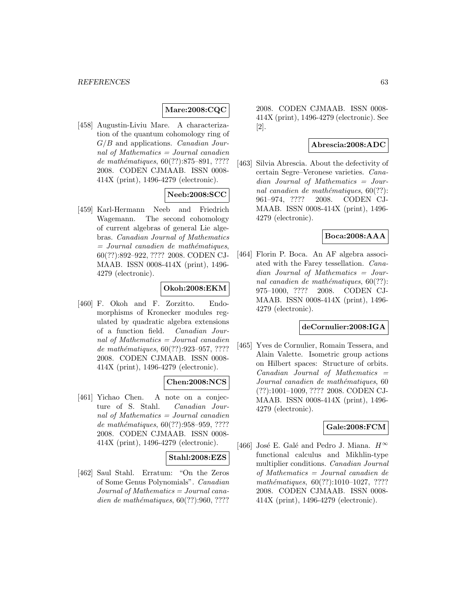## **Mare:2008:CQC**

[458] Augustin-Liviu Mare. A characterization of the quantum cohomology ring of  $G/B$  and applications. *Canadian Jour*nal of Mathematics = Journal canadien de mathématiques,  $60(??):875-891, ????$ 2008. CODEN CJMAAB. ISSN 0008- 414X (print), 1496-4279 (electronic).

### **Neeb:2008:SCC**

[459] Karl-Hermann Neeb and Friedrich Wagemann. The second cohomology of current algebras of general Lie algebras. Canadian Journal of Mathematics  $=$  Journal canadien de mathématiques, 60(??):892–922, ???? 2008. CODEN CJ-MAAB. ISSN 0008-414X (print), 1496- 4279 (electronic).

## **Okoh:2008:EKM**

[460] F. Okoh and F. Zorzitto. Endomorphisms of Kronecker modules regulated by quadratic algebra extensions of a function field. Canadian Journal of Mathematics = Journal canadien de mathématiques,  $60(??):923-957, ????$ 2008. CODEN CJMAAB. ISSN 0008- 414X (print), 1496-4279 (electronic).

#### **Chen:2008:NCS**

[461] Yichao Chen. A note on a conjecture of S. Stahl. Canadian Journal of Mathematics = Journal canadien de mathématiques,  $60(??):958-959, ????$ 2008. CODEN CJMAAB. ISSN 0008- 414X (print), 1496-4279 (electronic).

#### **Stahl:2008:EZS**

[462] Saul Stahl. Erratum: "On the Zeros of Some Genus Polynomials". Canadian  $Journal of Mathematics = Journal cana$ dien de mathématiques,  $60(??):960, ????$ 

2008. CODEN CJMAAB. ISSN 0008- 414X (print), 1496-4279 (electronic). See [2].

#### **Abrescia:2008:ADC**

[463] Silvia Abrescia. About the defectivity of certain Segre–Veronese varieties. Canadian Journal of Mathematics = Journal canadien de mathématiques,  $60(??)$ : 961–974, ???? 2008. CODEN CJ-MAAB. ISSN 0008-414X (print), 1496- 4279 (electronic).

#### **Boca:2008:AAA**

[464] Florin P. Boca. An AF algebra associated with the Farey tessellation. Canadian Journal of Mathematics = Journal canadien de mathématiques,  $60(??)$ : 975–1000, ???? 2008. CODEN CJ-MAAB. ISSN 0008-414X (print), 1496- 4279 (electronic).

#### **deCornulier:2008:IGA**

[465] Yves de Cornulier, Romain Tessera, and Alain Valette. Isometric group actions on Hilbert spaces: Structure of orbits.  $Canadian$  Journal of Mathematics  $=$ Journal canadien de mathématiques, 60 (??):1001–1009, ???? 2008. CODEN CJ-MAAB. ISSN 0008-414X (print), 1496- 4279 (electronic).

# **Gale:2008:FCM**

[466] José E. Galé and Pedro J. Miana.  $H^{\infty}$ functional calculus and Mikhlin-type multiplier conditions. Canadian Journal of Mathematics = Journal canadien de mathématiques,  $60(??):1010-1027, ????$ 2008. CODEN CJMAAB. ISSN 0008- 414X (print), 1496-4279 (electronic).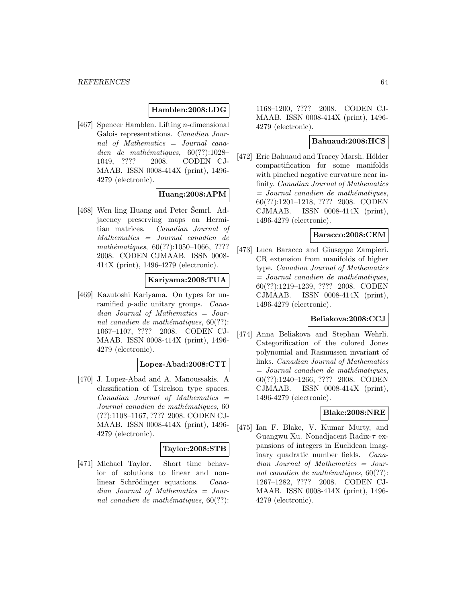### **Hamblen:2008:LDG**

[467] Spencer Hamblen. Lifting n-dimensional Galois representations. Canadian Journal of Mathematics = Journal canadien de mathématiques,  $60(??):1028-$ 1049, ???? 2008. CODEN CJ-MAAB. ISSN 0008-414X (print), 1496- 4279 (electronic).

## **Huang:2008:APM**

[468] Wen ling Huang and Peter Semrl. Adjacency preserving maps on Hermitian matrices. Canadian Journal of Mathematics = Journal canadien de mathématiques,  $60(??):1050-1066, ????$ 2008. CODEN CJMAAB. ISSN 0008- 414X (print), 1496-4279 (electronic).

#### **Kariyama:2008:TUA**

[469] Kazutoshi Kariyama. On types for unramified p-adic unitary groups. Canadian Journal of Mathematics = Journal canadien de mathématiques,  $60(??)$ : 1067–1107, ???? 2008. CODEN CJ-MAAB. ISSN 0008-414X (print), 1496- 4279 (electronic).

## **Lopez-Abad:2008:CTT**

[470] J. Lopez-Abad and A. Manoussakis. A classification of Tsirelson type spaces.  $Canadian$  Journal of Mathematics  $=$ Journal canadien de mathématiques, 60 (??):1108–1167, ???? 2008. CODEN CJ-MAAB. ISSN 0008-414X (print), 1496- 4279 (electronic).

### **Taylor:2008:STB**

[471] Michael Taylor. Short time behavior of solutions to linear and nonlinear Schrödinger equations. Canadian Journal of Mathematics = Journal canadien de mathématiques,  $60(??)$ : 1168–1200, ???? 2008. CODEN CJ-MAAB. ISSN 0008-414X (print), 1496- 4279 (electronic).

## **Bahuaud:2008:HCS**

[472] Eric Bahuaud and Tracey Marsh. Hölder compactification for some manifolds with pinched negative curvature near infinity. Canadian Journal of Mathematics  $=$  Journal canadien de mathématiques, 60(??):1201–1218, ???? 2008. CODEN CJMAAB. ISSN 0008-414X (print), 1496-4279 (electronic).

#### **Baracco:2008:CEM**

[473] Luca Baracco and Giuseppe Zampieri. CR extension from manifolds of higher type. Canadian Journal of Mathematics  $=$  Journal canadien de mathématiques, 60(??):1219–1239, ???? 2008. CODEN CJMAAB. ISSN 0008-414X (print), 1496-4279 (electronic).

#### **Beliakova:2008:CCJ**

[474] Anna Beliakova and Stephan Wehrli. Categorification of the colored Jones polynomial and Rasmussen invariant of links. Canadian Journal of Mathematics  $=$  Journal canadien de mathématiques, 60(??):1240–1266, ???? 2008. CODEN CJMAAB. ISSN 0008-414X (print), 1496-4279 (electronic).

### **Blake:2008:NRE**

[475] Ian F. Blake, V. Kumar Murty, and Guangwu Xu. Nonadjacent Radix-τ expansions of integers in Euclidean imaginary quadratic number fields. Canadian Journal of Mathematics = Journal canadien de mathématiques,  $60(??)$ : 1267–1282, ???? 2008. CODEN CJ-MAAB. ISSN 0008-414X (print), 1496- 4279 (electronic).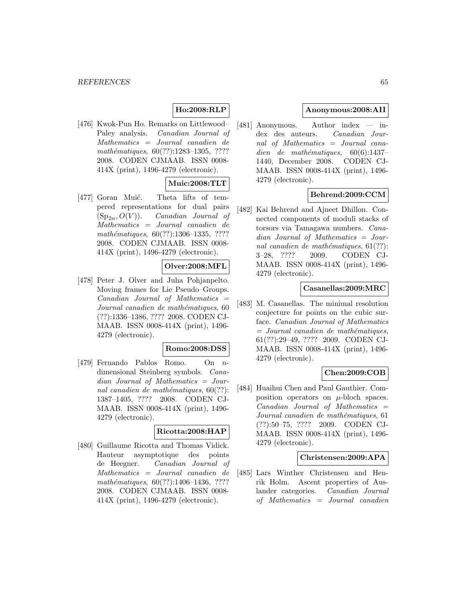# **Ho:2008:RLP**

[476] Kwok-Pun Ho. Remarks on Littlewood– Paley analysis. Canadian Journal of Mathematics = Journal canadien de mathématiques, 60(??):1283-1305, ???? 2008. CODEN CJMAAB. ISSN 0008- 414X (print), 1496-4279 (electronic).

# **Muic:2008:TLT**

[477] Goran Muić. Theta lifts of tempered representations for dual pairs  $(Sp_{2n}, O(V))$ . Canadian Journal of Mathematics = Journal canadien de mathématiques, 60(??):1306-1335, ???? 2008. CODEN CJMAAB. ISSN 0008- 414X (print), 1496-4279 (electronic).

## **Olver:2008:MFL**

[478] Peter J. Olver and Juha Pohjanpelto. Moving frames for Lie Pseudo–Groups.  $Canadian$  Journal of Mathematics  $=$ Journal canadien de mathématiques, 60 (??):1336–1386, ???? 2008. CODEN CJ-MAAB. ISSN 0008-414X (print), 1496- 4279 (electronic).

#### **Romo:2008:DSS**

[479] Fernando Pablos Romo. On ndimensional Steinberg symbols. Canadian Journal of Mathematics = Journal canadien de mathématiques,  $60(??)$ : 1387–1405, ???? 2008. CODEN CJ-MAAB. ISSN 0008-414X (print), 1496- 4279 (electronic).

#### **Ricotta:2008:HAP**

[480] Guillaume Ricotta and Thomas Vidick. Hauteur asymptotique des points de Heegner. Canadian Journal of Mathematics = Journal canadien de mathématiques,  $60(??):1406-1436, ????$ 2008. CODEN CJMAAB. ISSN 0008- 414X (print), 1496-4279 (electronic).

### **Anonymous:2008:AII**

[481] Anonymous. Author index — index des auteurs. Canadian Journal of Mathematics = Journal canadien de mathématiques,  $60(6):1437-$ 1440, December 2008. CODEN CJ-MAAB. ISSN 0008-414X (print), 1496- 4279 (electronic).

#### **Behrend:2009:CCM**

[482] Kai Behrend and Ajneet Dhillon. Connected components of moduli stacks of torsors via Tamagawa numbers. Canadian Journal of Mathematics = Journal canadien de mathématiques,  $61(??)$ : 3–28, ???? 2009. CODEN CJ-MAAB. ISSN 0008-414X (print), 1496- 4279 (electronic).

### **Casanellas:2009:MRC**

[483] M. Casanellas. The minimal resolution conjecture for points on the cubic surface. Canadian Journal of Mathematics  $=$  Journal canadien de mathématiques, 61(??):29–49, ???? 2009. CODEN CJ-MAAB. ISSN 0008-414X (print), 1496- 4279 (electronic).

### **Chen:2009:COB**

[484] Huaihui Chen and Paul Gauthier. Composition operators on  $\mu$ -bloch spaces.  $Canadian$  Journal of Mathematics  $=$ Journal canadien de mathématiques, 61 (??):50–75, ???? 2009. CODEN CJ-MAAB. ISSN 0008-414X (print), 1496- 4279 (electronic).

#### **Christensen:2009:APA**

[485] Lars Winther Christensen and Henrik Holm. Ascent properties of Auslander categories. Canadian Journal of Mathematics = Journal canadien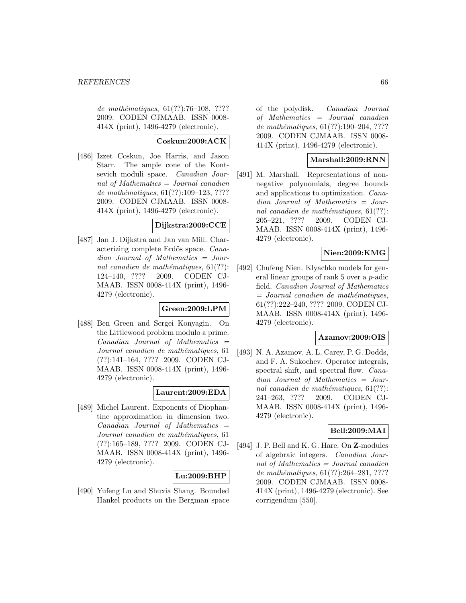de mathématiques,  $61(??):76-108$ , ???? 2009. CODEN CJMAAB. ISSN 0008- 414X (print), 1496-4279 (electronic).

# **Coskun:2009:ACK**

[486] Izzet Coskun, Joe Harris, and Jason Starr. The ample cone of the Kontsevich moduli space. Canadian Journal of Mathematics = Journal canadien de mathématiques,  $61(??):109-123, ????$ 2009. CODEN CJMAAB. ISSN 0008- 414X (print), 1496-4279 (electronic).

#### **Dijkstra:2009:CCE**

[487] Jan J. Dijkstra and Jan van Mill. Characterizing complete Erdős space. Canadian Journal of Mathematics = Journal canadien de mathématiques,  $61(??)$ : 124–140, ???? 2009. CODEN CJ-MAAB. ISSN 0008-414X (print), 1496- 4279 (electronic).

### **Green:2009:LPM**

[488] Ben Green and Sergei Konyagin. On the Littlewood problem modulo a prime.  $Canadian$  Journal of Mathematics  $=$ Journal canadien de mathématiques, 61 (??):141–164, ???? 2009. CODEN CJ-MAAB. ISSN 0008-414X (print), 1496- 4279 (electronic).

### **Laurent:2009:EDA**

[489] Michel Laurent. Exponents of Diophantine approximation in dimension two.  $Canadian$  Journal of Mathematics  $=$ Journal canadien de mathématiques, 61 (??):165–189, ???? 2009. CODEN CJ-MAAB. ISSN 0008-414X (print), 1496- 4279 (electronic).

### **Lu:2009:BHP**

[490] Yufeng Lu and Shuxia Shang. Bounded Hankel products on the Bergman space of the polydisk. Canadian Journal of Mathematics = Journal canadien de mathématiques,  $61(??):190-204, ????$ 2009. CODEN CJMAAB. ISSN 0008- 414X (print), 1496-4279 (electronic).

## **Marshall:2009:RNN**

[491] M. Marshall. Representations of nonnegative polynomials, degree bounds and applications to optimization. Canadian Journal of Mathematics = Journal canadien de mathématiques,  $61(??)$ : 205–221, ???? 2009. CODEN CJ-MAAB. ISSN 0008-414X (print), 1496- 4279 (electronic).

## **Nien:2009:KMG**

[492] Chufeng Nien. Klyachko models for general linear groups of rank 5 over a p-adic field. Canadian Journal of Mathematics  $=$  Journal canadien de mathématiques, 61(??):222–240, ???? 2009. CODEN CJ-MAAB. ISSN 0008-414X (print), 1496- 4279 (electronic).

### **Azamov:2009:OIS**

[493] N. A. Azamov, A. L. Carey, P. G. Dodds, and F. A. Sukochev. Operator integrals, spectral shift, and spectral flow. Canadian Journal of Mathematics = Journal canadien de mathématiques,  $61(??)$ : 241–263, ???? 2009. CODEN CJ-MAAB. ISSN 0008-414X (print), 1496- 4279 (electronic).

### **Bell:2009:MAI**

[494] J. P. Bell and K. G. Hare. On **Z**-modules of algebraic integers. Canadian Journal of Mathematics = Journal canadien de mathématiques,  $61(??):264-281, ????$ 2009. CODEN CJMAAB. ISSN 0008- 414X (print), 1496-4279 (electronic). See corrigendum [550].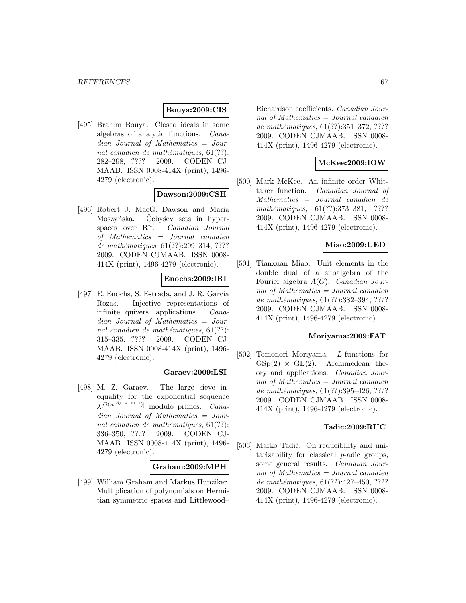#### **Bouya:2009:CIS**

[495] Brahim Bouya. Closed ideals in some algebras of analytic functions. Canadian Journal of Mathematics = Journal canadien de mathématiques,  $61(??)$ : 282–298, ???? 2009. CODEN CJ-MAAB. ISSN 0008-414X (print), 1496- 4279 (electronic).

#### **Dawson:2009:CSH**

[496] Robert J. MacG. Dawson and Maria Moszyńska. Čebyšev sets in hyperspaces over  $\mathbb{R}^n$ . Canadian Journal of Mathematics = Journal canadien de mathématiques,  $61(??):299-314, ????$ 2009. CODEN CJMAAB. ISSN 0008- 414X (print), 1496-4279 (electronic).

## **Enochs:2009:IRI**

[497] E. Enochs, S. Estrada, and J. R. García Rozas. Injective representations of infinite quivers. applications. Canadian Journal of Mathematics = Journal canadien de mathématiques,  $61(??)$ : 315–335, ???? 2009. CODEN CJ-MAAB. ISSN 0008-414X (print), 1496- 4279 (electronic).

### **Garaev:2009:LSI**

[498] M. Z. Garaev. The large sieve inequality for the exponential sequence  $\lambda^{[O(n^{15/14+o(1)})]}$  modulo primes. *Cana*dian Journal of Mathematics = Journal canadien de mathématiques,  $61(??)$ : 336–350, ???? 2009. CODEN CJ-MAAB. ISSN 0008-414X (print), 1496- 4279 (electronic).

#### **Graham:2009:MPH**

[499] William Graham and Markus Hunziker. Multiplication of polynomials on Hermitian symmetric spaces and Littlewood–

Richardson coefficients. Canadian Journal of Mathematics = Journal canadien de mathématiques,  $61(??):351-372, ????$ 2009. CODEN CJMAAB. ISSN 0008- 414X (print), 1496-4279 (electronic).

# **McKee:2009:IOW**

[500] Mark McKee. An infinite order Whittaker function. Canadian Journal of Mathematics = Journal canadien de mathématiques, 61(??):373-381, ???? 2009. CODEN CJMAAB. ISSN 0008- 414X (print), 1496-4279 (electronic).

## **Miao:2009:UED**

[501] Tianxuan Miao. Unit elements in the double dual of a subalgebra of the Fourier algebra  $A(G)$ . Canadian Journal of Mathematics = Journal canadien de mathématiques,  $61(??):382-394, ????$ 2009. CODEN CJMAAB. ISSN 0008- 414X (print), 1496-4279 (electronic).

#### **Moriyama:2009:FAT**

[502] Tomonori Moriyama. L-functions for  $GSp(2) \times GL(2)$ : Archimedean theory and applications. Canadian Journal of Mathematics = Journal canadien de mathématiques,  $61(??):395-426, ????$ 2009. CODEN CJMAAB. ISSN 0008- 414X (print), 1496-4279 (electronic).

### **Tadic:2009:RUC**

[503] Marko Tadić. On reducibility and unitarizability for classical p-adic groups, some general results. Canadian Journal of Mathematics  $=$  Journal canadien de mathématiques,  $61(??):427-450, ????$ 2009. CODEN CJMAAB. ISSN 0008- 414X (print), 1496-4279 (electronic).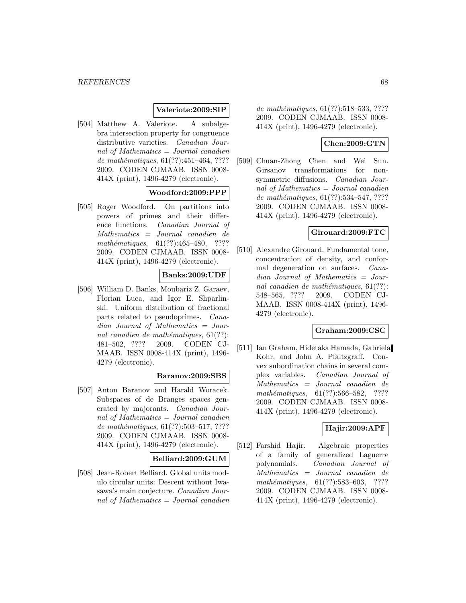### **Valeriote:2009:SIP**

[504] Matthew A. Valeriote. A subalgebra intersection property for congruence distributive varieties. Canadian Journal of Mathematics = Journal canadien de mathématiques,  $61(??):451-464, ????$ 2009. CODEN CJMAAB. ISSN 0008- 414X (print), 1496-4279 (electronic).

#### **Woodford:2009:PPP**

[505] Roger Woodford. On partitions into powers of primes and their difference functions. Canadian Journal of Mathematics = Journal canadien de mathématiques,  $61(??):465-480$ , ???? 2009. CODEN CJMAAB. ISSN 0008- 414X (print), 1496-4279 (electronic).

### **Banks:2009:UDF**

[506] William D. Banks, Moubariz Z. Garaev, Florian Luca, and Igor E. Shparlinski. Uniform distribution of fractional parts related to pseudoprimes. Canadian Journal of Mathematics = Journal canadien de mathématiques,  $61(??)$ : 481–502, ???? 2009. CODEN CJ-MAAB. ISSN 0008-414X (print), 1496- 4279 (electronic).

#### **Baranov:2009:SBS**

[507] Anton Baranov and Harald Woracek. Subspaces of de Branges spaces generated by majorants. Canadian Journal of Mathematics = Journal canadien de mathématiques,  $61(??):503-517, ????$ 2009. CODEN CJMAAB. ISSN 0008- 414X (print), 1496-4279 (electronic).

### **Belliard:2009:GUM**

[508] Jean-Robert Belliard. Global units modulo circular units: Descent without Iwasawa's main conjecture. Canadian Journal of Mathematics = Journal canadien

de mathématiques, 61(??):518–533, ???? 2009. CODEN CJMAAB. ISSN 0008- 414X (print), 1496-4279 (electronic).

### **Chen:2009:GTN**

[509] Chuan-Zhong Chen and Wei Sun. Girsanov transformations for nonsymmetric diffusions. Canadian Journal of Mathematics  $=$  Journal canadien de mathématiques, 61(??):534-547, ???? 2009. CODEN CJMAAB. ISSN 0008- 414X (print), 1496-4279 (electronic).

#### **Girouard:2009:FTC**

[510] Alexandre Girouard. Fundamental tone, concentration of density, and conformal degeneration on surfaces. Canadian Journal of Mathematics = Journal canadien de mathématiques,  $61(??)$ : 548–565, ???? 2009. CODEN CJ-MAAB. ISSN 0008-414X (print), 1496- 4279 (electronic).

### **Graham:2009:CSC**

[511] Ian Graham, Hidetaka Hamada, Gabriela Kohr, and John A. Pfaltzgraff. Convex subordination chains in several complex variables. Canadian Journal of Mathematics = Journal canadien de mathématiques,  $61(??):566-582$ , ???? 2009. CODEN CJMAAB. ISSN 0008- 414X (print), 1496-4279 (electronic).

## **Hajir:2009:APF**

[512] Farshid Hajir. Algebraic properties of a family of generalized Laguerre polynomials. Canadian Journal of Mathematics = Journal canadien de mathématiques,  $61(??):583-603$ , ???? 2009. CODEN CJMAAB. ISSN 0008- 414X (print), 1496-4279 (electronic).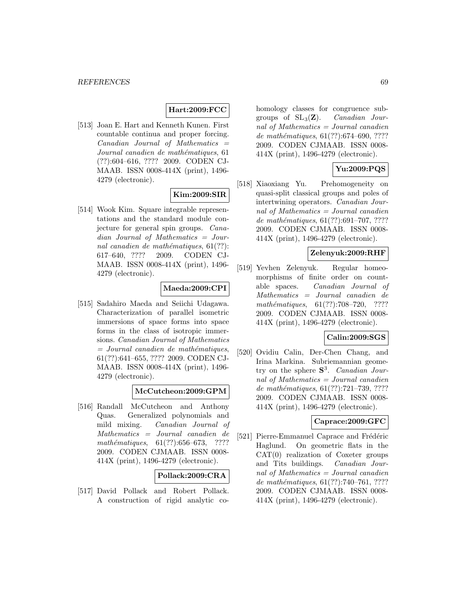## **Hart:2009:FCC**

[513] Joan E. Hart and Kenneth Kunen. First countable continua and proper forcing.  $Canadian$  Journal of Mathematics  $=$ Journal canadien de mathématiques, 61 (??):604–616, ???? 2009. CODEN CJ-MAAB. ISSN 0008-414X (print), 1496- 4279 (electronic).

## **Kim:2009:SIR**

[514] Wook Kim. Square integrable representations and the standard module conjecture for general spin groups. Canadian Journal of Mathematics = Journal canadien de mathématiques,  $61(??)$ : 617–640, ???? 2009. CODEN CJ-MAAB. ISSN 0008-414X (print), 1496- 4279 (electronic).

# **Maeda:2009:CPI**

[515] Sadahiro Maeda and Seiichi Udagawa. Characterization of parallel isometric immersions of space forms into space forms in the class of isotropic immersions. Canadian Journal of Mathematics  $=$  Journal canadien de mathématiques, 61(??):641–655, ???? 2009. CODEN CJ-MAAB. ISSN 0008-414X (print), 1496- 4279 (electronic).

### **McCutcheon:2009:GPM**

[516] Randall McCutcheon and Anthony Quas. Generalized polynomials and mild mixing. Canadian Journal of Mathematics = Journal canadien de mathématiques,  $61(??):656-673$ , ???? 2009. CODEN CJMAAB. ISSN 0008- 414X (print), 1496-4279 (electronic).

## **Pollack:2009:CRA**

[517] David Pollack and Robert Pollack. A construction of rigid analytic cohomology classes for congruence subgroups of  $SL_3(\mathbf{Z})$ . *Canadian Jour*nal of Mathematics  $=$  Journal canadien de mathématiques,  $61(??):674-690, ????$ 2009. CODEN CJMAAB. ISSN 0008- 414X (print), 1496-4279 (electronic).

## **Yu:2009:PQS**

[518] Xiaoxiang Yu. Prehomogeneity on quasi-split classical groups and poles of intertwining operators. Canadian Journal of Mathematics = Journal canadien de mathématiques,  $61(??):691-707, ????$ 2009. CODEN CJMAAB. ISSN 0008- 414X (print), 1496-4279 (electronic).

### **Zelenyuk:2009:RHF**

[519] Yevhen Zelenyuk. Regular homeomorphisms of finite order on countable spaces. Canadian Journal of Mathematics = Journal canadien de mathématiques,  $61(??):708-720$ , ???? 2009. CODEN CJMAAB. ISSN 0008- 414X (print), 1496-4279 (electronic).

### **Calin:2009:SGS**

[520] Ovidiu Calin, Der-Chen Chang, and Irina Markina. Subriemannian geometry on the sphere **S**<sup>3</sup>. Canadian Journal of Mathematics = Journal canadien de mathématiques, 61(??):721-739, ???? 2009. CODEN CJMAAB. ISSN 0008- 414X (print), 1496-4279 (electronic).

## **Caprace:2009:GFC**

[521] Pierre-Emmanuel Caprace and Frédéric Haglund. On geometric flats in the  $CAT(0)$  realization of Coxeter groups and Tits buildings. Canadian Journal of Mathematics = Journal canadien de mathématiques,  $61(??):740-761, ????$ 2009. CODEN CJMAAB. ISSN 0008- 414X (print), 1496-4279 (electronic).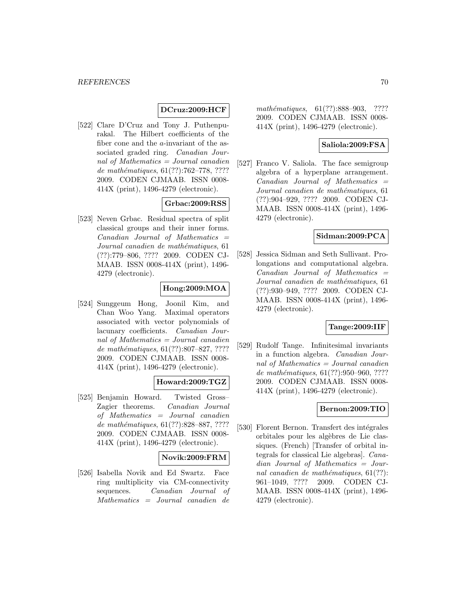## **DCruz:2009:HCF**

[522] Clare D'Cruz and Tony J. Puthenpurakal. The Hilbert coefficients of the fiber cone and the a-invariant of the associated graded ring. Canadian Journal of Mathematics = Journal canadien de mathématiques,  $61(??):762-778, ????$ 2009. CODEN CJMAAB. ISSN 0008- 414X (print), 1496-4279 (electronic).

# **Grbac:2009:RSS**

[523] Neven Grbac. Residual spectra of split classical groups and their inner forms.  $Canadian$  Journal of Mathematics  $=$ Journal canadien de mathématiques, 61 (??):779–806, ???? 2009. CODEN CJ-MAAB. ISSN 0008-414X (print), 1496- 4279 (electronic).

# **Hong:2009:MOA**

[524] Sunggeum Hong, Joonil Kim, and Chan Woo Yang. Maximal operators associated with vector polynomials of lacunary coefficients. Canadian Journal of Mathematics = Journal canadien de mathématiques,  $61(??):807-827, ????$ 2009. CODEN CJMAAB. ISSN 0008- 414X (print), 1496-4279 (electronic).

### **Howard:2009:TGZ**

[525] Benjamin Howard. Twisted Gross– Zagier theorems. Canadian Journal of Mathematics = Journal canadien de mathématiques, 61(??):828–887, ???? 2009. CODEN CJMAAB. ISSN 0008- 414X (print), 1496-4279 (electronic).

### **Novik:2009:FRM**

[526] Isabella Novik and Ed Swartz. Face ring multiplicity via CM-connectivity sequences. Canadian Journal of Mathematics = Journal canadien de

mathématiques, 61(??):888-903, ???? 2009. CODEN CJMAAB. ISSN 0008- 414X (print), 1496-4279 (electronic).

## **Saliola:2009:FSA**

[527] Franco V. Saliola. The face semigroup algebra of a hyperplane arrangement.  $Canadian$  Journal of Mathematics  $=$ Journal canadien de mathématiques, 61 (??):904–929, ???? 2009. CODEN CJ-MAAB. ISSN 0008-414X (print), 1496- 4279 (electronic).

#### **Sidman:2009:PCA**

[528] Jessica Sidman and Seth Sullivant. Prolongations and computational algebra.  $Canadian$  Journal of Mathematics  $=$ Journal canadien de mathématiques, 61 (??):930–949, ???? 2009. CODEN CJ-MAAB. ISSN 0008-414X (print), 1496- 4279 (electronic).

#### **Tange:2009:IIF**

[529] Rudolf Tange. Infinitesimal invariants in a function algebra. Canadian Journal of Mathematics = Journal canadien de mathématiques, 61(??):950-960, ???? 2009. CODEN CJMAAB. ISSN 0008- 414X (print), 1496-4279 (electronic).

### **Bernon:2009:TIO**

[530] Florent Bernon. Transfert des intégrales orbitales pour les algèbres de Lie classiques. (French) [Transfer of orbital integrals for classical Lie algebras]. Canadian Journal of Mathematics = Journal canadien de mathématiques,  $61(??)$ : 961–1049, ???? 2009. CODEN CJ-MAAB. ISSN 0008-414X (print), 1496- 4279 (electronic).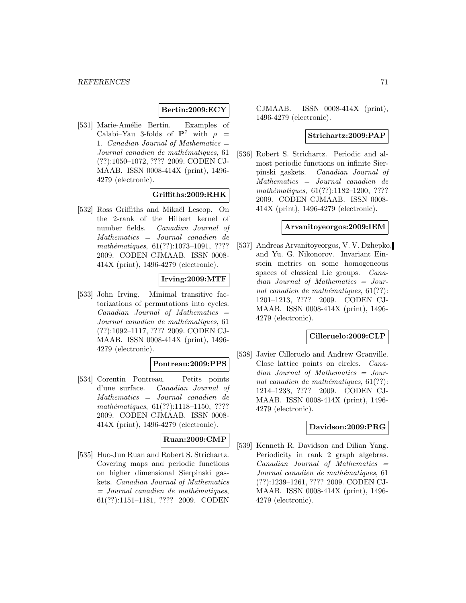### **Bertin:2009:ECY**

[531] Marie-Amélie Bertin. Examples of Calabi–Yau 3-folds of  $P^7$  with  $\rho =$ 1. Canadian Journal of Mathematics  $=$ Journal canadien de mathématiques, 61 (??):1050–1072, ???? 2009. CODEN CJ-MAAB. ISSN 0008-414X (print), 1496- 4279 (electronic).

## **Griffiths:2009:RHK**

[532] Ross Griffiths and Mikaël Lescop. On the 2-rank of the Hilbert kernel of number fields. Canadian Journal of Mathematics = Journal canadien de mathématiques,  $61(??):1073-1091, ????$ 2009. CODEN CJMAAB. ISSN 0008- 414X (print), 1496-4279 (electronic).

## **Irving:2009:MTF**

[533] John Irving. Minimal transitive factorizations of permutations into cycles.  $Canadian$  Journal of Mathematics  $=$ Journal canadien de mathématiques, 61 (??):1092–1117, ???? 2009. CODEN CJ-MAAB. ISSN 0008-414X (print), 1496- 4279 (electronic).

### **Pontreau:2009:PPS**

[534] Corentin Pontreau. Petits points d'une surface. Canadian Journal of Mathematics = Journal canadien de mathématiques, 61(??):1118-1150, ???? 2009. CODEN CJMAAB. ISSN 0008- 414X (print), 1496-4279 (electronic).

# **Ruan:2009:CMP**

[535] Huo-Jun Ruan and Robert S. Strichartz. Covering maps and periodic functions on higher dimensional Sierpinski gaskets. Canadian Journal of Mathematics  $=$  Journal canadien de mathématiques, 61(??):1151–1181, ???? 2009. CODEN

CJMAAB. ISSN 0008-414X (print), 1496-4279 (electronic).

#### **Strichartz:2009:PAP**

[536] Robert S. Strichartz. Periodic and almost periodic functions on infinite Sierpinski gaskets. Canadian Journal of Mathematics = Journal canadien de mathématiques,  $61(??):1182-1200, ????$ 2009. CODEN CJMAAB. ISSN 0008- 414X (print), 1496-4279 (electronic).

### **Arvanitoyeorgos:2009:IEM**

[537] Andreas Arvanitoyeorgos, V. V. Dzhepko, and Yu. G. Nikonorov. Invariant Einstein metrics on some homogeneous spaces of classical Lie groups. Canadian Journal of Mathematics = Journal canadien de mathématiques,  $61(??)$ : 1201–1213, ???? 2009. CODEN CJ-MAAB. ISSN 0008-414X (print), 1496- 4279 (electronic).

### **Cilleruelo:2009:CLP**

[538] Javier Cilleruelo and Andrew Granville. Close lattice points on circles. Canadian Journal of Mathematics = Journal canadien de mathématiques,  $61(??)$ : 1214–1238, ???? 2009. CODEN CJ-MAAB. ISSN 0008-414X (print), 1496- 4279 (electronic).

## **Davidson:2009:PRG**

[539] Kenneth R. Davidson and Dilian Yang. Periodicity in rank 2 graph algebras.  $Canadian$  Journal of Mathematics  $=$ Journal canadien de mathématiques, 61 (??):1239–1261, ???? 2009. CODEN CJ-MAAB. ISSN 0008-414X (print), 1496- 4279 (electronic).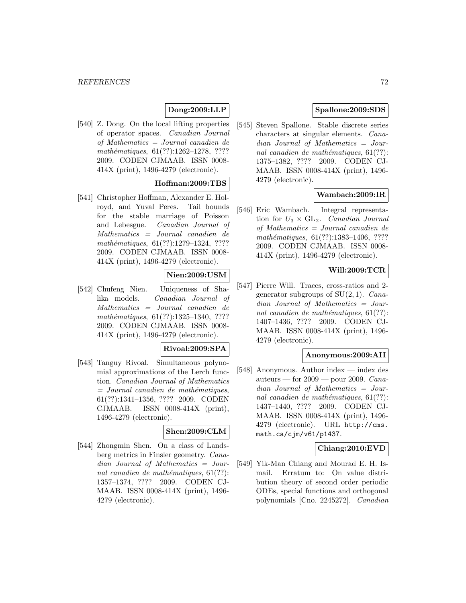# **Dong:2009:LLP**

[540] Z. Dong. On the local lifting properties of operator spaces. Canadian Journal of Mathematics = Journal canadien de mathématiques, 61(??):1262-1278, ???? 2009. CODEN CJMAAB. ISSN 0008- 414X (print), 1496-4279 (electronic).

## **Hoffman:2009:TBS**

[541] Christopher Hoffman, Alexander E. Holroyd, and Yuval Peres. Tail bounds for the stable marriage of Poisson and Lebesgue. Canadian Journal of Mathematics = Journal canadien de mathématiques,  $61(??):1279-1324$ , ???? 2009. CODEN CJMAAB. ISSN 0008- 414X (print), 1496-4279 (electronic).

### **Nien:2009:USM**

[542] Chufeng Nien. Uniqueness of Shalika models. Canadian Journal of Mathematics = Journal canadien de mathématiques,  $61(??):1325-1340, ????$ 2009. CODEN CJMAAB. ISSN 0008- 414X (print), 1496-4279 (electronic).

### **Rivoal:2009:SPA**

[543] Tanguy Rivoal. Simultaneous polynomial approximations of the Lerch function. Canadian Journal of Mathematics  $=$  Journal canadien de mathématiques, 61(??):1341–1356, ???? 2009. CODEN CJMAAB. ISSN 0008-414X (print), 1496-4279 (electronic).

#### **Shen:2009:CLM**

[544] Zhongmin Shen. On a class of Landsberg metrics in Finsler geometry. Canadian Journal of Mathematics = Journal canadien de mathématiques,  $61(??)$ : 1357–1374, ???? 2009. CODEN CJ-MAAB. ISSN 0008-414X (print), 1496- 4279 (electronic).

# **Spallone:2009:SDS**

[545] Steven Spallone. Stable discrete series characters at singular elements. Canadian Journal of Mathematics = Journal canadien de mathématiques,  $61(??)$ : 1375–1382, ???? 2009. CODEN CJ-MAAB. ISSN 0008-414X (print), 1496- 4279 (electronic).

## **Wambach:2009:IR**

[546] Eric Wambach. Integral representation for  $U_3 \times GL_2$ . Canadian Journal of Mathematics = Journal canadien de mathématiques,  $61(??):1383-1406, ????$ 2009. CODEN CJMAAB. ISSN 0008- 414X (print), 1496-4279 (electronic).

## **Will:2009:TCR**

[547] Pierre Will. Traces, cross-ratios and 2 generator subgroups of  $SU(2,1)$ . *Cana*dian Journal of Mathematics = Journal canadien de mathématiques,  $61(??)$ : 1407–1436, ???? 2009. CODEN CJ-MAAB. ISSN 0008-414X (print), 1496- 4279 (electronic).

### **Anonymous:2009:AII**

[548] Anonymous. Author index — index des auteurs — for  $2009$  — pour 2009. Canadian Journal of Mathematics = Journal canadien de mathématiques,  $61(??)$ : 1437–1440, ???? 2009. CODEN CJ-MAAB. ISSN 0008-414X (print), 1496- 4279 (electronic). URL http://cms. math.ca/cjm/v61/p1437.

### **Chiang:2010:EVD**

[549] Yik-Man Chiang and Mourad E. H. Ismail. Erratum to: On value distribution theory of second order periodic ODEs, special functions and orthogonal polynomials [Cno. 2245272]. Canadian